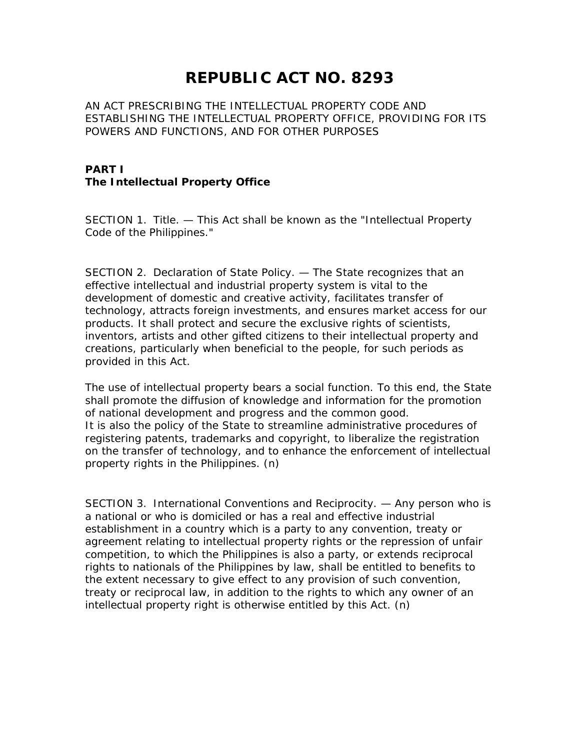# **REPUBLIC ACT NO. 8293**

AN ACT PRESCRIBING THE INTELLECTUAL PROPERTY CODE AND ESTABLISHING THE INTELLECTUAL PROPERTY OFFICE, PROVIDING FOR ITS POWERS AND FUNCTIONS, AND FOR OTHER PURPOSES

#### **PART I The Intellectual Property Office**

SECTION 1. Title. — This Act shall be known as the "Intellectual Property Code of the Philippines."

SECTION 2. Declaration of State Policy. — The State recognizes that an effective intellectual and industrial property system is vital to the development of domestic and creative activity, facilitates transfer of technology, attracts foreign investments, and ensures market access for our products. It shall protect and secure the exclusive rights of scientists, inventors, artists and other gifted citizens to their intellectual property and creations, particularly when beneficial to the people, for such periods as provided in this Act.

The use of intellectual property bears a social function. To this end, the State shall promote the diffusion of knowledge and information for the promotion of national development and progress and the common good. It is also the policy of the State to streamline administrative procedures of registering patents, trademarks and copyright, to liberalize the registration on the transfer of technology, and to enhance the enforcement of intellectual property rights in the Philippines. (n)

SECTION 3. International Conventions and Reciprocity. — Any person who is a national or who is domiciled or has a real and effective industrial establishment in a country which is a party to any convention, treaty or agreement relating to intellectual property rights or the repression of unfair competition, to which the Philippines is also a party, or extends reciprocal rights to nationals of the Philippines by law, shall be entitled to benefits to the extent necessary to give effect to any provision of such convention, treaty or reciprocal law, in addition to the rights to which any owner of an intellectual property right is otherwise entitled by this Act. (n)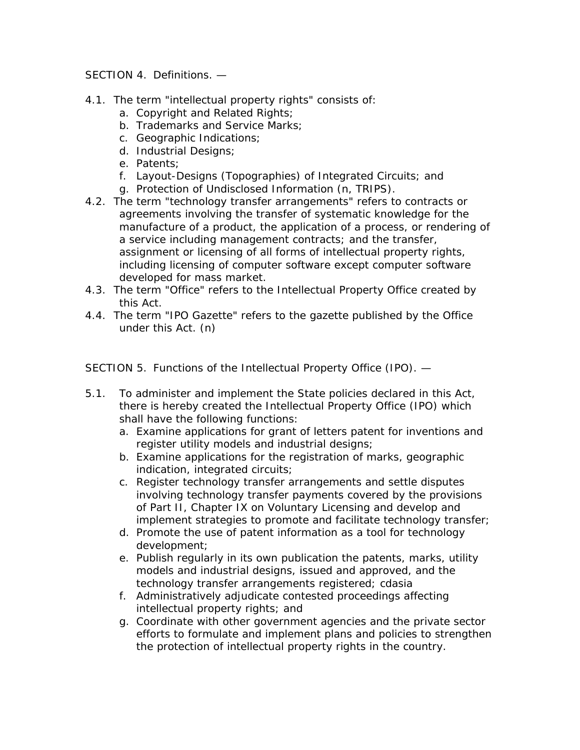SECTION 4. Definitions. —

- 4.1. The term "intellectual property rights" consists of:
	- a. Copyright and Related Rights;
	- b. Trademarks and Service Marks;
	- c. Geographic Indications;
	- d. Industrial Designs;
	- e. Patents;
	- f. Layout-Designs (Topographies) of Integrated Circuits; and
	- g. Protection of Undisclosed Information (n, TRIPS).
- 4.2. The term "technology transfer arrangements" refers to contracts or agreements involving the transfer of systematic knowledge for the manufacture of a product, the application of a process, or rendering of a service including management contracts; and the transfer, assignment or licensing of all forms of intellectual property rights, including licensing of computer software except computer software developed for mass market.
- 4.3. The term "Office" refers to the Intellectual Property Office created by this Act.
- 4.4. The term "IPO Gazette" refers to the gazette published by the Office under this Act. (n)

SECTION 5. Functions of the Intellectual Property Office (IPO). —

- 5.1. To administer and implement the State policies declared in this Act, there is hereby created the Intellectual Property Office (IPO) which shall have the following functions:
	- a. Examine applications for grant of letters patent for inventions and register utility models and industrial designs;
	- b. Examine applications for the registration of marks, geographic indication, integrated circuits;
	- c. Register technology transfer arrangements and settle disputes involving technology transfer payments covered by the provisions of Part II, Chapter IX on Voluntary Licensing and develop and implement strategies to promote and facilitate technology transfer;
	- d. Promote the use of patent information as a tool for technology development;
	- e. Publish regularly in its own publication the patents, marks, utility models and industrial designs, issued and approved, and the technology transfer arrangements registered; cdasia
	- f. Administratively adjudicate contested proceedings affecting intellectual property rights; and
	- g. Coordinate with other government agencies and the private sector efforts to formulate and implement plans and policies to strengthen the protection of intellectual property rights in the country.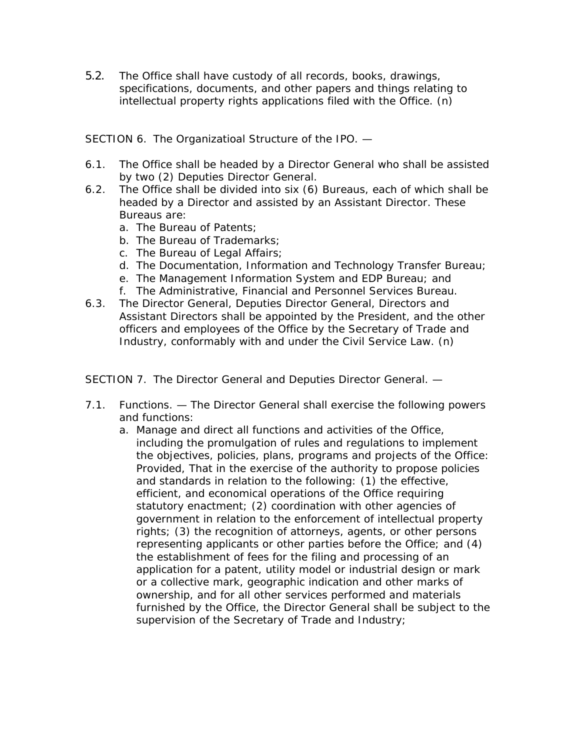5.2. The Office shall have custody of all records, books, drawings, specifications, documents, and other papers and things relating to intellectual property rights applications filed with the Office. (n)

SECTION 6. The Organizatioal Structure of the IPO. —

- 6.1. The Office shall be headed by a Director General who shall be assisted by two (2) Deputies Director General.
- 6.2. The Office shall be divided into six (6) Bureaus, each of which shall be headed by a Director and assisted by an Assistant Director. These Bureaus are:
	- a. The Bureau of Patents;
	- b. The Bureau of Trademarks;
	- c. The Bureau of Legal Affairs;
	- d. The Documentation, Information and Technology Transfer Bureau;
	- e. The Management Information System and EDP Bureau; and
	- f. The Administrative, Financial and Personnel Services Bureau.
- 6.3. The Director General, Deputies Director General, Directors and Assistant Directors shall be appointed by the President, and the other officers and employees of the Office by the Secretary of Trade and Industry, conformably with and under the Civil Service Law. (n)

SECTION 7. The Director General and Deputies Director General. —

- 7.1. Functions. The Director General shall exercise the following powers and functions:
	- a. Manage and direct all functions and activities of the Office, including the promulgation of rules and regulations to implement the objectives, policies, plans, programs and projects of the Office: Provided, That in the exercise of the authority to propose policies and standards in relation to the following: (1) the effective, efficient, and economical operations of the Office requiring statutory enactment; (2) coordination with other agencies of government in relation to the enforcement of intellectual property rights; (3) the recognition of attorneys, agents, or other persons representing applicants or other parties before the Office; and (4) the establishment of fees for the filing and processing of an application for a patent, utility model or industrial design or mark or a collective mark, geographic indication and other marks of ownership, and for all other services performed and materials furnished by the Office, the Director General shall be subject to the supervision of the Secretary of Trade and Industry;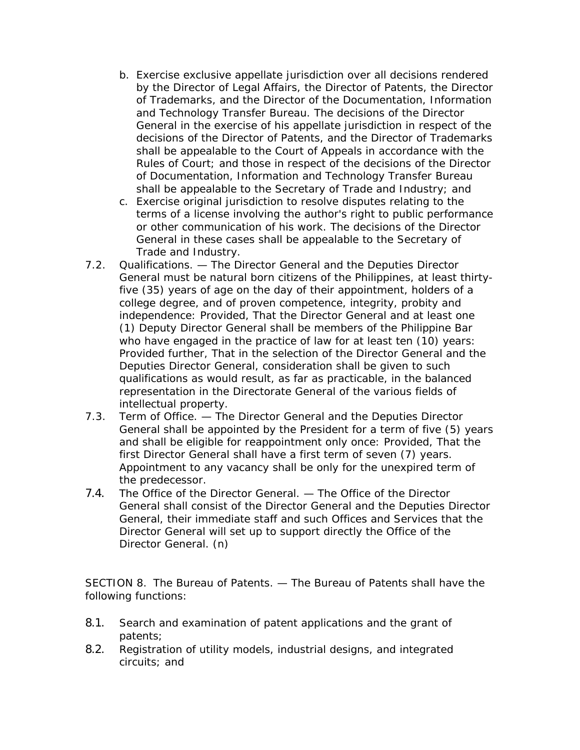- b. Exercise exclusive appellate jurisdiction over all decisions rendered by the Director of Legal Affairs, the Director of Patents, the Director of Trademarks, and the Director of the Documentation, Information and Technology Transfer Bureau. The decisions of the Director General in the exercise of his appellate jurisdiction in respect of the decisions of the Director of Patents, and the Director of Trademarks shall be appealable to the Court of Appeals in accordance with the Rules of Court; and those in respect of the decisions of the Director of Documentation, Information and Technology Transfer Bureau shall be appealable to the Secretary of Trade and Industry; and
- c. Exercise original jurisdiction to resolve disputes relating to the terms of a license involving the author's right to public performance or other communication of his work. The decisions of the Director General in these cases shall be appealable to the Secretary of Trade and Industry.
- 7.2. Qualifications. The Director General and the Deputies Director General must be natural born citizens of the Philippines, at least thirtyfive (35) years of age on the day of their appointment, holders of a college degree, and of proven competence, integrity, probity and independence: Provided, That the Director General and at least one (1) Deputy Director General shall be members of the Philippine Bar who have engaged in the practice of law for at least ten (10) years: Provided further, That in the selection of the Director General and the Deputies Director General, consideration shall be given to such qualifications as would result, as far as practicable, in the balanced representation in the Directorate General of the various fields of intellectual property.
- 7.3. Term of Office. The Director General and the Deputies Director General shall be appointed by the President for a term of five (5) years and shall be eligible for reappointment only once: Provided, That the first Director General shall have a first term of seven (7) years. Appointment to any vacancy shall be only for the unexpired term of the predecessor.
- 7.4. The Office of the Director General. The Office of the Director General shall consist of the Director General and the Deputies Director General, their immediate staff and such Offices and Services that the Director General will set up to support directly the Office of the Director General. (n)

SECTION 8. The Bureau of Patents. — The Bureau of Patents shall have the following functions:

- 8.1. Search and examination of patent applications and the grant of patents;
- 8.2. Registration of utility models, industrial designs, and integrated circuits; and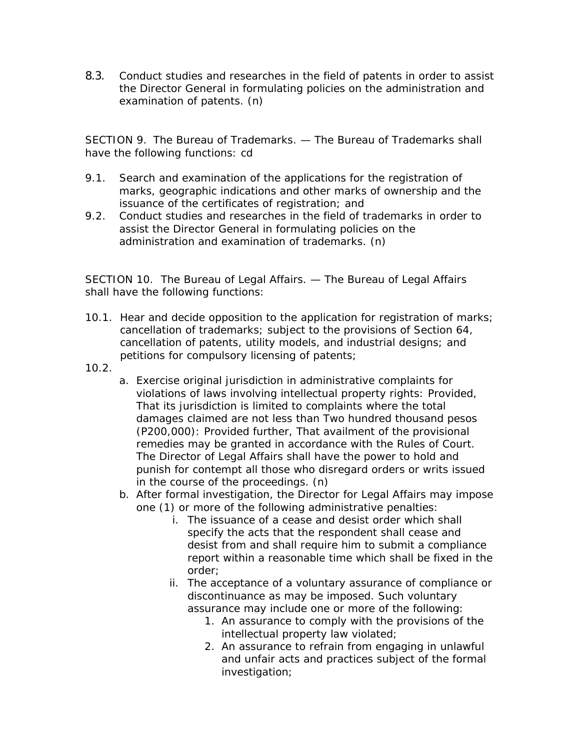8.3. Conduct studies and researches in the field of patents in order to assist the Director General in formulating policies on the administration and examination of patents. (n)

SECTION 9. The Bureau of Trademarks. — The Bureau of Trademarks shall have the following functions: cd

- 9.1. Search and examination of the applications for the registration of marks, geographic indications and other marks of ownership and the issuance of the certificates of registration; and
- 9.2. Conduct studies and researches in the field of trademarks in order to assist the Director General in formulating policies on the administration and examination of trademarks. (n)

SECTION 10. The Bureau of Legal Affairs. — The Bureau of Legal Affairs shall have the following functions:

- 10.1. Hear and decide opposition to the application for registration of marks; cancellation of trademarks; subject to the provisions of Section 64, cancellation of patents, utility models, and industrial designs; and petitions for compulsory licensing of patents;
- 10.2.
- a. Exercise original jurisdiction in administrative complaints for violations of laws involving intellectual property rights: Provided, That its jurisdiction is limited to complaints where the total damages claimed are not less than Two hundred thousand pesos (P200,000): Provided further, That availment of the provisional remedies may be granted in accordance with the Rules of Court. The Director of Legal Affairs shall have the power to hold and punish for contempt all those who disregard orders or writs issued in the course of the proceedings. (n)
- b. After formal investigation, the Director for Legal Affairs may impose one (1) or more of the following administrative penalties:
	- i. The issuance of a cease and desist order which shall specify the acts that the respondent shall cease and desist from and shall require him to submit a compliance report within a reasonable time which shall be fixed in the order;
	- ii. The acceptance of a voluntary assurance of compliance or discontinuance as may be imposed. Such voluntary assurance may include one or more of the following:
		- 1. An assurance to comply with the provisions of the intellectual property law violated;
		- 2. An assurance to refrain from engaging in unlawful and unfair acts and practices subject of the formal investigation;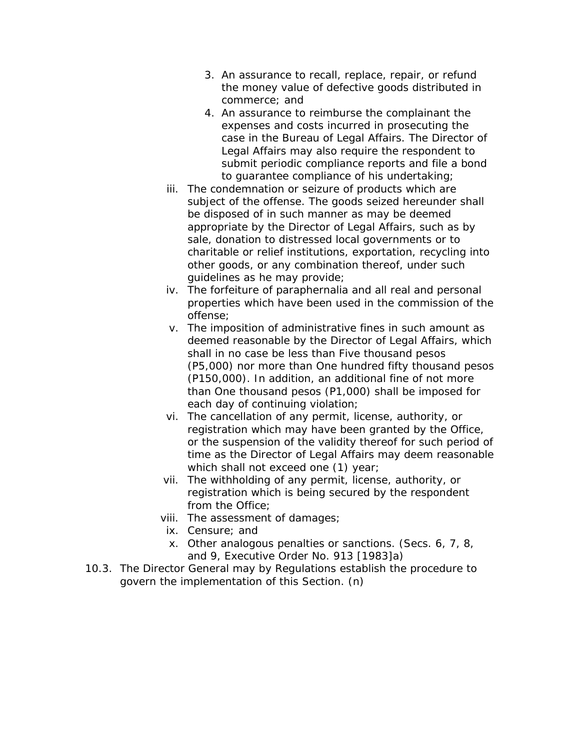- 3. An assurance to recall, replace, repair, or refund the money value of defective goods distributed in commerce; and
- 4. An assurance to reimburse the complainant the expenses and costs incurred in prosecuting the case in the Bureau of Legal Affairs. The Director of Legal Affairs may also require the respondent to submit periodic compliance reports and file a bond to guarantee compliance of his undertaking;
- iii. The condemnation or seizure of products which are subject of the offense. The goods seized hereunder shall be disposed of in such manner as may be deemed appropriate by the Director of Legal Affairs, such as by sale, donation to distressed local governments or to charitable or relief institutions, exportation, recycling into other goods, or any combination thereof, under such guidelines as he may provide;
- iv. The forfeiture of paraphernalia and all real and personal properties which have been used in the commission of the offense;
- v. The imposition of administrative fines in such amount as deemed reasonable by the Director of Legal Affairs, which shall in no case be less than Five thousand pesos (P5,000) nor more than One hundred fifty thousand pesos (P150,000). In addition, an additional fine of not more than One thousand pesos (P1,000) shall be imposed for each day of continuing violation;
- vi. The cancellation of any permit, license, authority, or registration which may have been granted by the Office, or the suspension of the validity thereof for such period of time as the Director of Legal Affairs may deem reasonable which shall not exceed one (1) year;
- vii. The withholding of any permit, license, authority, or registration which is being secured by the respondent from the Office;
- viii. The assessment of damages;
- ix. Censure; and
- x. Other analogous penalties or sanctions. (Secs. 6, 7, 8, and 9, Executive Order No. 913 [1983]a)
- 10.3. The Director General may by Regulations establish the procedure to govern the implementation of this Section. (n)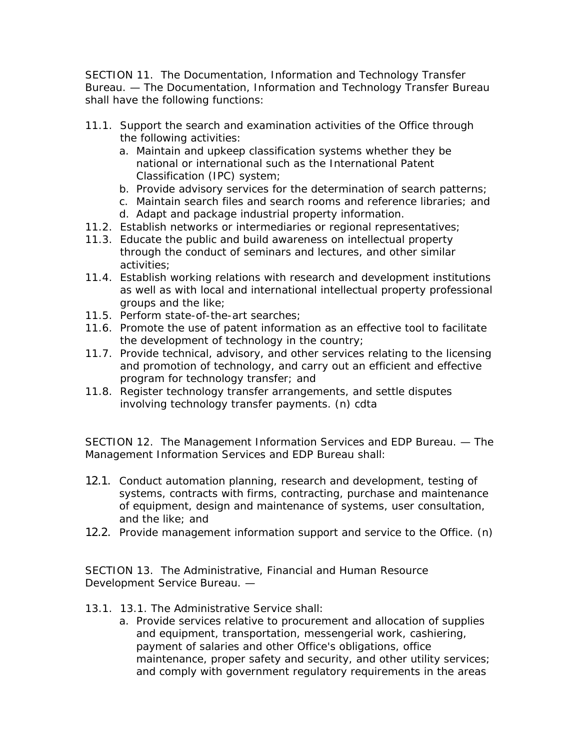SECTION 11. The Documentation, Information and Technology Transfer Bureau. — The Documentation, Information and Technology Transfer Bureau shall have the following functions:

- 11.1. Support the search and examination activities of the Office through the following activities:
	- a. Maintain and upkeep classification systems whether they be national or international such as the International Patent Classification (IPC) system;
	- b. Provide advisory services for the determination of search patterns;
	- c. Maintain search files and search rooms and reference libraries; and
	- d. Adapt and package industrial property information.
- 11.2. Establish networks or intermediaries or regional representatives;
- 11.3. Educate the public and build awareness on intellectual property through the conduct of seminars and lectures, and other similar activities;
- 11.4. Establish working relations with research and development institutions as well as with local and international intellectual property professional groups and the like;
- 11.5. Perform state-of-the-art searches;
- 11.6. Promote the use of patent information as an effective tool to facilitate the development of technology in the country;
- 11.7. Provide technical, advisory, and other services relating to the licensing and promotion of technology, and carry out an efficient and effective program for technology transfer; and
- 11.8. Register technology transfer arrangements, and settle disputes involving technology transfer payments. (n) cdta

SECTION 12. The Management Information Services and EDP Bureau. — The Management Information Services and EDP Bureau shall:

- 12.1. Conduct automation planning, research and development, testing of systems, contracts with firms, contracting, purchase and maintenance of equipment, design and maintenance of systems, user consultation, and the like; and
- 12.2. Provide management information support and service to the Office. (n)

SECTION 13. The Administrative, Financial and Human Resource Development Service Bureau. —

- 13.1. 13.1. The Administrative Service shall:
	- a. Provide services relative to procurement and allocation of supplies and equipment, transportation, messengerial work, cashiering, payment of salaries and other Office's obligations, office maintenance, proper safety and security, and other utility services; and comply with government regulatory requirements in the areas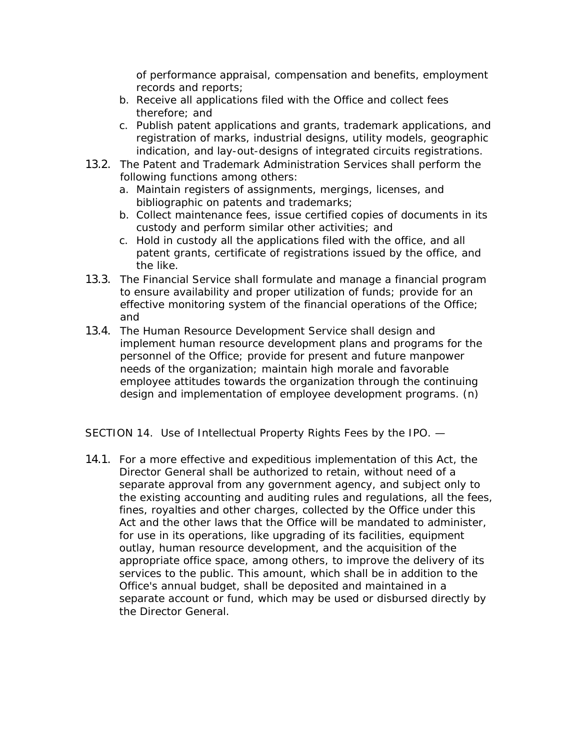of performance appraisal, compensation and benefits, employment records and reports;

- b. Receive all applications filed with the Office and collect fees therefore; and
- c. Publish patent applications and grants, trademark applications, and registration of marks, industrial designs, utility models, geographic indication, and lay-out-designs of integrated circuits registrations.
- 13.2. The Patent and Trademark Administration Services shall perform the following functions among others:
	- a. Maintain registers of assignments, mergings, licenses, and bibliographic on patents and trademarks;
	- b. Collect maintenance fees, issue certified copies of documents in its custody and perform similar other activities; and
	- c. Hold in custody all the applications filed with the office, and all patent grants, certificate of registrations issued by the office, and the like.
- 13.3. The Financial Service shall formulate and manage a financial program to ensure availability and proper utilization of funds; provide for an effective monitoring system of the financial operations of the Office; and
- 13.4. The Human Resource Development Service shall design and implement human resource development plans and programs for the personnel of the Office; provide for present and future manpower needs of the organization; maintain high morale and favorable employee attitudes towards the organization through the continuing design and implementation of employee development programs. (n)

SECTION 14. Use of Intellectual Property Rights Fees by the IPO. —

14.1. For a more effective and expeditious implementation of this Act, the Director General shall be authorized to retain, without need of a separate approval from any government agency, and subject only to the existing accounting and auditing rules and regulations, all the fees, fines, royalties and other charges, collected by the Office under this Act and the other laws that the Office will be mandated to administer, for use in its operations, like upgrading of its facilities, equipment outlay, human resource development, and the acquisition of the appropriate office space, among others, to improve the delivery of its services to the public. This amount, which shall be in addition to the Office's annual budget, shall be deposited and maintained in a separate account or fund, which may be used or disbursed directly by the Director General.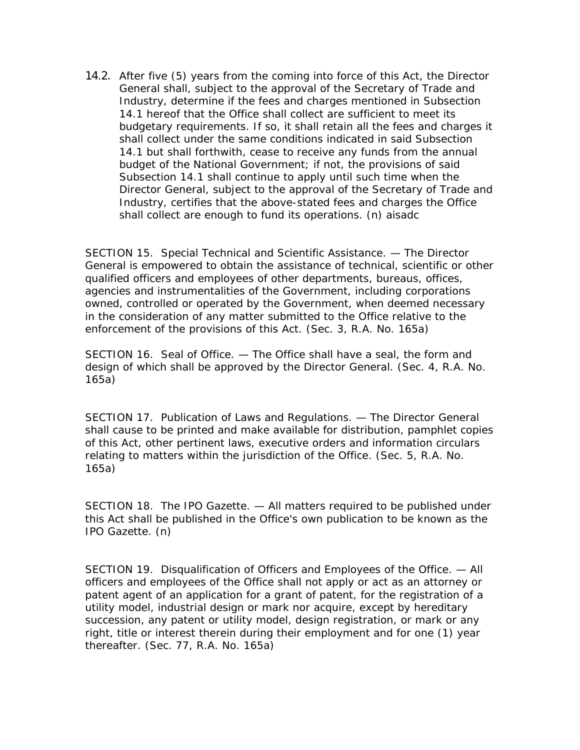14.2. After five (5) years from the coming into force of this Act, the Director General shall, subject to the approval of the Secretary of Trade and Industry, determine if the fees and charges mentioned in Subsection 14.1 hereof that the Office shall collect are sufficient to meet its budgetary requirements. If so, it shall retain all the fees and charges it shall collect under the same conditions indicated in said Subsection 14.1 but shall forthwith, cease to receive any funds from the annual budget of the National Government; if not, the provisions of said Subsection 14.1 shall continue to apply until such time when the Director General, subject to the approval of the Secretary of Trade and Industry, certifies that the above-stated fees and charges the Office shall collect are enough to fund its operations. (n) aisadc

SECTION 15. Special Technical and Scientific Assistance. — The Director General is empowered to obtain the assistance of technical, scientific or other qualified officers and employees of other departments, bureaus, offices, agencies and instrumentalities of the Government, including corporations owned, controlled or operated by the Government, when deemed necessary in the consideration of any matter submitted to the Office relative to the enforcement of the provisions of this Act. (Sec. 3, R.A. No. 165a)

SECTION 16. Seal of Office. — The Office shall have a seal, the form and design of which shall be approved by the Director General. (Sec. 4, R.A. No. 165a)

SECTION 17. Publication of Laws and Regulations. — The Director General shall cause to be printed and make available for distribution, pamphlet copies of this Act, other pertinent laws, executive orders and information circulars relating to matters within the jurisdiction of the Office. (Sec. 5, R.A. No. 165a)

SECTION 18. The IPO Gazette. — All matters required to be published under this Act shall be published in the Office's own publication to be known as the IPO Gazette. (n)

SECTION 19. Disqualification of Officers and Employees of the Office. — All officers and employees of the Office shall not apply or act as an attorney or patent agent of an application for a grant of patent, for the registration of a utility model, industrial design or mark nor acquire, except by hereditary succession, any patent or utility model, design registration, or mark or any right, title or interest therein during their employment and for one (1) year thereafter. (Sec. 77, R.A. No. 165a)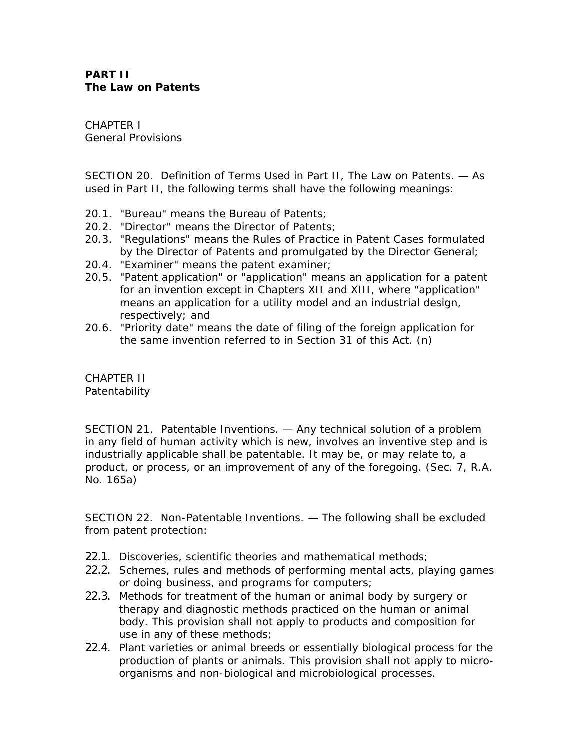## **PART II The Law on Patents**

CHAPTER I General Provisions

SECTION 20. Definition of Terms Used in Part II, The Law on Patents. — As used in Part II, the following terms shall have the following meanings:

- 20.1. "Bureau" means the Bureau of Patents;
- 20.2. "Director" means the Director of Patents;
- 20.3. "Regulations" means the Rules of Practice in Patent Cases formulated by the Director of Patents and promulgated by the Director General;
- 20.4. "Examiner" means the patent examiner;
- 20.5. "Patent application" or "application" means an application for a patent for an invention except in Chapters XII and XIII, where "application" means an application for a utility model and an industrial design, respectively; and
- 20.6. "Priority date" means the date of filing of the foreign application for the same invention referred to in Section 31 of this Act. (n)

CHAPTER II **Patentability** 

SECTION 21. Patentable Inventions. — Any technical solution of a problem in any field of human activity which is new, involves an inventive step and is industrially applicable shall be patentable. It may be, or may relate to, a product, or process, or an improvement of any of the foregoing. (Sec. 7, R.A. No. 165a)

SECTION 22. Non-Patentable Inventions. — The following shall be excluded from patent protection:

- 22.1. Discoveries, scientific theories and mathematical methods;
- 22.2. Schemes, rules and methods of performing mental acts, playing games or doing business, and programs for computers;
- 22.3. Methods for treatment of the human or animal body by surgery or therapy and diagnostic methods practiced on the human or animal body. This provision shall not apply to products and composition for use in any of these methods;
- 22.4. Plant varieties or animal breeds or essentially biological process for the production of plants or animals. This provision shall not apply to microorganisms and non-biological and microbiological processes.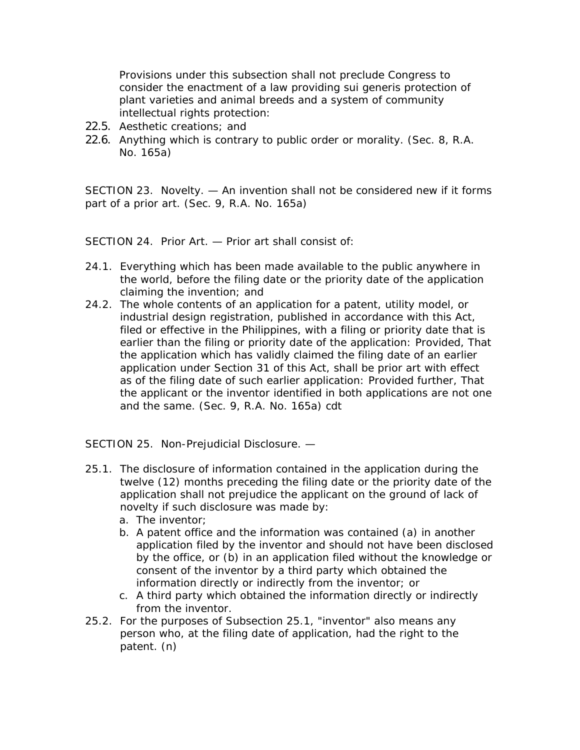Provisions under this subsection shall not preclude Congress to consider the enactment of a law providing sui generis protection of plant varieties and animal breeds and a system of community intellectual rights protection:

- 22.5. Aesthetic creations; and
- 22.6. Anything which is contrary to public order or morality. (Sec. 8, R.A. No. 165a)

SECTION 23. Novelty. — An invention shall not be considered new if it forms part of a prior art. (Sec. 9, R.A. No. 165a)

SECTION 24. Prior Art. — Prior art shall consist of:

- 24.1. Everything which has been made available to the public anywhere in the world, before the filing date or the priority date of the application claiming the invention; and
- 24.2. The whole contents of an application for a patent, utility model, or industrial design registration, published in accordance with this Act, filed or effective in the Philippines, with a filing or priority date that is earlier than the filing or priority date of the application: Provided, That the application which has validly claimed the filing date of an earlier application under Section 31 of this Act, shall be prior art with effect as of the filing date of such earlier application: Provided further, That the applicant or the inventor identified in both applications are not one and the same. (Sec. 9, R.A. No. 165a) cdt

SECTION 25. Non-Prejudicial Disclosure. —

- 25.1. The disclosure of information contained in the application during the twelve (12) months preceding the filing date or the priority date of the application shall not prejudice the applicant on the ground of lack of novelty if such disclosure was made by:
	- a. The inventor;
	- b. A patent office and the information was contained (a) in another application filed by the inventor and should not have been disclosed by the office, or (b) in an application filed without the knowledge or consent of the inventor by a third party which obtained the information directly or indirectly from the inventor; or
	- c. A third party which obtained the information directly or indirectly from the inventor.
- 25.2. For the purposes of Subsection 25.1, "inventor" also means any person who, at the filing date of application, had the right to the patent. (n)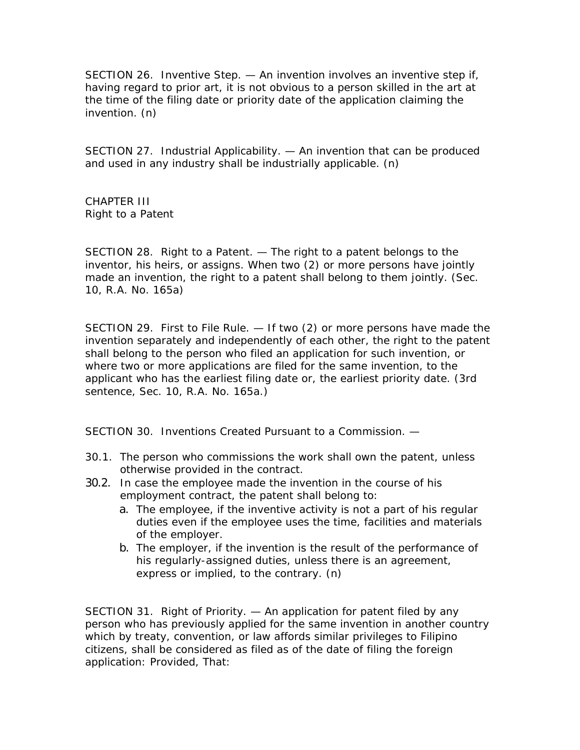SECTION 26. Inventive Step. — An invention involves an inventive step if, having regard to prior art, it is not obvious to a person skilled in the art at the time of the filing date or priority date of the application claiming the invention. (n)

SECTION 27. Industrial Applicability. — An invention that can be produced and used in any industry shall be industrially applicable. (n)

CHAPTER III Right to a Patent

SECTION 28. Right to a Patent. — The right to a patent belongs to the inventor, his heirs, or assigns. When two (2) or more persons have jointly made an invention, the right to a patent shall belong to them jointly. (Sec. 10, R.A. No. 165a)

SECTION 29. First to File Rule. — If two (2) or more persons have made the invention separately and independently of each other, the right to the patent shall belong to the person who filed an application for such invention, or where two or more applications are filed for the same invention, to the applicant who has the earliest filing date or, the earliest priority date. (3rd sentence, Sec. 10, R.A. No. 165a.)

SECTION 30. Inventions Created Pursuant to a Commission. —

- 30.1. The person who commissions the work shall own the patent, unless otherwise provided in the contract.
- 30.2. In case the employee made the invention in the course of his employment contract, the patent shall belong to:
	- a. The employee, if the inventive activity is not a part of his regular duties even if the employee uses the time, facilities and materials of the employer.
	- b. The employer, if the invention is the result of the performance of his regularly-assigned duties, unless there is an agreement, express or implied, to the contrary. (n)

SECTION 31. Right of Priority. — An application for patent filed by any person who has previously applied for the same invention in another country which by treaty, convention, or law affords similar privileges to Filipino citizens, shall be considered as filed as of the date of filing the foreign application: Provided, That: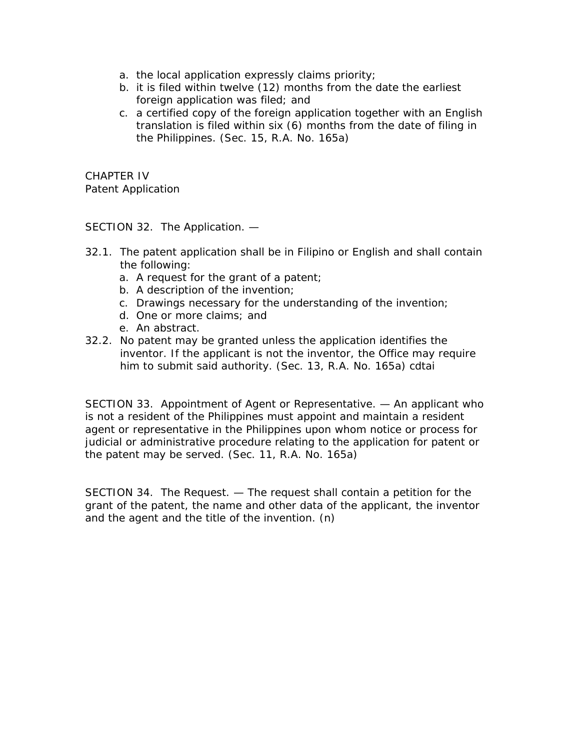- a. the local application expressly claims priority;
- b. it is filed within twelve (12) months from the date the earliest foreign application was filed; and
- c. a certified copy of the foreign application together with an English translation is filed within six (6) months from the date of filing in the Philippines. (Sec. 15, R.A. No. 165a)

CHAPTER IV Patent Application

SECTION 32. The Application. —

- 32.1. The patent application shall be in Filipino or English and shall contain the following:
	- a. A request for the grant of a patent;
	- b. A description of the invention;
	- c. Drawings necessary for the understanding of the invention;
	- d. One or more claims; and
	- e. An abstract.
- 32.2. No patent may be granted unless the application identifies the inventor. If the applicant is not the inventor, the Office may require him to submit said authority. (Sec. 13, R.A. No. 165a) cdtai

SECTION 33. Appointment of Agent or Representative. — An applicant who is not a resident of the Philippines must appoint and maintain a resident agent or representative in the Philippines upon whom notice or process for judicial or administrative procedure relating to the application for patent or the patent may be served. (Sec. 11, R.A. No. 165a)

SECTION 34. The Request. — The request shall contain a petition for the grant of the patent, the name and other data of the applicant, the inventor and the agent and the title of the invention. (n)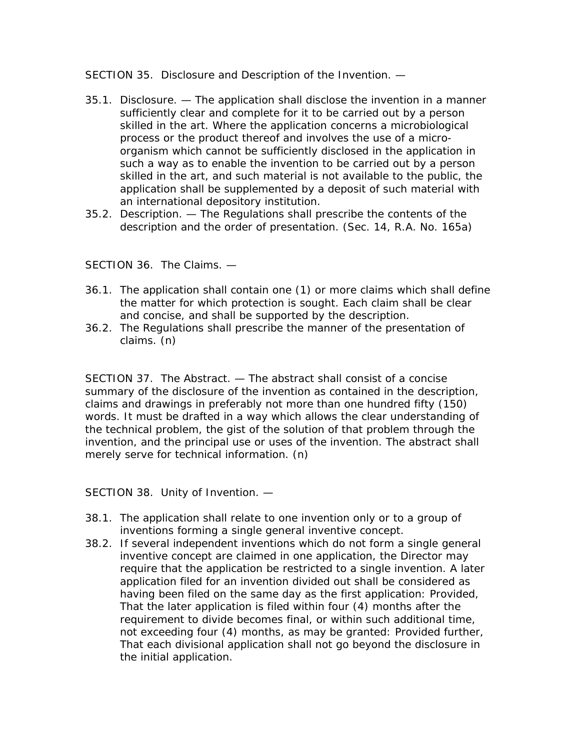SECTION 35. Disclosure and Description of the Invention. —

- 35.1. Disclosure. The application shall disclose the invention in a manner sufficiently clear and complete for it to be carried out by a person skilled in the art. Where the application concerns a microbiological process or the product thereof and involves the use of a microorganism which cannot be sufficiently disclosed in the application in such a way as to enable the invention to be carried out by a person skilled in the art, and such material is not available to the public, the application shall be supplemented by a deposit of such material with an international depository institution.
- 35.2. Description. The Regulations shall prescribe the contents of the description and the order of presentation. (Sec. 14, R.A. No. 165a)

SECTION 36. The Claims. —

- 36.1. The application shall contain one (1) or more claims which shall define the matter for which protection is sought. Each claim shall be clear and concise, and shall be supported by the description.
- 36.2. The Regulations shall prescribe the manner of the presentation of claims. (n)

SECTION 37. The Abstract. — The abstract shall consist of a concise summary of the disclosure of the invention as contained in the description, claims and drawings in preferably not more than one hundred fifty (150) words. It must be drafted in a way which allows the clear understanding of the technical problem, the gist of the solution of that problem through the invention, and the principal use or uses of the invention. The abstract shall merely serve for technical information. (n)

SECTION 38. Unity of Invention. —

- 38.1. The application shall relate to one invention only or to a group of inventions forming a single general inventive concept.
- 38.2. If several independent inventions which do not form a single general inventive concept are claimed in one application, the Director may require that the application be restricted to a single invention. A later application filed for an invention divided out shall be considered as having been filed on the same day as the first application: Provided, That the later application is filed within four (4) months after the requirement to divide becomes final, or within such additional time, not exceeding four (4) months, as may be granted: Provided further, That each divisional application shall not go beyond the disclosure in the initial application.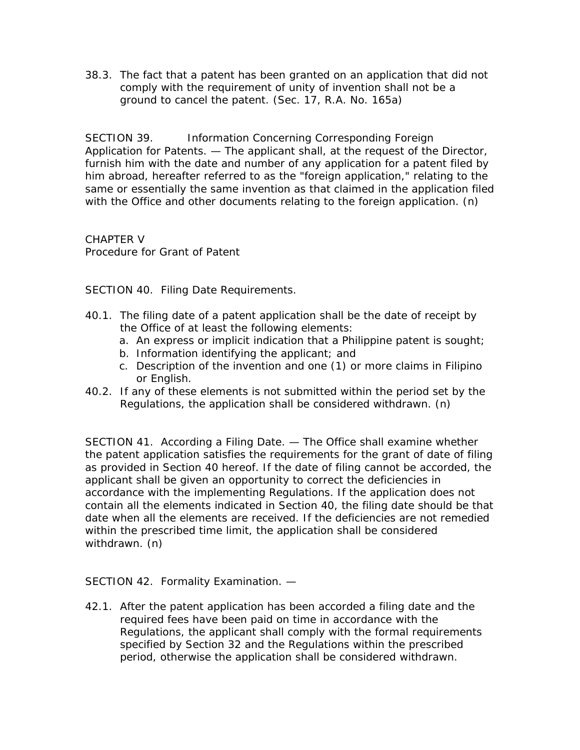38.3. The fact that a patent has been granted on an application that did not comply with the requirement of unity of invention shall not be a ground to cancel the patent. (Sec. 17, R.A. No. 165a)

SECTION 39. Information Concerning Corresponding Foreign Application for Patents. — The applicant shall, at the request of the Director, furnish him with the date and number of any application for a patent filed by him abroad, hereafter referred to as the "foreign application," relating to the same or essentially the same invention as that claimed in the application filed with the Office and other documents relating to the foreign application. (n)

CHAPTER V Procedure for Grant of Patent

SECTION 40. Filing Date Requirements.

- 40.1. The filing date of a patent application shall be the date of receipt by the Office of at least the following elements:
	- a. An express or implicit indication that a Philippine patent is sought;
	- b. Information identifying the applicant; and
	- c. Description of the invention and one (1) or more claims in Filipino or English.
- 40.2. If any of these elements is not submitted within the period set by the Regulations, the application shall be considered withdrawn. (n)

SECTION 41. According a Filing Date. — The Office shall examine whether the patent application satisfies the requirements for the grant of date of filing as provided in Section 40 hereof. If the date of filing cannot be accorded, the applicant shall be given an opportunity to correct the deficiencies in accordance with the implementing Regulations. If the application does not contain all the elements indicated in Section 40, the filing date should be that date when all the elements are received. If the deficiencies are not remedied within the prescribed time limit, the application shall be considered withdrawn. (n)

SECTION 42. Formality Examination. —

42.1. After the patent application has been accorded a filing date and the required fees have been paid on time in accordance with the Regulations, the applicant shall comply with the formal requirements specified by Section 32 and the Regulations within the prescribed period, otherwise the application shall be considered withdrawn.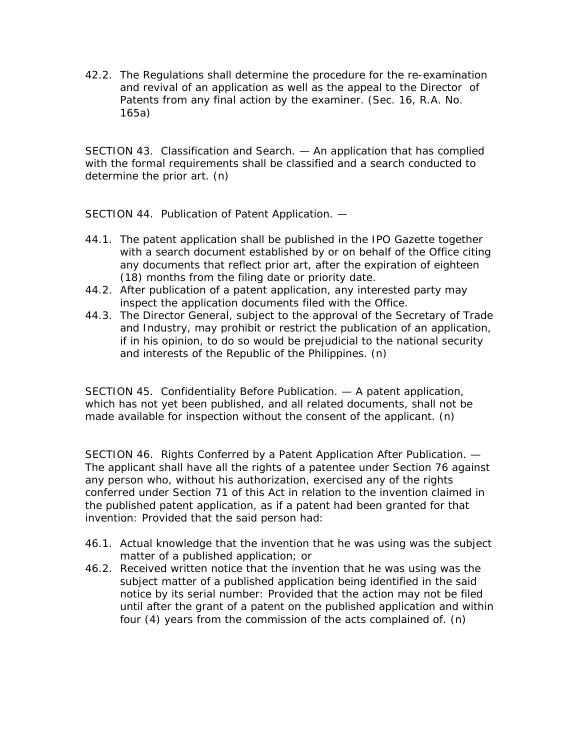42.2. The Regulations shall determine the procedure for the re-examination and revival of an application as well as the appeal to the Director of Patents from any final action by the examiner. (Sec. 16, R.A. No. 165a)

SECTION 43. Classification and Search. — An application that has complied with the formal requirements shall be classified and a search conducted to determine the prior art. (n)

SECTION 44. Publication of Patent Application. —

- 44.1. The patent application shall be published in the IPO Gazette together with a search document established by or on behalf of the Office citing any documents that reflect prior art, after the expiration of eighteen (18) months from the filing date or priority date.
- 44.2. After publication of a patent application, any interested party may inspect the application documents filed with the Office.
- 44.3. The Director General, subject to the approval of the Secretary of Trade and Industry, may prohibit or restrict the publication of an application, if in his opinion, to do so would be prejudicial to the national security and interests of the Republic of the Philippines. (n)

SECTION 45. Confidentiality Before Publication. — A patent application, which has not yet been published, and all related documents, shall not be made available for inspection without the consent of the applicant. (n)

SECTION 46. Rights Conferred by a Patent Application After Publication. — The applicant shall have all the rights of a patentee under Section 76 against any person who, without his authorization, exercised any of the rights conferred under Section 71 of this Act in relation to the invention claimed in the published patent application, as if a patent had been granted for that invention: Provided that the said person had:

- 46.1. Actual knowledge that the invention that he was using was the subject matter of a published application; or
- 46.2. Received written notice that the invention that he was using was the subject matter of a published application being identified in the said notice by its serial number: Provided that the action may not be filed until after the grant of a patent on the published application and within four (4) years from the commission of the acts complained of. (n)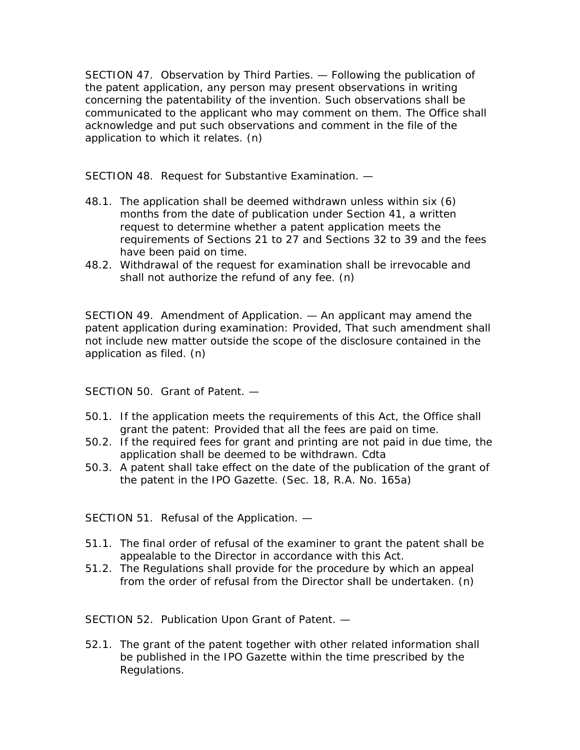SECTION 47. Observation by Third Parties. — Following the publication of the patent application, any person may present observations in writing concerning the patentability of the invention. Such observations shall be communicated to the applicant who may comment on them. The Office shall acknowledge and put such observations and comment in the file of the application to which it relates. (n)

SECTION 48. Request for Substantive Examination. —

- 48.1. The application shall be deemed withdrawn unless within six (6) months from the date of publication under Section 41, a written request to determine whether a patent application meets the requirements of Sections 21 to 27 and Sections 32 to 39 and the fees have been paid on time.
- 48.2. Withdrawal of the request for examination shall be irrevocable and shall not authorize the refund of any fee. (n)

SECTION 49. Amendment of Application. — An applicant may amend the patent application during examination: Provided, That such amendment shall not include new matter outside the scope of the disclosure contained in the application as filed. (n)

SECTION 50. Grant of Patent. —

- 50.1. If the application meets the requirements of this Act, the Office shall grant the patent: Provided that all the fees are paid on time.
- 50.2. If the required fees for grant and printing are not paid in due time, the application shall be deemed to be withdrawn. Cdta
- 50.3. A patent shall take effect on the date of the publication of the grant of the patent in the IPO Gazette. (Sec. 18, R.A. No. 165a)

SECTION 51. Refusal of the Application. —

- 51.1. The final order of refusal of the examiner to grant the patent shall be appealable to the Director in accordance with this Act.
- 51.2. The Regulations shall provide for the procedure by which an appeal from the order of refusal from the Director shall be undertaken. (n)

SECTION 52. Publication Upon Grant of Patent. —

52.1. The grant of the patent together with other related information shall be published in the IPO Gazette within the time prescribed by the Regulations.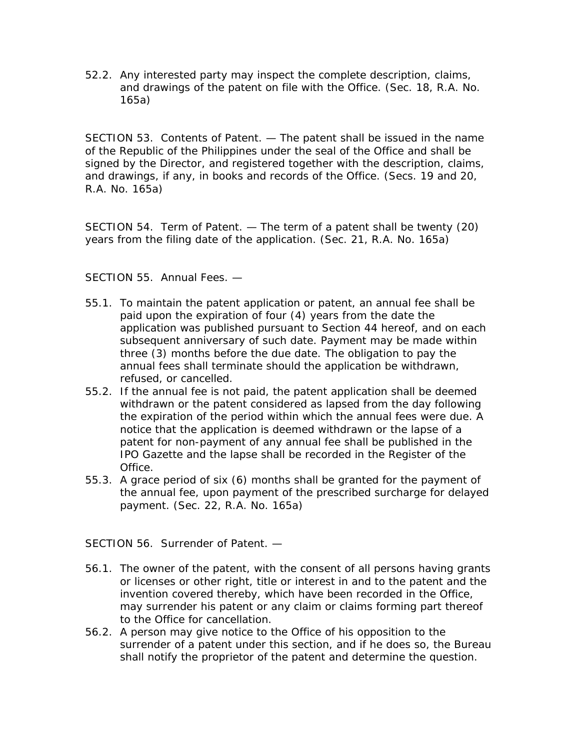52.2. Any interested party may inspect the complete description, claims, and drawings of the patent on file with the Office. (Sec. 18, R.A. No. 165a)

SECTION 53. Contents of Patent. — The patent shall be issued in the name of the Republic of the Philippines under the seal of the Office and shall be signed by the Director, and registered together with the description, claims, and drawings, if any, in books and records of the Office. (Secs. 19 and 20, R.A. No. 165a)

SECTION 54. Term of Patent. — The term of a patent shall be twenty (20) years from the filing date of the application. (Sec. 21, R.A. No. 165a)

SECTION 55. Annual Fees. —

- 55.1. To maintain the patent application or patent, an annual fee shall be paid upon the expiration of four (4) years from the date the application was published pursuant to Section 44 hereof, and on each subsequent anniversary of such date. Payment may be made within three (3) months before the due date. The obligation to pay the annual fees shall terminate should the application be withdrawn, refused, or cancelled.
- 55.2. If the annual fee is not paid, the patent application shall be deemed withdrawn or the patent considered as lapsed from the day following the expiration of the period within which the annual fees were due. A notice that the application is deemed withdrawn or the lapse of a patent for non-payment of any annual fee shall be published in the IPO Gazette and the lapse shall be recorded in the Register of the Office.
- 55.3. A grace period of six (6) months shall be granted for the payment of the annual fee, upon payment of the prescribed surcharge for delayed payment. (Sec. 22, R.A. No. 165a)

SECTION 56. Surrender of Patent. —

- 56.1. The owner of the patent, with the consent of all persons having grants or licenses or other right, title or interest in and to the patent and the invention covered thereby, which have been recorded in the Office, may surrender his patent or any claim or claims forming part thereof to the Office for cancellation.
- 56.2. A person may give notice to the Office of his opposition to the surrender of a patent under this section, and if he does so, the Bureau shall notify the proprietor of the patent and determine the question.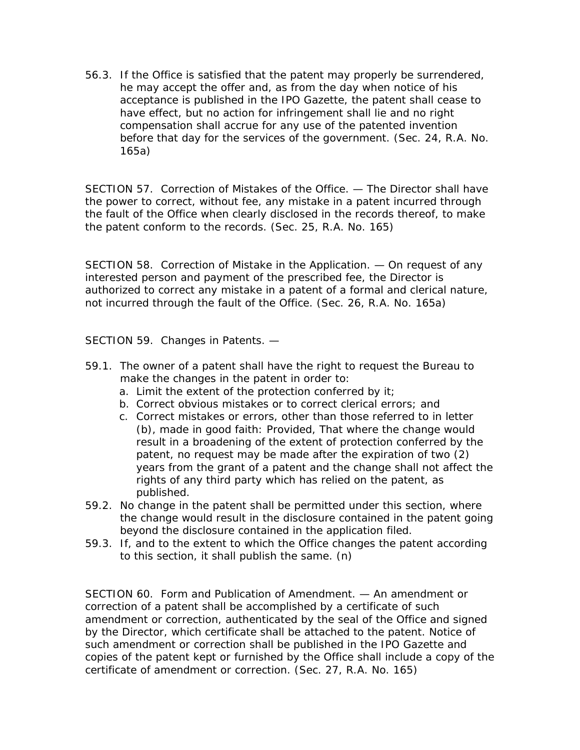56.3. If the Office is satisfied that the patent may properly be surrendered, he may accept the offer and, as from the day when notice of his acceptance is published in the IPO Gazette, the patent shall cease to have effect, but no action for infringement shall lie and no right compensation shall accrue for any use of the patented invention before that day for the services of the government. (Sec. 24, R.A. No. 165a)

SECTION 57. Correction of Mistakes of the Office. — The Director shall have the power to correct, without fee, any mistake in a patent incurred through the fault of the Office when clearly disclosed in the records thereof, to make the patent conform to the records. (Sec. 25, R.A. No. 165)

SECTION 58. Correction of Mistake in the Application. — On request of any interested person and payment of the prescribed fee, the Director is authorized to correct any mistake in a patent of a formal and clerical nature, not incurred through the fault of the Office. (Sec. 26, R.A. No. 165a)

SECTION 59. Changes in Patents. —

- 59.1. The owner of a patent shall have the right to request the Bureau to make the changes in the patent in order to:
	- a. Limit the extent of the protection conferred by it;
	- b. Correct obvious mistakes or to correct clerical errors; and
	- c. Correct mistakes or errors, other than those referred to in letter (b), made in good faith: Provided, That where the change would result in a broadening of the extent of protection conferred by the patent, no request may be made after the expiration of two (2) years from the grant of a patent and the change shall not affect the rights of any third party which has relied on the patent, as published.
- 59.2. No change in the patent shall be permitted under this section, where the change would result in the disclosure contained in the patent going beyond the disclosure contained in the application filed.
- 59.3. If, and to the extent to which the Office changes the patent according to this section, it shall publish the same. (n)

SECTION 60. Form and Publication of Amendment. — An amendment or correction of a patent shall be accomplished by a certificate of such amendment or correction, authenticated by the seal of the Office and signed by the Director, which certificate shall be attached to the patent. Notice of such amendment or correction shall be published in the IPO Gazette and copies of the patent kept or furnished by the Office shall include a copy of the certificate of amendment or correction. (Sec. 27, R.A. No. 165)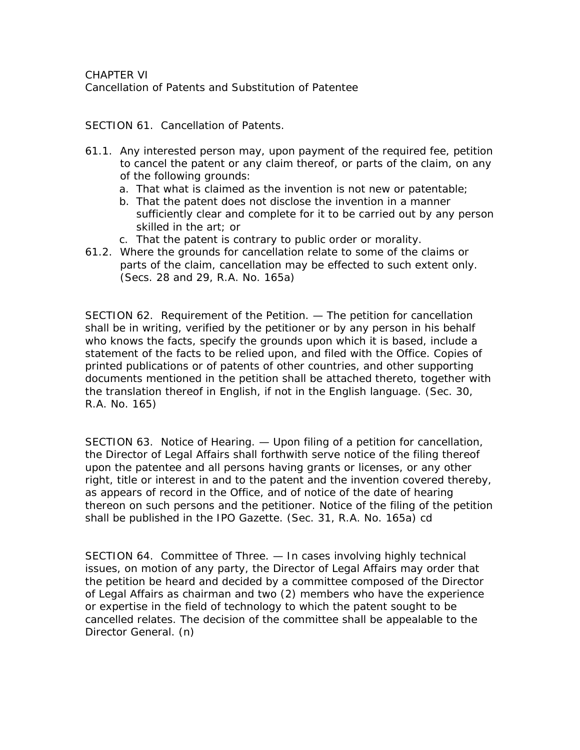CHAPTER VI Cancellation of Patents and Substitution of Patentee

SECTION 61. Cancellation of Patents.

- 61.1. Any interested person may, upon payment of the required fee, petition to cancel the patent or any claim thereof, or parts of the claim, on any of the following grounds:
	- a. That what is claimed as the invention is not new or patentable;
	- b. That the patent does not disclose the invention in a manner sufficiently clear and complete for it to be carried out by any person skilled in the art; or
	- c. That the patent is contrary to public order or morality.
- 61.2. Where the grounds for cancellation relate to some of the claims or parts of the claim, cancellation may be effected to such extent only. (Secs. 28 and 29, R.A. No. 165a)

SECTION 62. Requirement of the Petition. — The petition for cancellation shall be in writing, verified by the petitioner or by any person in his behalf who knows the facts, specify the grounds upon which it is based, include a statement of the facts to be relied upon, and filed with the Office. Copies of printed publications or of patents of other countries, and other supporting documents mentioned in the petition shall be attached thereto, together with the translation thereof in English, if not in the English language. (Sec. 30, R.A. No. 165)

SECTION 63. Notice of Hearing. — Upon filing of a petition for cancellation, the Director of Legal Affairs shall forthwith serve notice of the filing thereof upon the patentee and all persons having grants or licenses, or any other right, title or interest in and to the patent and the invention covered thereby, as appears of record in the Office, and of notice of the date of hearing thereon on such persons and the petitioner. Notice of the filing of the petition shall be published in the IPO Gazette. (Sec. 31, R.A. No. 165a) cd

SECTION 64. Committee of Three. — In cases involving highly technical issues, on motion of any party, the Director of Legal Affairs may order that the petition be heard and decided by a committee composed of the Director of Legal Affairs as chairman and two (2) members who have the experience or expertise in the field of technology to which the patent sought to be cancelled relates. The decision of the committee shall be appealable to the Director General. (n)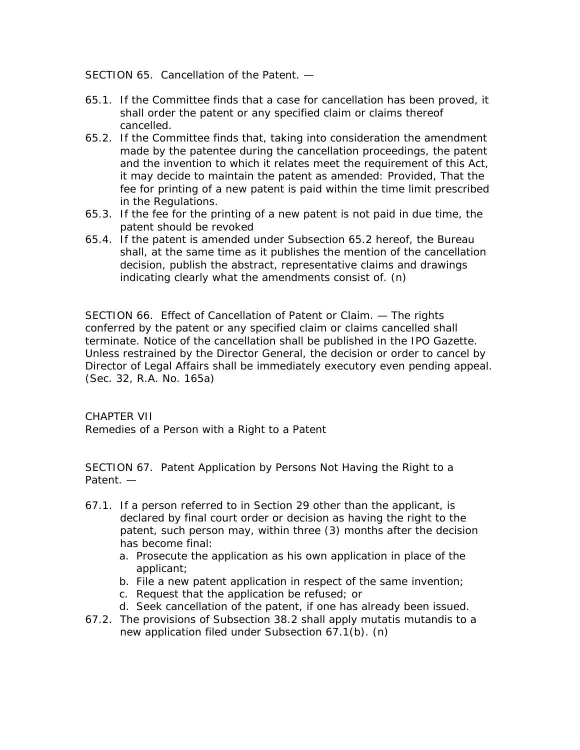SECTION 65. Cancellation of the Patent. —

- 65.1. If the Committee finds that a case for cancellation has been proved, it shall order the patent or any specified claim or claims thereof cancelled.
- 65.2. If the Committee finds that, taking into consideration the amendment made by the patentee during the cancellation proceedings, the patent and the invention to which it relates meet the requirement of this Act, it may decide to maintain the patent as amended: Provided, That the fee for printing of a new patent is paid within the time limit prescribed in the Regulations.
- 65.3. If the fee for the printing of a new patent is not paid in due time, the patent should be revoked
- 65.4. If the patent is amended under Subsection 65.2 hereof, the Bureau shall, at the same time as it publishes the mention of the cancellation decision, publish the abstract, representative claims and drawings indicating clearly what the amendments consist of. (n)

SECTION 66. Effect of Cancellation of Patent or Claim. — The rights conferred by the patent or any specified claim or claims cancelled shall terminate. Notice of the cancellation shall be published in the IPO Gazette. Unless restrained by the Director General, the decision or order to cancel by Director of Legal Affairs shall be immediately executory even pending appeal. (Sec. 32, R.A. No. 165a)

CHAPTER VII Remedies of a Person with a Right to a Patent

SECTION 67. Patent Application by Persons Not Having the Right to a Patent. —

- 67.1. If a person referred to in Section 29 other than the applicant, is declared by final court order or decision as having the right to the patent, such person may, within three (3) months after the decision has become final:
	- a. Prosecute the application as his own application in place of the applicant;
	- b. File a new patent application in respect of the same invention;
	- c. Request that the application be refused; or
	- d. Seek cancellation of the patent, if one has already been issued.
- 67.2. The provisions of Subsection 38.2 shall apply mutatis mutandis to a new application filed under Subsection 67.1(b). (n)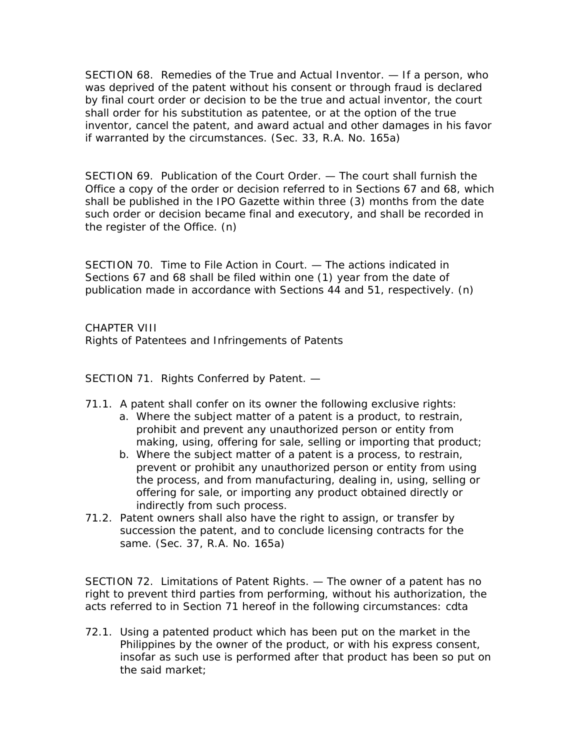SECTION 68. Remedies of the True and Actual Inventor. — If a person, who was deprived of the patent without his consent or through fraud is declared by final court order or decision to be the true and actual inventor, the court shall order for his substitution as patentee, or at the option of the true inventor, cancel the patent, and award actual and other damages in his favor if warranted by the circumstances. (Sec. 33, R.A. No. 165a)

SECTION 69. Publication of the Court Order. — The court shall furnish the Office a copy of the order or decision referred to in Sections 67 and 68, which shall be published in the IPO Gazette within three (3) months from the date such order or decision became final and executory, and shall be recorded in the register of the Office. (n)

SECTION 70. Time to File Action in Court. — The actions indicated in Sections 67 and 68 shall be filed within one (1) year from the date of publication made in accordance with Sections 44 and 51, respectively. (n)

CHAPTER VIII Rights of Patentees and Infringements of Patents

SECTION 71. Rights Conferred by Patent. —

- 71.1. A patent shall confer on its owner the following exclusive rights:
	- a. Where the subject matter of a patent is a product, to restrain, prohibit and prevent any unauthorized person or entity from making, using, offering for sale, selling or importing that product;
	- b. Where the subject matter of a patent is a process, to restrain, prevent or prohibit any unauthorized person or entity from using the process, and from manufacturing, dealing in, using, selling or offering for sale, or importing any product obtained directly or indirectly from such process.
- 71.2. Patent owners shall also have the right to assign, or transfer by succession the patent, and to conclude licensing contracts for the same. (Sec. 37, R.A. No. 165a)

SECTION 72. Limitations of Patent Rights. — The owner of a patent has no right to prevent third parties from performing, without his authorization, the acts referred to in Section 71 hereof in the following circumstances: cdta

72.1. Using a patented product which has been put on the market in the Philippines by the owner of the product, or with his express consent, insofar as such use is performed after that product has been so put on the said market;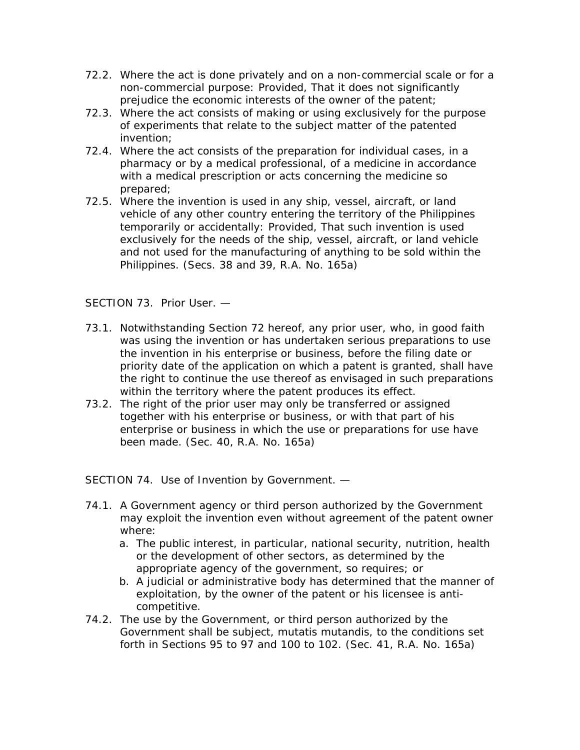- 72.2. Where the act is done privately and on a non-commercial scale or for a non-commercial purpose: Provided, That it does not significantly prejudice the economic interests of the owner of the patent;
- 72.3. Where the act consists of making or using exclusively for the purpose of experiments that relate to the subject matter of the patented invention;
- 72.4. Where the act consists of the preparation for individual cases, in a pharmacy or by a medical professional, of a medicine in accordance with a medical prescription or acts concerning the medicine so prepared;
- 72.5. Where the invention is used in any ship, vessel, aircraft, or land vehicle of any other country entering the territory of the Philippines temporarily or accidentally: Provided, That such invention is used exclusively for the needs of the ship, vessel, aircraft, or land vehicle and not used for the manufacturing of anything to be sold within the Philippines. (Secs. 38 and 39, R.A. No. 165a)

#### SECTION 73. Prior User. —

- 73.1. Notwithstanding Section 72 hereof, any prior user, who, in good faith was using the invention or has undertaken serious preparations to use the invention in his enterprise or business, before the filing date or priority date of the application on which a patent is granted, shall have the right to continue the use thereof as envisaged in such preparations within the territory where the patent produces its effect.
- 73.2. The right of the prior user may only be transferred or assigned together with his enterprise or business, or with that part of his enterprise or business in which the use or preparations for use have been made. (Sec. 40, R.A. No. 165a)

SECTION 74. Use of Invention by Government. —

- 74.1. A Government agency or third person authorized by the Government may exploit the invention even without agreement of the patent owner where:
	- a. The public interest, in particular, national security, nutrition, health or the development of other sectors, as determined by the appropriate agency of the government, so requires; or
	- b. A judicial or administrative body has determined that the manner of exploitation, by the owner of the patent or his licensee is anticompetitive.
- 74.2. The use by the Government, or third person authorized by the Government shall be subject, mutatis mutandis, to the conditions set forth in Sections 95 to 97 and 100 to 102. (Sec. 41, R.A. No. 165a)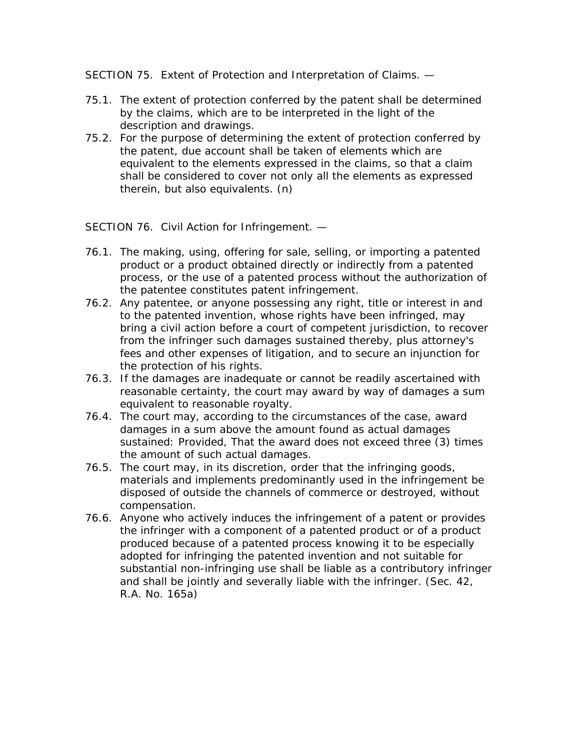SECTION 75. Extent of Protection and Interpretation of Claims. —

- 75.1. The extent of protection conferred by the patent shall be determined by the claims, which are to be interpreted in the light of the description and drawings.
- 75.2. For the purpose of determining the extent of protection conferred by the patent, due account shall be taken of elements which are equivalent to the elements expressed in the claims, so that a claim shall be considered to cover not only all the elements as expressed therein, but also equivalents. (n)

SECTION 76. Civil Action for Infringement. —

- 76.1. The making, using, offering for sale, selling, or importing a patented product or a product obtained directly or indirectly from a patented process, or the use of a patented process without the authorization of the patentee constitutes patent infringement.
- 76.2. Any patentee, or anyone possessing any right, title or interest in and to the patented invention, whose rights have been infringed, may bring a civil action before a court of competent jurisdiction, to recover from the infringer such damages sustained thereby, plus attorney's fees and other expenses of litigation, and to secure an injunction for the protection of his rights.
- 76.3. If the damages are inadequate or cannot be readily ascertained with reasonable certainty, the court may award by way of damages a sum equivalent to reasonable royalty.
- 76.4. The court may, according to the circumstances of the case, award damages in a sum above the amount found as actual damages sustained: Provided, That the award does not exceed three (3) times the amount of such actual damages.
- 76.5. The court may, in its discretion, order that the infringing goods, materials and implements predominantly used in the infringement be disposed of outside the channels of commerce or destroyed, without compensation.
- 76.6. Anyone who actively induces the infringement of a patent or provides the infringer with a component of a patented product or of a product produced because of a patented process knowing it to be especially adopted for infringing the patented invention and not suitable for substantial non-infringing use shall be liable as a contributory infringer and shall be jointly and severally liable with the infringer. (Sec. 42, R.A. No. 165a)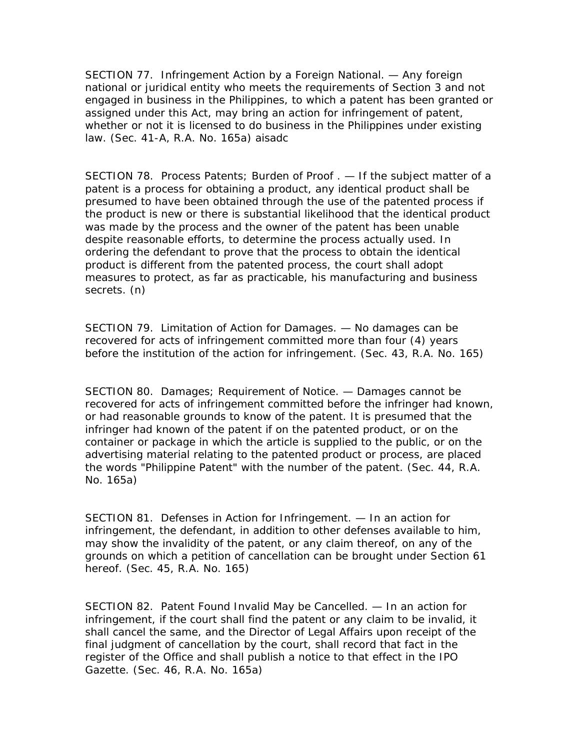SECTION 77. Infringement Action by a Foreign National. — Any foreign national or juridical entity who meets the requirements of Section 3 and not engaged in business in the Philippines, to which a patent has been granted or assigned under this Act, may bring an action for infringement of patent, whether or not it is licensed to do business in the Philippines under existing law. (Sec. 41-A, R.A. No. 165a) aisadc

SECTION 78. Process Patents; Burden of Proof . — If the subject matter of a patent is a process for obtaining a product, any identical product shall be presumed to have been obtained through the use of the patented process if the product is new or there is substantial likelihood that the identical product was made by the process and the owner of the patent has been unable despite reasonable efforts, to determine the process actually used. In ordering the defendant to prove that the process to obtain the identical product is different from the patented process, the court shall adopt measures to protect, as far as practicable, his manufacturing and business secrets. (n)

SECTION 79. Limitation of Action for Damages. — No damages can be recovered for acts of infringement committed more than four (4) years before the institution of the action for infringement. (Sec. 43, R.A. No. 165)

SECTION 80. Damages; Requirement of Notice. — Damages cannot be recovered for acts of infringement committed before the infringer had known, or had reasonable grounds to know of the patent. It is presumed that the infringer had known of the patent if on the patented product, or on the container or package in which the article is supplied to the public, or on the advertising material relating to the patented product or process, are placed the words "Philippine Patent" with the number of the patent. (Sec. 44, R.A. No. 165a)

SECTION 81. Defenses in Action for Infringement. — In an action for infringement, the defendant, in addition to other defenses available to him, may show the invalidity of the patent, or any claim thereof, on any of the grounds on which a petition of cancellation can be brought under Section 61 hereof. (Sec. 45, R.A. No. 165)

SECTION 82. Patent Found Invalid May be Cancelled. — In an action for infringement, if the court shall find the patent or any claim to be invalid, it shall cancel the same, and the Director of Legal Affairs upon receipt of the final judgment of cancellation by the court, shall record that fact in the register of the Office and shall publish a notice to that effect in the IPO Gazette. (Sec. 46, R.A. No. 165a)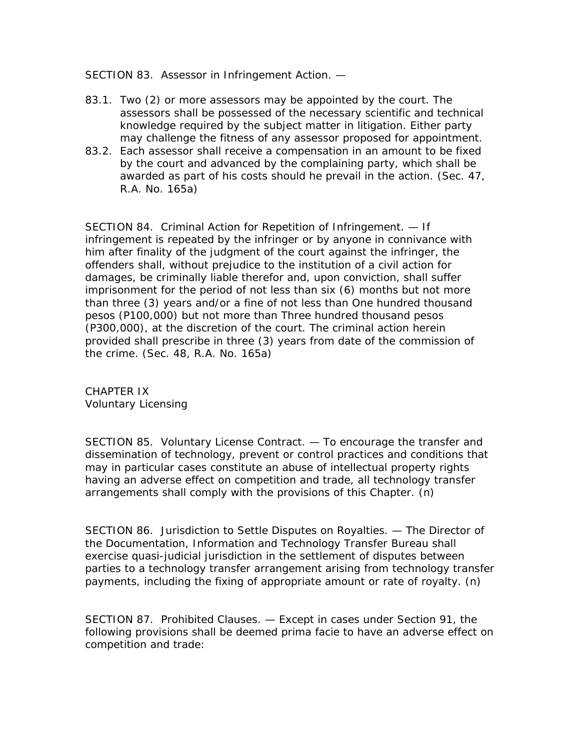SECTION 83. Assessor in Infringement Action. —

- 83.1. Two (2) or more assessors may be appointed by the court. The assessors shall be possessed of the necessary scientific and technical knowledge required by the subject matter in litigation. Either party may challenge the fitness of any assessor proposed for appointment.
- 83.2. Each assessor shall receive a compensation in an amount to be fixed by the court and advanced by the complaining party, which shall be awarded as part of his costs should he prevail in the action. (Sec. 47, R.A. No. 165a)

SECTION 84. Criminal Action for Repetition of Infringement. — If infringement is repeated by the infringer or by anyone in connivance with him after finality of the judgment of the court against the infringer, the offenders shall, without prejudice to the institution of a civil action for damages, be criminally liable therefor and, upon conviction, shall suffer imprisonment for the period of not less than six (6) months but not more than three (3) years and/or a fine of not less than One hundred thousand pesos (P100,000) but not more than Three hundred thousand pesos (P300,000), at the discretion of the court. The criminal action herein provided shall prescribe in three (3) years from date of the commission of the crime. (Sec. 48, R.A. No. 165a)

CHAPTER IX Voluntary Licensing

SECTION 85. Voluntary License Contract. — To encourage the transfer and dissemination of technology, prevent or control practices and conditions that may in particular cases constitute an abuse of intellectual property rights having an adverse effect on competition and trade, all technology transfer arrangements shall comply with the provisions of this Chapter. (n)

SECTION 86. Jurisdiction to Settle Disputes on Royalties. — The Director of the Documentation, Information and Technology Transfer Bureau shall exercise quasi-judicial jurisdiction in the settlement of disputes between parties to a technology transfer arrangement arising from technology transfer payments, including the fixing of appropriate amount or rate of royalty. (n)

SECTION 87. Prohibited Clauses. — Except in cases under Section 91, the following provisions shall be deemed prima facie to have an adverse effect on competition and trade: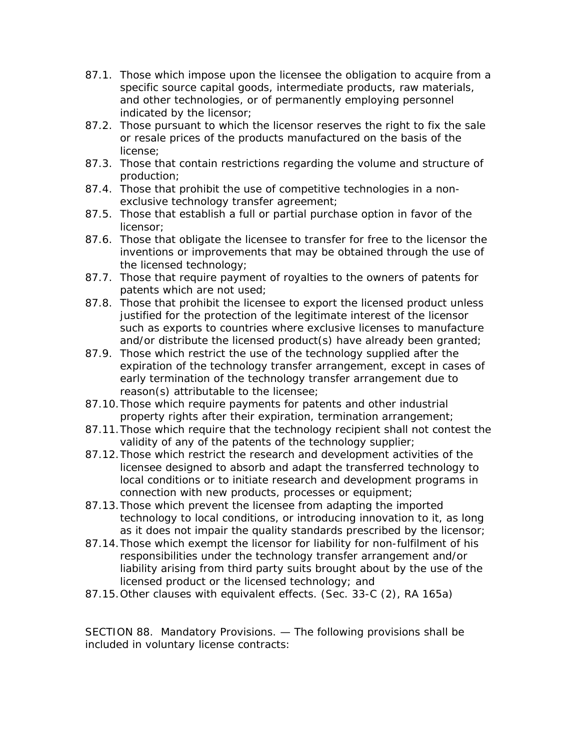- 87.1. Those which impose upon the licensee the obligation to acquire from a specific source capital goods, intermediate products, raw materials, and other technologies, or of permanently employing personnel indicated by the licensor;
- 87.2. Those pursuant to which the licensor reserves the right to fix the sale or resale prices of the products manufactured on the basis of the license;
- 87.3. Those that contain restrictions regarding the volume and structure of production;
- 87.4. Those that prohibit the use of competitive technologies in a nonexclusive technology transfer agreement;
- 87.5. Those that establish a full or partial purchase option in favor of the licensor;
- 87.6. Those that obligate the licensee to transfer for free to the licensor the inventions or improvements that may be obtained through the use of the licensed technology;
- 87.7. Those that require payment of royalties to the owners of patents for patents which are not used;
- 87.8. Those that prohibit the licensee to export the licensed product unless justified for the protection of the legitimate interest of the licensor such as exports to countries where exclusive licenses to manufacture and/or distribute the licensed product(s) have already been granted;
- 87.9. Those which restrict the use of the technology supplied after the expiration of the technology transfer arrangement, except in cases of early termination of the technology transfer arrangement due to reason(s) attributable to the licensee;
- 87.10.Those which require payments for patents and other industrial property rights after their expiration, termination arrangement;
- 87.11.Those which require that the technology recipient shall not contest the validity of any of the patents of the technology supplier;
- 87.12.Those which restrict the research and development activities of the licensee designed to absorb and adapt the transferred technology to local conditions or to initiate research and development programs in connection with new products, processes or equipment;
- 87.13.Those which prevent the licensee from adapting the imported technology to local conditions, or introducing innovation to it, as long as it does not impair the quality standards prescribed by the licensor;
- 87.14.Those which exempt the licensor for liability for non-fulfilment of his responsibilities under the technology transfer arrangement and/or liability arising from third party suits brought about by the use of the licensed product or the licensed technology; and
- 87.15.Other clauses with equivalent effects. (Sec. 33-C (2), RA 165a)

SECTION 88. Mandatory Provisions. — The following provisions shall be included in voluntary license contracts: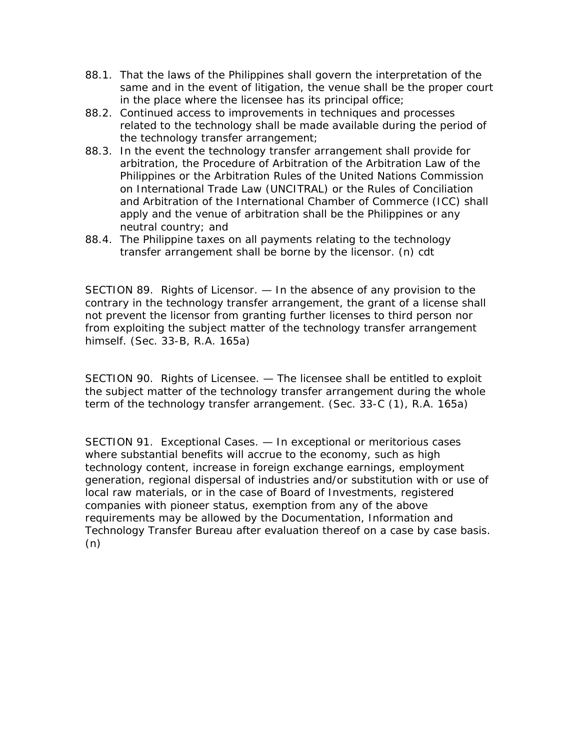- 88.1. That the laws of the Philippines shall govern the interpretation of the same and in the event of litigation, the venue shall be the proper court in the place where the licensee has its principal office;
- 88.2. Continued access to improvements in techniques and processes related to the technology shall be made available during the period of the technology transfer arrangement;
- 88.3. In the event the technology transfer arrangement shall provide for arbitration, the Procedure of Arbitration of the Arbitration Law of the Philippines or the Arbitration Rules of the United Nations Commission on International Trade Law (UNCITRAL) or the Rules of Conciliation and Arbitration of the International Chamber of Commerce (ICC) shall apply and the venue of arbitration shall be the Philippines or any neutral country; and
- 88.4. The Philippine taxes on all payments relating to the technology transfer arrangement shall be borne by the licensor. (n) cdt

SECTION 89. Rights of Licensor. — In the absence of any provision to the contrary in the technology transfer arrangement, the grant of a license shall not prevent the licensor from granting further licenses to third person nor from exploiting the subject matter of the technology transfer arrangement himself. (Sec. 33-B, R.A. 165a)

SECTION 90. Rights of Licensee. — The licensee shall be entitled to exploit the subject matter of the technology transfer arrangement during the whole term of the technology transfer arrangement. (Sec. 33-C (1), R.A. 165a)

SECTION 91. Exceptional Cases. — In exceptional or meritorious cases where substantial benefits will accrue to the economy, such as high technology content, increase in foreign exchange earnings, employment generation, regional dispersal of industries and/or substitution with or use of local raw materials, or in the case of Board of Investments, registered companies with pioneer status, exemption from any of the above requirements may be allowed by the Documentation, Information and Technology Transfer Bureau after evaluation thereof on a case by case basis. (n)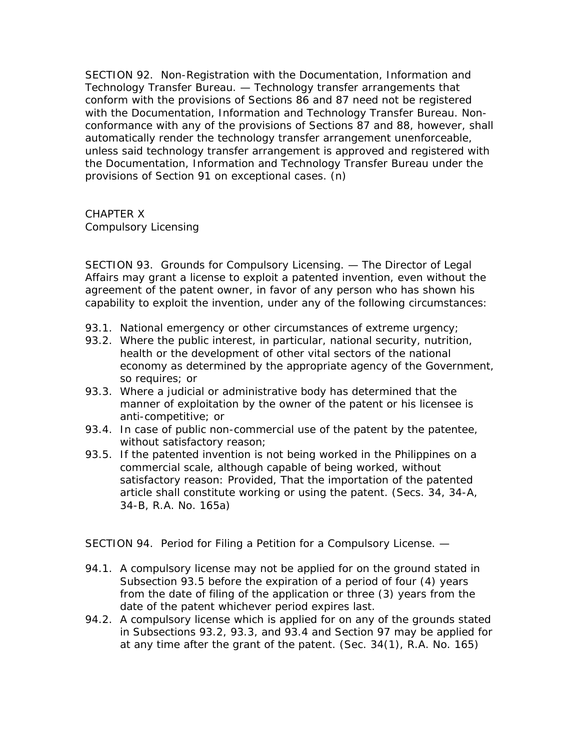SECTION 92. Non-Registration with the Documentation, Information and Technology Transfer Bureau. — Technology transfer arrangements that conform with the provisions of Sections 86 and 87 need not be registered with the Documentation, Information and Technology Transfer Bureau. Nonconformance with any of the provisions of Sections 87 and 88, however, shall automatically render the technology transfer arrangement unenforceable, unless said technology transfer arrangement is approved and registered with the Documentation, Information and Technology Transfer Bureau under the provisions of Section 91 on exceptional cases. (n)

CHAPTER X Compulsory Licensing

SECTION 93. Grounds for Compulsory Licensing. — The Director of Legal Affairs may grant a license to exploit a patented invention, even without the agreement of the patent owner, in favor of any person who has shown his capability to exploit the invention, under any of the following circumstances:

- 93.1. National emergency or other circumstances of extreme urgency;
- 93.2. Where the public interest, in particular, national security, nutrition, health or the development of other vital sectors of the national economy as determined by the appropriate agency of the Government, so requires; or
- 93.3. Where a judicial or administrative body has determined that the manner of exploitation by the owner of the patent or his licensee is anti-competitive; or
- 93.4. In case of public non-commercial use of the patent by the patentee, without satisfactory reason;
- 93.5. If the patented invention is not being worked in the Philippines on a commercial scale, although capable of being worked, without satisfactory reason: Provided, That the importation of the patented article shall constitute working or using the patent. (Secs. 34, 34-A, 34-B, R.A. No. 165a)

SECTION 94. Period for Filing a Petition for a Compulsory License. —

- 94.1. A compulsory license may not be applied for on the ground stated in Subsection 93.5 before the expiration of a period of four (4) years from the date of filing of the application or three (3) years from the date of the patent whichever period expires last.
- 94.2. A compulsory license which is applied for on any of the grounds stated in Subsections 93.2, 93.3, and 93.4 and Section 97 may be applied for at any time after the grant of the patent. (Sec. 34(1), R.A. No. 165)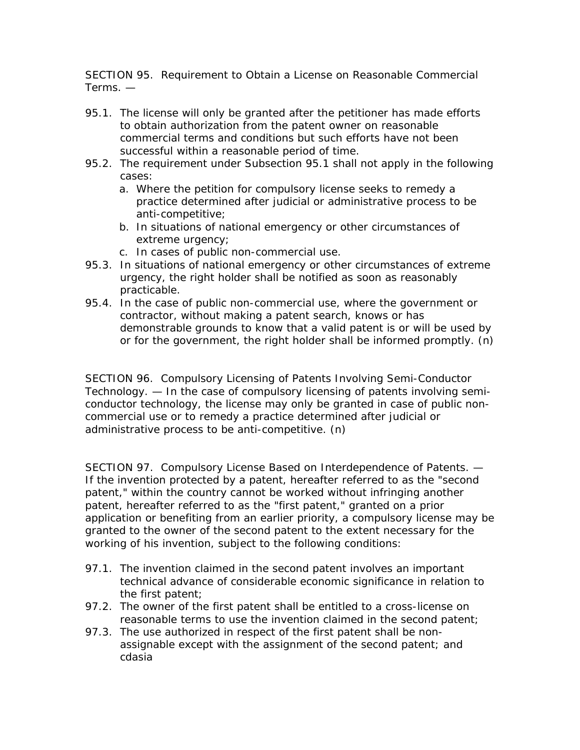SECTION 95. Requirement to Obtain a License on Reasonable Commercial Terms. —

- 95.1. The license will only be granted after the petitioner has made efforts to obtain authorization from the patent owner on reasonable commercial terms and conditions but such efforts have not been successful within a reasonable period of time.
- 95.2. The requirement under Subsection 95.1 shall not apply in the following cases:
	- a. Where the petition for compulsory license seeks to remedy a practice determined after judicial or administrative process to be anti-competitive;
	- b. In situations of national emergency or other circumstances of extreme urgency;
	- c. In cases of public non-commercial use.
- 95.3. In situations of national emergency or other circumstances of extreme urgency, the right holder shall be notified as soon as reasonably practicable.
- 95.4. In the case of public non-commercial use, where the government or contractor, without making a patent search, knows or has demonstrable grounds to know that a valid patent is or will be used by or for the government, the right holder shall be informed promptly. (n)

SECTION 96. Compulsory Licensing of Patents Involving Semi-Conductor Technology. — In the case of compulsory licensing of patents involving semiconductor technology, the license may only be granted in case of public noncommercial use or to remedy a practice determined after judicial or administrative process to be anti-competitive. (n)

SECTION 97. Compulsory License Based on Interdependence of Patents. — If the invention protected by a patent, hereafter referred to as the "second patent," within the country cannot be worked without infringing another patent, hereafter referred to as the "first patent," granted on a prior application or benefiting from an earlier priority, a compulsory license may be granted to the owner of the second patent to the extent necessary for the working of his invention, subject to the following conditions:

- 97.1. The invention claimed in the second patent involves an important technical advance of considerable economic significance in relation to the first patent;
- 97.2. The owner of the first patent shall be entitled to a cross-license on reasonable terms to use the invention claimed in the second patent;
- 97.3. The use authorized in respect of the first patent shall be nonassignable except with the assignment of the second patent; and cdasia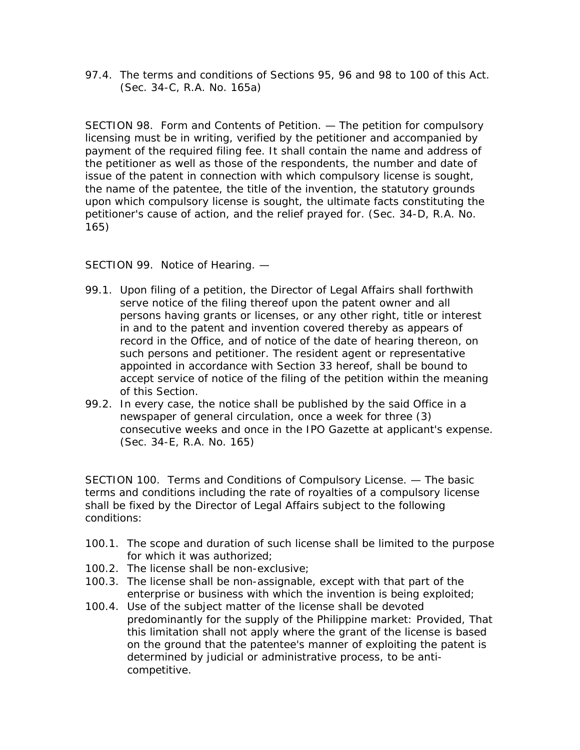97.4. The terms and conditions of Sections 95, 96 and 98 to 100 of this Act. (Sec. 34-C, R.A. No. 165a)

SECTION 98. Form and Contents of Petition. — The petition for compulsory licensing must be in writing, verified by the petitioner and accompanied by payment of the required filing fee. It shall contain the name and address of the petitioner as well as those of the respondents, the number and date of issue of the patent in connection with which compulsory license is sought, the name of the patentee, the title of the invention, the statutory grounds upon which compulsory license is sought, the ultimate facts constituting the petitioner's cause of action, and the relief prayed for. (Sec. 34-D, R.A. No. 165)

SECTION 99. Notice of Hearing. —

- 99.1. Upon filing of a petition, the Director of Legal Affairs shall forthwith serve notice of the filing thereof upon the patent owner and all persons having grants or licenses, or any other right, title or interest in and to the patent and invention covered thereby as appears of record in the Office, and of notice of the date of hearing thereon, on such persons and petitioner. The resident agent or representative appointed in accordance with Section 33 hereof, shall be bound to accept service of notice of the filing of the petition within the meaning of this Section.
- 99.2. In every case, the notice shall be published by the said Office in a newspaper of general circulation, once a week for three (3) consecutive weeks and once in the IPO Gazette at applicant's expense. (Sec. 34-E, R.A. No. 165)

SECTION 100. Terms and Conditions of Compulsory License. — The basic terms and conditions including the rate of royalties of a compulsory license shall be fixed by the Director of Legal Affairs subject to the following conditions:

- 100.1. The scope and duration of such license shall be limited to the purpose for which it was authorized;
- 100.2. The license shall be non-exclusive;
- 100.3. The license shall be non-assignable, except with that part of the enterprise or business with which the invention is being exploited;
- 100.4. Use of the subject matter of the license shall be devoted predominantly for the supply of the Philippine market: Provided, That this limitation shall not apply where the grant of the license is based on the ground that the patentee's manner of exploiting the patent is determined by judicial or administrative process, to be anticompetitive.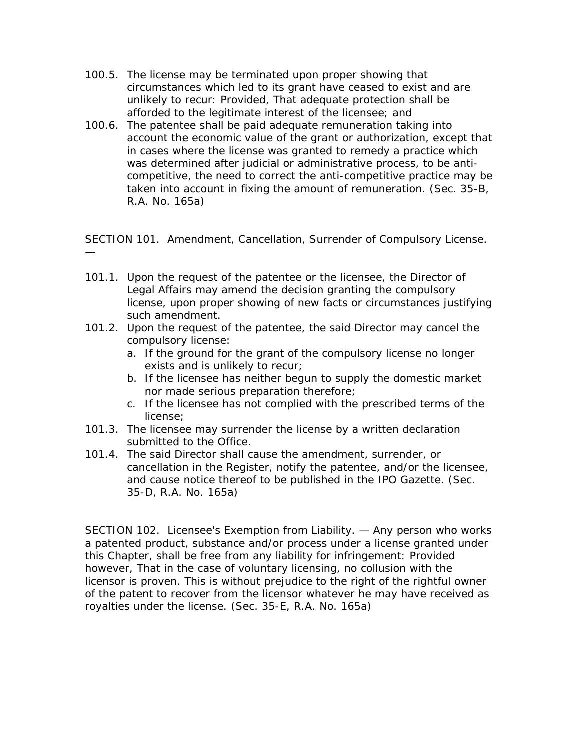- 100.5. The license may be terminated upon proper showing that circumstances which led to its grant have ceased to exist and are unlikely to recur: Provided, That adequate protection shall be afforded to the legitimate interest of the licensee; and
- 100.6. The patentee shall be paid adequate remuneration taking into account the economic value of the grant or authorization, except that in cases where the license was granted to remedy a practice which was determined after judicial or administrative process, to be anticompetitive, the need to correct the anti-competitive practice may be taken into account in fixing the amount of remuneration. (Sec. 35-B, R.A. No. 165a)

SECTION 101. Amendment, Cancellation, Surrender of Compulsory License.

—

- 101.1. Upon the request of the patentee or the licensee, the Director of Legal Affairs may amend the decision granting the compulsory license, upon proper showing of new facts or circumstances justifying such amendment.
- 101.2. Upon the request of the patentee, the said Director may cancel the compulsory license:
	- a. If the ground for the grant of the compulsory license no longer exists and is unlikely to recur;
	- b. If the licensee has neither begun to supply the domestic market nor made serious preparation therefore;
	- c. If the licensee has not complied with the prescribed terms of the license;
- 101.3. The licensee may surrender the license by a written declaration submitted to the Office.
- 101.4. The said Director shall cause the amendment, surrender, or cancellation in the Register, notify the patentee, and/or the licensee, and cause notice thereof to be published in the IPO Gazette. (Sec. 35-D, R.A. No. 165a)

SECTION 102. Licensee's Exemption from Liability. — Any person who works a patented product, substance and/or process under a license granted under this Chapter, shall be free from any liability for infringement: Provided however, That in the case of voluntary licensing, no collusion with the licensor is proven. This is without prejudice to the right of the rightful owner of the patent to recover from the licensor whatever he may have received as royalties under the license. (Sec. 35-E, R.A. No. 165a)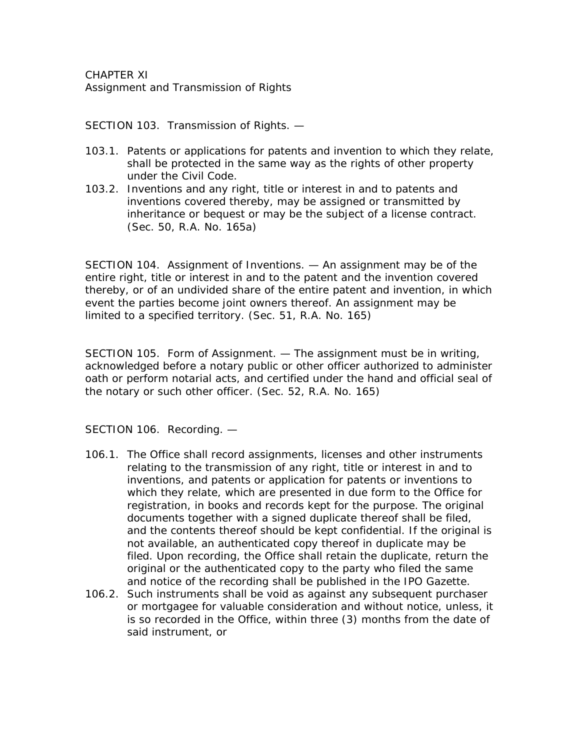CHAPTER XI Assignment and Transmission of Rights

SECTION 103. Transmission of Rights. —

- 103.1. Patents or applications for patents and invention to which they relate, shall be protected in the same way as the rights of other property under the Civil Code.
- 103.2. Inventions and any right, title or interest in and to patents and inventions covered thereby, may be assigned or transmitted by inheritance or bequest or may be the subject of a license contract. (Sec. 50, R.A. No. 165a)

SECTION 104. Assignment of Inventions. — An assignment may be of the entire right, title or interest in and to the patent and the invention covered thereby, or of an undivided share of the entire patent and invention, in which event the parties become joint owners thereof. An assignment may be limited to a specified territory. (Sec. 51, R.A. No. 165)

SECTION 105. Form of Assignment. — The assignment must be in writing, acknowledged before a notary public or other officer authorized to administer oath or perform notarial acts, and certified under the hand and official seal of the notary or such other officer. (Sec. 52, R.A. No. 165)

SECTION 106. Recording. —

- 106.1. The Office shall record assignments, licenses and other instruments relating to the transmission of any right, title or interest in and to inventions, and patents or application for patents or inventions to which they relate, which are presented in due form to the Office for registration, in books and records kept for the purpose. The original documents together with a signed duplicate thereof shall be filed, and the contents thereof should be kept confidential. If the original is not available, an authenticated copy thereof in duplicate may be filed. Upon recording, the Office shall retain the duplicate, return the original or the authenticated copy to the party who filed the same and notice of the recording shall be published in the IPO Gazette.
- 106.2. Such instruments shall be void as against any subsequent purchaser or mortgagee for valuable consideration and without notice, unless, it is so recorded in the Office, within three (3) months from the date of said instrument, or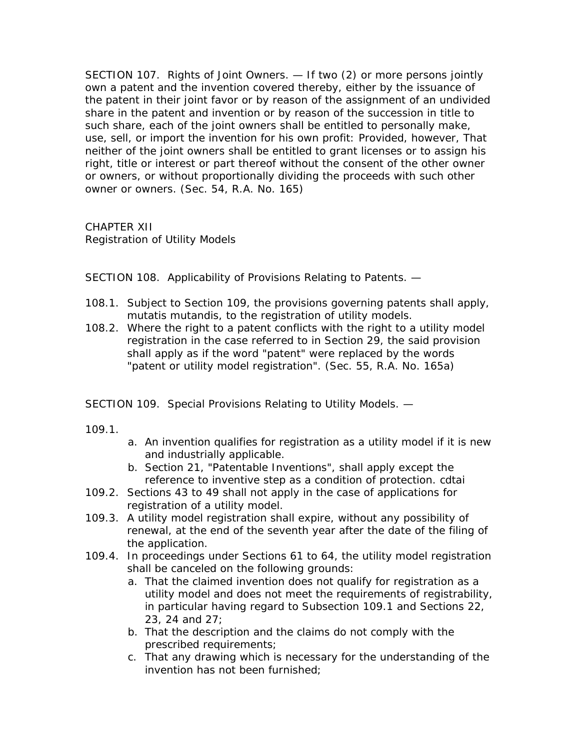SECTION 107. Rights of Joint Owners. — If two (2) or more persons jointly own a patent and the invention covered thereby, either by the issuance of the patent in their joint favor or by reason of the assignment of an undivided share in the patent and invention or by reason of the succession in title to such share, each of the joint owners shall be entitled to personally make, use, sell, or import the invention for his own profit: Provided, however, That neither of the joint owners shall be entitled to grant licenses or to assign his right, title or interest or part thereof without the consent of the other owner or owners, or without proportionally dividing the proceeds with such other owner or owners. (Sec. 54, R.A. No. 165)

CHAPTER XII Registration of Utility Models

SECTION 108. Applicability of Provisions Relating to Patents. —

- 108.1. Subject to Section 109, the provisions governing patents shall apply, mutatis mutandis, to the registration of utility models.
- 108.2. Where the right to a patent conflicts with the right to a utility model registration in the case referred to in Section 29, the said provision shall apply as if the word "patent" were replaced by the words "patent or utility model registration". (Sec. 55, R.A. No. 165a)

SECTION 109. Special Provisions Relating to Utility Models. —

109.1.

- a. An invention qualifies for registration as a utility model if it is new and industrially applicable.
- b. Section 21, "Patentable Inventions", shall apply except the reference to inventive step as a condition of protection. cdtai
- 109.2. Sections 43 to 49 shall not apply in the case of applications for registration of a utility model.
- 109.3. A utility model registration shall expire, without any possibility of renewal, at the end of the seventh year after the date of the filing of the application.
- 109.4. In proceedings under Sections 61 to 64, the utility model registration shall be canceled on the following grounds:
	- a. That the claimed invention does not qualify for registration as a utility model and does not meet the requirements of registrability, in particular having regard to Subsection 109.1 and Sections 22, 23, 24 and 27;
	- b. That the description and the claims do not comply with the prescribed requirements;
	- c. That any drawing which is necessary for the understanding of the invention has not been furnished;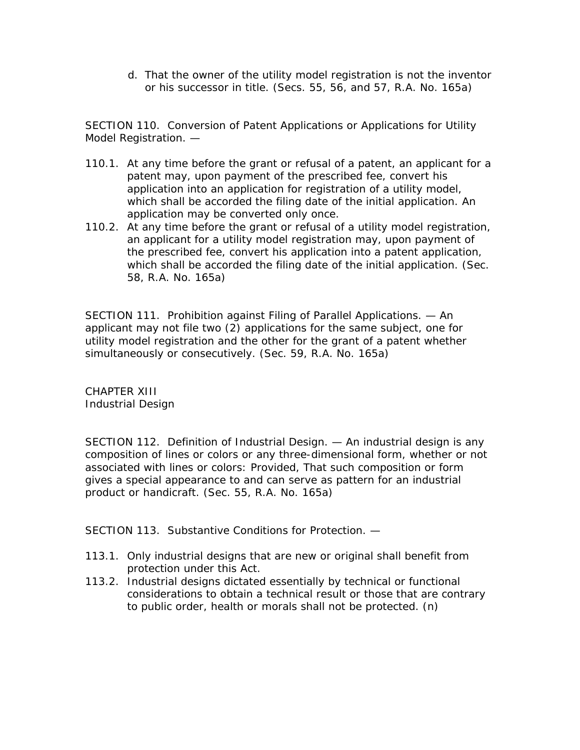d. That the owner of the utility model registration is not the inventor or his successor in title. (Secs. 55, 56, and 57, R.A. No. 165a)

SECTION 110. Conversion of Patent Applications or Applications for Utility Model Registration. —

- 110.1. At any time before the grant or refusal of a patent, an applicant for a patent may, upon payment of the prescribed fee, convert his application into an application for registration of a utility model, which shall be accorded the filing date of the initial application. An application may be converted only once.
- 110.2. At any time before the grant or refusal of a utility model registration, an applicant for a utility model registration may, upon payment of the prescribed fee, convert his application into a patent application, which shall be accorded the filing date of the initial application. (Sec. 58, R.A. No. 165a)

SECTION 111. Prohibition against Filing of Parallel Applications. — An applicant may not file two (2) applications for the same subject, one for utility model registration and the other for the grant of a patent whether simultaneously or consecutively. (Sec. 59, R.A. No. 165a)

CHAPTER XIII Industrial Design

SECTION 112. Definition of Industrial Design. — An industrial design is any composition of lines or colors or any three-dimensional form, whether or not associated with lines or colors: Provided, That such composition or form gives a special appearance to and can serve as pattern for an industrial product or handicraft. (Sec. 55, R.A. No. 165a)

SECTION 113. Substantive Conditions for Protection. —

- 113.1. Only industrial designs that are new or original shall benefit from protection under this Act.
- 113.2. Industrial designs dictated essentially by technical or functional considerations to obtain a technical result or those that are contrary to public order, health or morals shall not be protected. (n)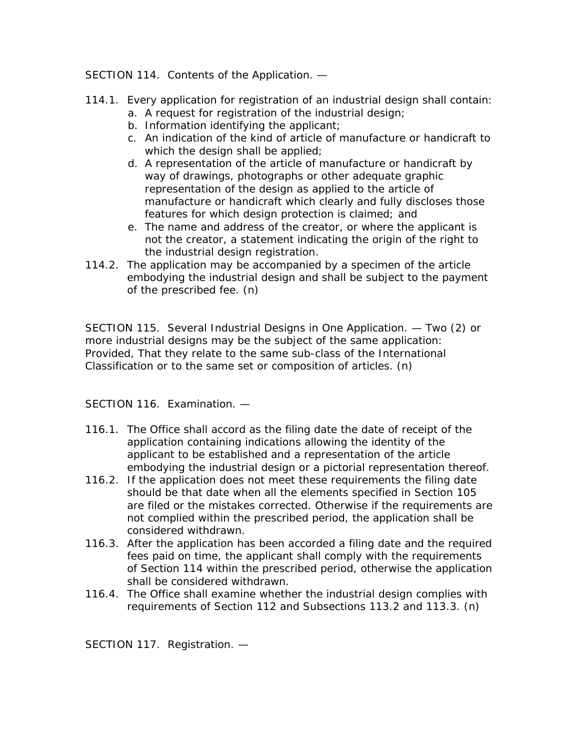## SECTION 114. Contents of the Application. —

- 114.1. Every application for registration of an industrial design shall contain:
	- a. A request for registration of the industrial design;
	- b. Information identifying the applicant;
	- c. An indication of the kind of article of manufacture or handicraft to which the design shall be applied;
	- d. A representation of the article of manufacture or handicraft by way of drawings, photographs or other adequate graphic representation of the design as applied to the article of manufacture or handicraft which clearly and fully discloses those features for which design protection is claimed; and
	- e. The name and address of the creator, or where the applicant is not the creator, a statement indicating the origin of the right to the industrial design registration.
- 114.2. The application may be accompanied by a specimen of the article embodying the industrial design and shall be subject to the payment of the prescribed fee. (n)

SECTION 115. Several Industrial Designs in One Application. — Two (2) or more industrial designs may be the subject of the same application: Provided, That they relate to the same sub-class of the International Classification or to the same set or composition of articles. (n)

SECTION 116. Examination. —

- 116.1. The Office shall accord as the filing date the date of receipt of the application containing indications allowing the identity of the applicant to be established and a representation of the article embodying the industrial design or a pictorial representation thereof.
- 116.2. If the application does not meet these requirements the filing date should be that date when all the elements specified in Section 105 are filed or the mistakes corrected. Otherwise if the requirements are not complied within the prescribed period, the application shall be considered withdrawn.
- 116.3. After the application has been accorded a filing date and the required fees paid on time, the applicant shall comply with the requirements of Section 114 within the prescribed period, otherwise the application shall be considered withdrawn.
- 116.4. The Office shall examine whether the industrial design complies with requirements of Section 112 and Subsections 113.2 and 113.3. (n)

SECTION 117. Registration. —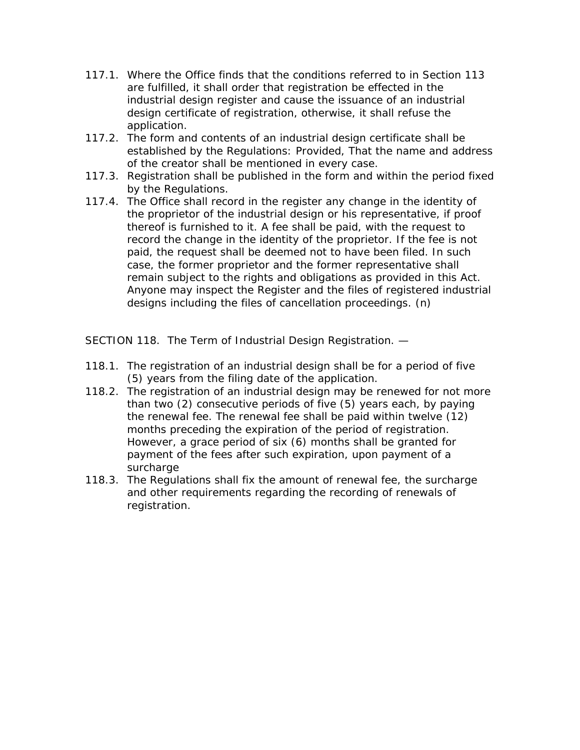- 117.1. Where the Office finds that the conditions referred to in Section 113 are fulfilled, it shall order that registration be effected in the industrial design register and cause the issuance of an industrial design certificate of registration, otherwise, it shall refuse the application.
- 117.2. The form and contents of an industrial design certificate shall be established by the Regulations: Provided, That the name and address of the creator shall be mentioned in every case.
- 117.3. Registration shall be published in the form and within the period fixed by the Regulations.
- 117.4. The Office shall record in the register any change in the identity of the proprietor of the industrial design or his representative, if proof thereof is furnished to it. A fee shall be paid, with the request to record the change in the identity of the proprietor. If the fee is not paid, the request shall be deemed not to have been filed. In such case, the former proprietor and the former representative shall remain subject to the rights and obligations as provided in this Act. Anyone may inspect the Register and the files of registered industrial designs including the files of cancellation proceedings. (n)

SECTION 118. The Term of Industrial Design Registration. —

- 118.1. The registration of an industrial design shall be for a period of five (5) years from the filing date of the application.
- 118.2. The registration of an industrial design may be renewed for not more than two (2) consecutive periods of five (5) years each, by paying the renewal fee. The renewal fee shall be paid within twelve (12) months preceding the expiration of the period of registration. However, a grace period of six (6) months shall be granted for payment of the fees after such expiration, upon payment of a surcharge
- 118.3. The Regulations shall fix the amount of renewal fee, the surcharge and other requirements regarding the recording of renewals of registration.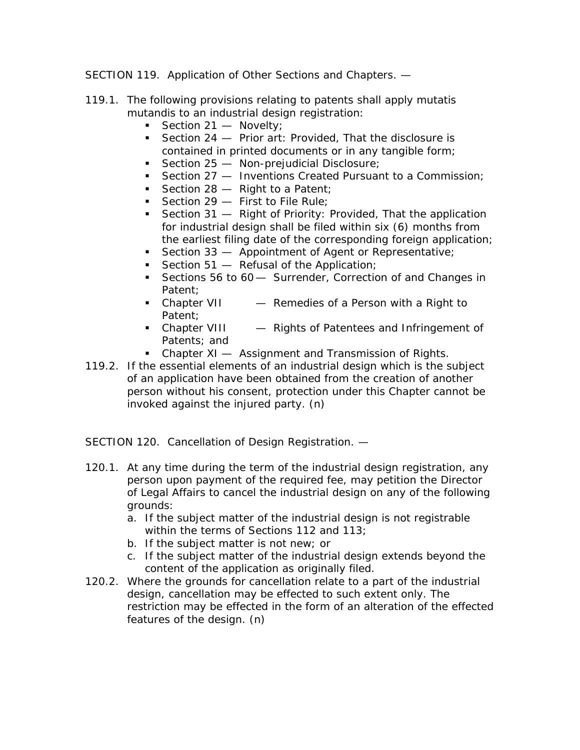SECTION 119. Application of Other Sections and Chapters. —

- 119.1. The following provisions relating to patents shall apply mutatis mutandis to an industrial design registration:
	- Section  $21 -$  Novelty;
	- Section 24 Prior art: Provided, That the disclosure is contained in printed documents or in any tangible form;
	- Section  $25 -$  Non-prejudicial Disclosure;
	- Section 27 Inventions Created Pursuant to a Commission;
	- Section  $28 -$  Right to a Patent:
	- Section  $29 -$  First to File Rule;
	- Section 31 Right of Priority: Provided, That the application for industrial design shall be filed within six (6) months from the earliest filing date of the corresponding foreign application;
	- Section 33 Appointment of Agent or Representative;
	- Section  $51 -$  Refusal of the Application;
	- Sections 56 to 60 Surrender, Correction of and Changes in Patent;
	- Chapter VII Remedies of a Person with a Right to Patent;
	- Chapter VIII Rights of Patentees and Infringement of Patents; and
	- Chapter XI Assignment and Transmission of Rights.
- 119.2. If the essential elements of an industrial design which is the subject of an application have been obtained from the creation of another person without his consent, protection under this Chapter cannot be invoked against the injured party. (n)

SECTION 120. Cancellation of Design Registration. —

- 120.1. At any time during the term of the industrial design registration, any person upon payment of the required fee, may petition the Director of Legal Affairs to cancel the industrial design on any of the following grounds:
	- a. If the subject matter of the industrial design is not registrable within the terms of Sections 112 and 113;
	- b. If the subject matter is not new; or
	- c. If the subject matter of the industrial design extends beyond the content of the application as originally filed.
- 120.2. Where the grounds for cancellation relate to a part of the industrial design, cancellation may be effected to such extent only. The restriction may be effected in the form of an alteration of the effected features of the design. (n)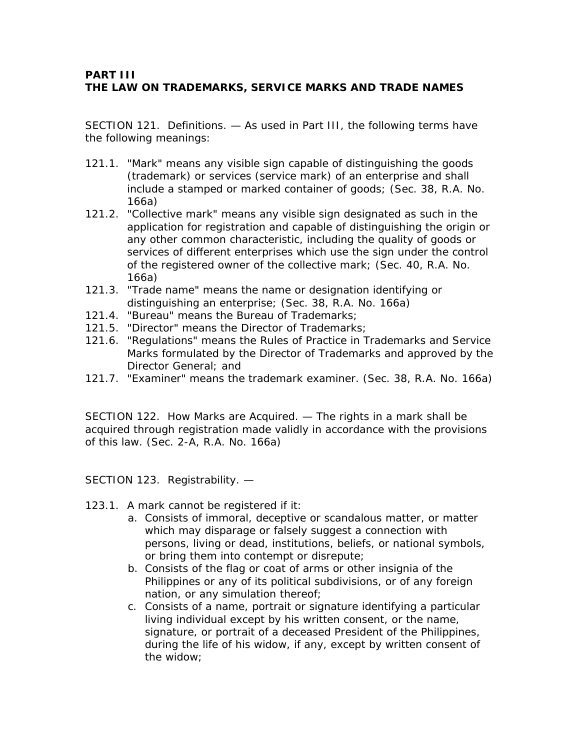## **PART III THE LAW ON TRADEMARKS, SERVICE MARKS AND TRADE NAMES**

SECTION 121. Definitions. — As used in Part III, the following terms have the following meanings:

- 121.1. "Mark" means any visible sign capable of distinguishing the goods (trademark) or services (service mark) of an enterprise and shall include a stamped or marked container of goods; (Sec. 38, R.A. No. 166a)
- 121.2. "Collective mark" means any visible sign designated as such in the application for registration and capable of distinguishing the origin or any other common characteristic, including the quality of goods or services of different enterprises which use the sign under the control of the registered owner of the collective mark; (Sec. 40, R.A. No. 166a)
- 121.3. "Trade name" means the name or designation identifying or distinguishing an enterprise; (Sec. 38, R.A. No. 166a)
- 121.4. "Bureau" means the Bureau of Trademarks;
- 121.5. "Director" means the Director of Trademarks;
- 121.6. "Regulations" means the Rules of Practice in Trademarks and Service Marks formulated by the Director of Trademarks and approved by the Director General; and
- 121.7. "Examiner" means the trademark examiner. (Sec. 38, R.A. No. 166a)

SECTION 122. How Marks are Acquired. — The rights in a mark shall be acquired through registration made validly in accordance with the provisions of this law. (Sec. 2-A, R.A. No. 166a)

SECTION 123. Registrability. —

- 123.1. A mark cannot be registered if it:
	- a. Consists of immoral, deceptive or scandalous matter, or matter which may disparage or falsely suggest a connection with persons, living or dead, institutions, beliefs, or national symbols, or bring them into contempt or disrepute;
	- b. Consists of the flag or coat of arms or other insignia of the Philippines or any of its political subdivisions, or of any foreign nation, or any simulation thereof;
	- c. Consists of a name, portrait or signature identifying a particular living individual except by his written consent, or the name, signature, or portrait of a deceased President of the Philippines, during the life of his widow, if any, except by written consent of the widow;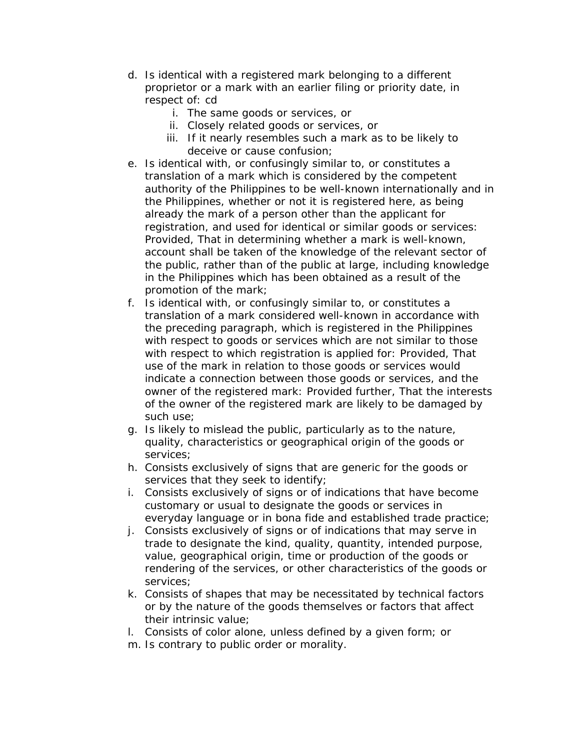- d. Is identical with a registered mark belonging to a different proprietor or a mark with an earlier filing or priority date, in respect of: cd
	- i. The same goods or services, or
	- ii. Closely related goods or services, or
	- iii. If it nearly resembles such a mark as to be likely to deceive or cause confusion;
- e. Is identical with, or confusingly similar to, or constitutes a translation of a mark which is considered by the competent authority of the Philippines to be well-known internationally and in the Philippines, whether or not it is registered here, as being already the mark of a person other than the applicant for registration, and used for identical or similar goods or services: Provided, That in determining whether a mark is well-known, account shall be taken of the knowledge of the relevant sector of the public, rather than of the public at large, including knowledge in the Philippines which has been obtained as a result of the promotion of the mark;
- f. Is identical with, or confusingly similar to, or constitutes a translation of a mark considered well-known in accordance with the preceding paragraph, which is registered in the Philippines with respect to goods or services which are not similar to those with respect to which registration is applied for: Provided, That use of the mark in relation to those goods or services would indicate a connection between those goods or services, and the owner of the registered mark: Provided further, That the interests of the owner of the registered mark are likely to be damaged by such use;
- g. Is likely to mislead the public, particularly as to the nature, quality, characteristics or geographical origin of the goods or services;
- h. Consists exclusively of signs that are generic for the goods or services that they seek to identify;
- i. Consists exclusively of signs or of indications that have become customary or usual to designate the goods or services in everyday language or in bona fide and established trade practice;
- j. Consists exclusively of signs or of indications that may serve in trade to designate the kind, quality, quantity, intended purpose, value, geographical origin, time or production of the goods or rendering of the services, or other characteristics of the goods or services;
- k. Consists of shapes that may be necessitated by technical factors or by the nature of the goods themselves or factors that affect their intrinsic value;
- l. Consists of color alone, unless defined by a given form; or
- m. Is contrary to public order or morality.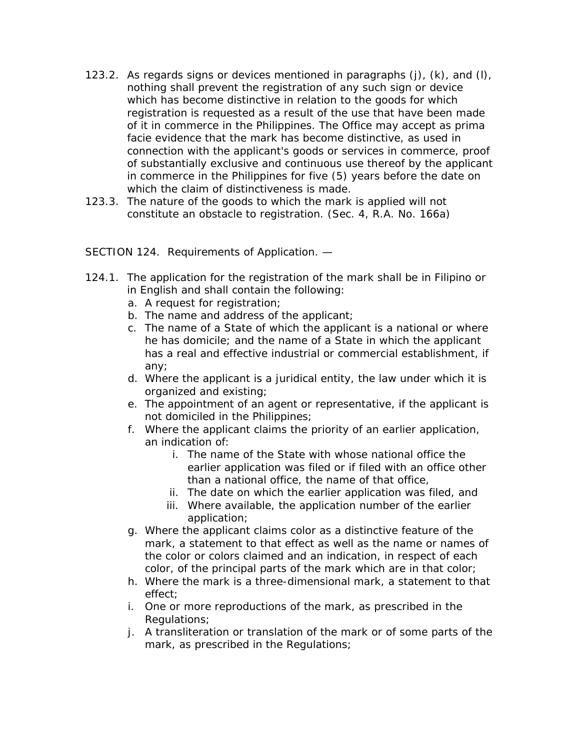- 123.2. As regards signs or devices mentioned in paragraphs  $(i)$ ,  $(k)$ , and  $(l)$ , nothing shall prevent the registration of any such sign or device which has become distinctive in relation to the goods for which registration is requested as a result of the use that have been made of it in commerce in the Philippines. The Office may accept as prima facie evidence that the mark has become distinctive, as used in connection with the applicant's goods or services in commerce, proof of substantially exclusive and continuous use thereof by the applicant in commerce in the Philippines for five (5) years before the date on which the claim of distinctiveness is made.
- 123.3. The nature of the goods to which the mark is applied will not constitute an obstacle to registration. (Sec. 4, R.A. No. 166a)

SECTION 124. Requirements of Application. —

- 124.1. The application for the registration of the mark shall be in Filipino or in English and shall contain the following:
	- a. A request for registration;
	- b. The name and address of the applicant;
	- c. The name of a State of which the applicant is a national or where he has domicile; and the name of a State in which the applicant has a real and effective industrial or commercial establishment, if any;
	- d. Where the applicant is a juridical entity, the law under which it is organized and existing;
	- e. The appointment of an agent or representative, if the applicant is not domiciled in the Philippines;
	- f. Where the applicant claims the priority of an earlier application, an indication of:
		- i. The name of the State with whose national office the earlier application was filed or if filed with an office other than a national office, the name of that office,
		- ii. The date on which the earlier application was filed, and
		- iii. Where available, the application number of the earlier application;
	- g. Where the applicant claims color as a distinctive feature of the mark, a statement to that effect as well as the name or names of the color or colors claimed and an indication, in respect of each color, of the principal parts of the mark which are in that color;
	- h. Where the mark is a three-dimensional mark, a statement to that effect;
	- i. One or more reproductions of the mark, as prescribed in the Regulations;
	- j. A transliteration or translation of the mark or of some parts of the mark, as prescribed in the Regulations;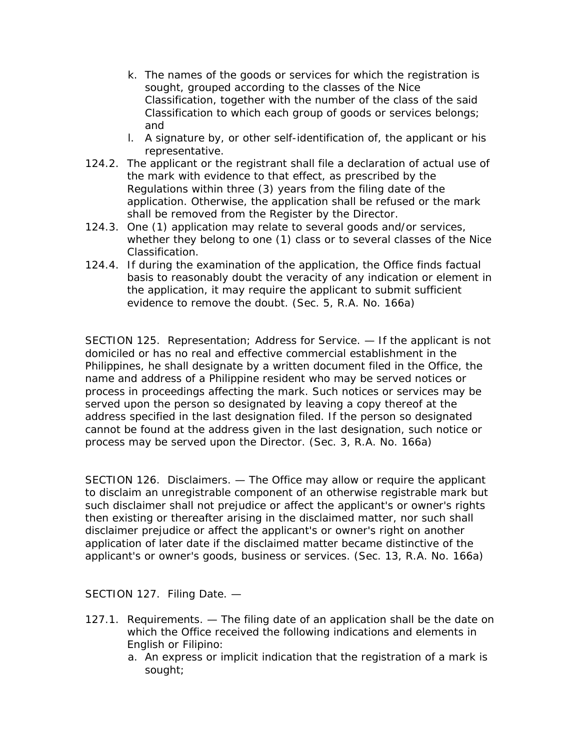- k. The names of the goods or services for which the registration is sought, grouped according to the classes of the Nice Classification, together with the number of the class of the said Classification to which each group of goods or services belongs; and
- l. A signature by, or other self-identification of, the applicant or his representative.
- 124.2. The applicant or the registrant shall file a declaration of actual use of the mark with evidence to that effect, as prescribed by the Regulations within three (3) years from the filing date of the application. Otherwise, the application shall be refused or the mark shall be removed from the Register by the Director.
- 124.3. One (1) application may relate to several goods and/or services, whether they belong to one (1) class or to several classes of the Nice Classification.
- 124.4. If during the examination of the application, the Office finds factual basis to reasonably doubt the veracity of any indication or element in the application, it may require the applicant to submit sufficient evidence to remove the doubt. (Sec. 5, R.A. No. 166a)

SECTION 125. Representation; Address for Service. — If the applicant is not domiciled or has no real and effective commercial establishment in the Philippines, he shall designate by a written document filed in the Office, the name and address of a Philippine resident who may be served notices or process in proceedings affecting the mark. Such notices or services may be served upon the person so designated by leaving a copy thereof at the address specified in the last designation filed. If the person so designated cannot be found at the address given in the last designation, such notice or process may be served upon the Director. (Sec. 3, R.A. No. 166a)

SECTION 126. Disclaimers. — The Office may allow or require the applicant to disclaim an unregistrable component of an otherwise registrable mark but such disclaimer shall not prejudice or affect the applicant's or owner's rights then existing or thereafter arising in the disclaimed matter, nor such shall disclaimer prejudice or affect the applicant's or owner's right on another application of later date if the disclaimed matter became distinctive of the applicant's or owner's goods, business or services. (Sec. 13, R.A. No. 166a)

SECTION 127. Filing Date. —

- 127.1. Requirements. The filing date of an application shall be the date on which the Office received the following indications and elements in English or Filipino:
	- a. An express or implicit indication that the registration of a mark is sought;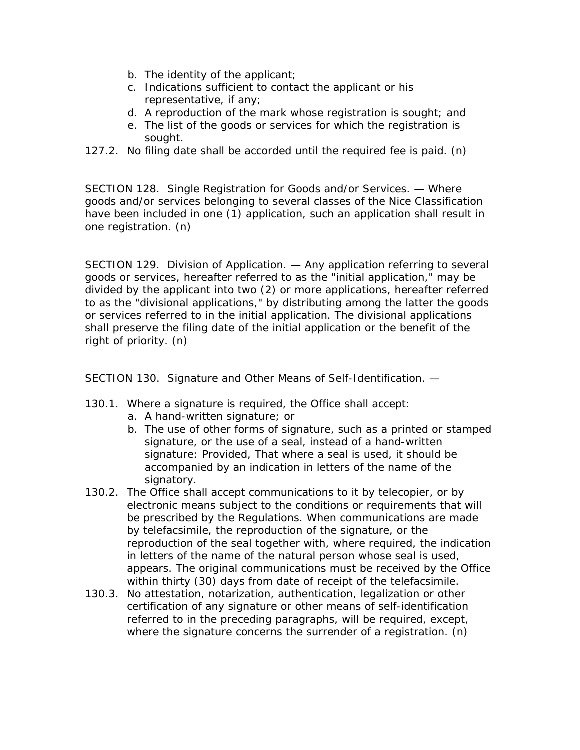- b. The identity of the applicant;
- c. Indications sufficient to contact the applicant or his representative, if any;
- d. A reproduction of the mark whose registration is sought; and
- e. The list of the goods or services for which the registration is sought.
- 127.2. No filing date shall be accorded until the required fee is paid. (n)

SECTION 128. Single Registration for Goods and/or Services. — Where goods and/or services belonging to several classes of the Nice Classification have been included in one (1) application, such an application shall result in one registration. (n)

SECTION 129. Division of Application. — Any application referring to several goods or services, hereafter referred to as the "initial application," may be divided by the applicant into two (2) or more applications, hereafter referred to as the "divisional applications," by distributing among the latter the goods or services referred to in the initial application. The divisional applications shall preserve the filing date of the initial application or the benefit of the right of priority. (n)

SECTION 130. Signature and Other Means of Self-Identification. —

- 130.1. Where a signature is required, the Office shall accept:
	- a. A hand-written signature; or
	- b. The use of other forms of signature, such as a printed or stamped signature, or the use of a seal, instead of a hand-written signature: Provided, That where a seal is used, it should be accompanied by an indication in letters of the name of the signatory.
- 130.2. The Office shall accept communications to it by telecopier, or by electronic means subject to the conditions or requirements that will be prescribed by the Regulations. When communications are made by telefacsimile, the reproduction of the signature, or the reproduction of the seal together with, where required, the indication in letters of the name of the natural person whose seal is used, appears. The original communications must be received by the Office within thirty (30) days from date of receipt of the telefacsimile.
- 130.3. No attestation, notarization, authentication, legalization or other certification of any signature or other means of self-identification referred to in the preceding paragraphs, will be required, except, where the signature concerns the surrender of a registration. (n)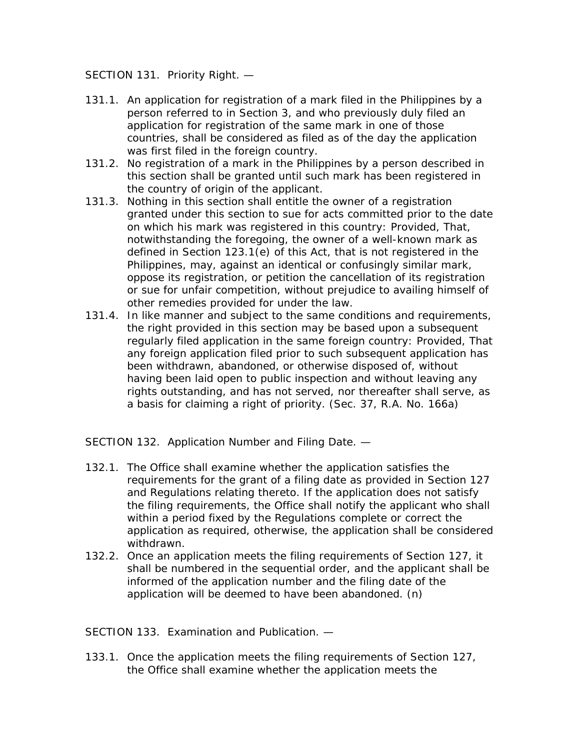SECTION 131. Priority Right. —

- 131.1. An application for registration of a mark filed in the Philippines by a person referred to in Section 3, and who previously duly filed an application for registration of the same mark in one of those countries, shall be considered as filed as of the day the application was first filed in the foreign country.
- 131.2. No registration of a mark in the Philippines by a person described in this section shall be granted until such mark has been registered in the country of origin of the applicant.
- 131.3. Nothing in this section shall entitle the owner of a registration granted under this section to sue for acts committed prior to the date on which his mark was registered in this country: Provided, That, notwithstanding the foregoing, the owner of a well-known mark as defined in Section 123.1(e) of this Act, that is not registered in the Philippines, may, against an identical or confusingly similar mark, oppose its registration, or petition the cancellation of its registration or sue for unfair competition, without prejudice to availing himself of other remedies provided for under the law.
- 131.4. In like manner and subject to the same conditions and requirements, the right provided in this section may be based upon a subsequent regularly filed application in the same foreign country: Provided, That any foreign application filed prior to such subsequent application has been withdrawn, abandoned, or otherwise disposed of, without having been laid open to public inspection and without leaving any rights outstanding, and has not served, nor thereafter shall serve, as a basis for claiming a right of priority. (Sec. 37, R.A. No. 166a)

SECTION 132. Application Number and Filing Date. —

- 132.1. The Office shall examine whether the application satisfies the requirements for the grant of a filing date as provided in Section 127 and Regulations relating thereto. If the application does not satisfy the filing requirements, the Office shall notify the applicant who shall within a period fixed by the Regulations complete or correct the application as required, otherwise, the application shall be considered withdrawn.
- 132.2. Once an application meets the filing requirements of Section 127, it shall be numbered in the sequential order, and the applicant shall be informed of the application number and the filing date of the application will be deemed to have been abandoned. (n)

SECTION 133. Examination and Publication. —

133.1. Once the application meets the filing requirements of Section 127, the Office shall examine whether the application meets the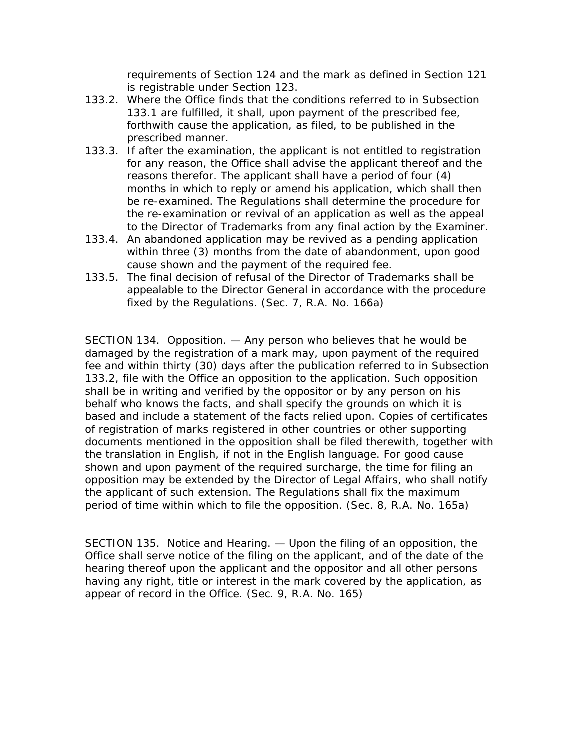requirements of Section 124 and the mark as defined in Section 121 is registrable under Section 123.

- 133.2. Where the Office finds that the conditions referred to in Subsection 133.1 are fulfilled, it shall, upon payment of the prescribed fee, forthwith cause the application, as filed, to be published in the prescribed manner.
- 133.3. If after the examination, the applicant is not entitled to registration for any reason, the Office shall advise the applicant thereof and the reasons therefor. The applicant shall have a period of four (4) months in which to reply or amend his application, which shall then be re-examined. The Regulations shall determine the procedure for the re-examination or revival of an application as well as the appeal to the Director of Trademarks from any final action by the Examiner.
- 133.4. An abandoned application may be revived as a pending application within three (3) months from the date of abandonment, upon good cause shown and the payment of the required fee.
- 133.5. The final decision of refusal of the Director of Trademarks shall be appealable to the Director General in accordance with the procedure fixed by the Regulations. (Sec. 7, R.A. No. 166a)

SECTION 134. Opposition. — Any person who believes that he would be damaged by the registration of a mark may, upon payment of the required fee and within thirty (30) days after the publication referred to in Subsection 133.2, file with the Office an opposition to the application. Such opposition shall be in writing and verified by the oppositor or by any person on his behalf who knows the facts, and shall specify the grounds on which it is based and include a statement of the facts relied upon. Copies of certificates of registration of marks registered in other countries or other supporting documents mentioned in the opposition shall be filed therewith, together with the translation in English, if not in the English language. For good cause shown and upon payment of the required surcharge, the time for filing an opposition may be extended by the Director of Legal Affairs, who shall notify the applicant of such extension. The Regulations shall fix the maximum period of time within which to file the opposition. (Sec. 8, R.A. No. 165a)

SECTION 135. Notice and Hearing. — Upon the filing of an opposition, the Office shall serve notice of the filing on the applicant, and of the date of the hearing thereof upon the applicant and the oppositor and all other persons having any right, title or interest in the mark covered by the application, as appear of record in the Office. (Sec. 9, R.A. No. 165)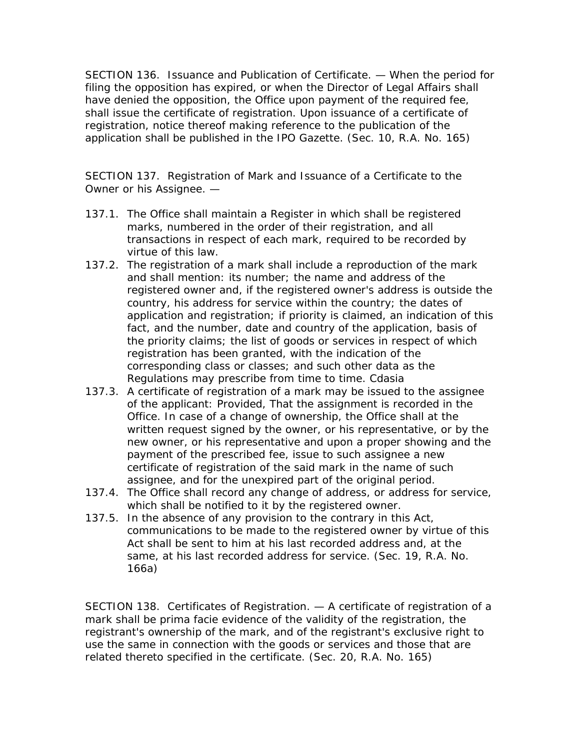SECTION 136. Issuance and Publication of Certificate. — When the period for filing the opposition has expired, or when the Director of Legal Affairs shall have denied the opposition, the Office upon payment of the required fee, shall issue the certificate of registration. Upon issuance of a certificate of registration, notice thereof making reference to the publication of the application shall be published in the IPO Gazette. (Sec. 10, R.A. No. 165)

SECTION 137. Registration of Mark and Issuance of a Certificate to the Owner or his Assignee. —

- 137.1. The Office shall maintain a Register in which shall be registered marks, numbered in the order of their registration, and all transactions in respect of each mark, required to be recorded by virtue of this law.
- 137.2. The registration of a mark shall include a reproduction of the mark and shall mention: its number; the name and address of the registered owner and, if the registered owner's address is outside the country, his address for service within the country; the dates of application and registration; if priority is claimed, an indication of this fact, and the number, date and country of the application, basis of the priority claims; the list of goods or services in respect of which registration has been granted, with the indication of the corresponding class or classes; and such other data as the Regulations may prescribe from time to time. Cdasia
- 137.3. A certificate of registration of a mark may be issued to the assignee of the applicant: Provided, That the assignment is recorded in the Office. In case of a change of ownership, the Office shall at the written request signed by the owner, or his representative, or by the new owner, or his representative and upon a proper showing and the payment of the prescribed fee, issue to such assignee a new certificate of registration of the said mark in the name of such assignee, and for the unexpired part of the original period.
- 137.4. The Office shall record any change of address, or address for service, which shall be notified to it by the registered owner.
- 137.5. In the absence of any provision to the contrary in this Act, communications to be made to the registered owner by virtue of this Act shall be sent to him at his last recorded address and, at the same, at his last recorded address for service. (Sec. 19, R.A. No. 166a)

SECTION 138. Certificates of Registration. — A certificate of registration of a mark shall be prima facie evidence of the validity of the registration, the registrant's ownership of the mark, and of the registrant's exclusive right to use the same in connection with the goods or services and those that are related thereto specified in the certificate. (Sec. 20, R.A. No. 165)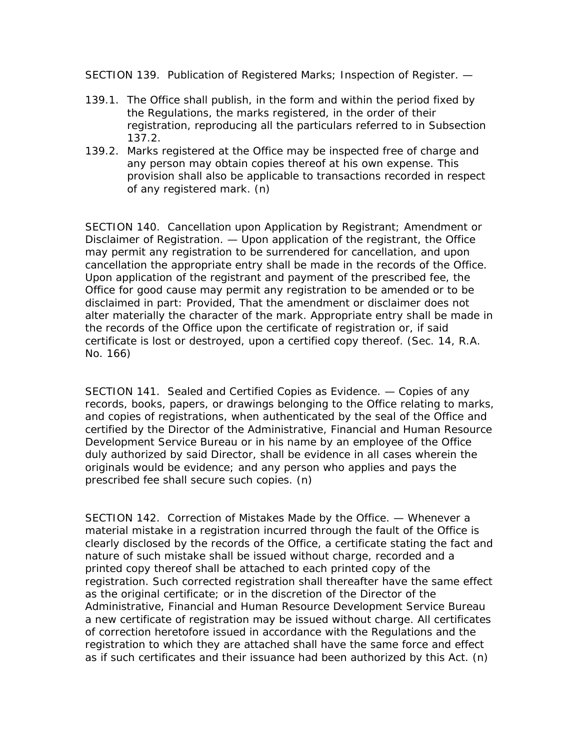SECTION 139. Publication of Registered Marks; Inspection of Register. —

- 139.1. The Office shall publish, in the form and within the period fixed by the Regulations, the marks registered, in the order of their registration, reproducing all the particulars referred to in Subsection 137.2.
- 139.2. Marks registered at the Office may be inspected free of charge and any person may obtain copies thereof at his own expense. This provision shall also be applicable to transactions recorded in respect of any registered mark. (n)

SECTION 140. Cancellation upon Application by Registrant; Amendment or Disclaimer of Registration. — Upon application of the registrant, the Office may permit any registration to be surrendered for cancellation, and upon cancellation the appropriate entry shall be made in the records of the Office. Upon application of the registrant and payment of the prescribed fee, the Office for good cause may permit any registration to be amended or to be disclaimed in part: Provided, That the amendment or disclaimer does not alter materially the character of the mark. Appropriate entry shall be made in the records of the Office upon the certificate of registration or, if said certificate is lost or destroyed, upon a certified copy thereof. (Sec. 14, R.A. No. 166)

SECTION 141. Sealed and Certified Copies as Evidence. — Copies of any records, books, papers, or drawings belonging to the Office relating to marks, and copies of registrations, when authenticated by the seal of the Office and certified by the Director of the Administrative, Financial and Human Resource Development Service Bureau or in his name by an employee of the Office duly authorized by said Director, shall be evidence in all cases wherein the originals would be evidence; and any person who applies and pays the prescribed fee shall secure such copies. (n)

SECTION 142. Correction of Mistakes Made by the Office. — Whenever a material mistake in a registration incurred through the fault of the Office is clearly disclosed by the records of the Office, a certificate stating the fact and nature of such mistake shall be issued without charge, recorded and a printed copy thereof shall be attached to each printed copy of the registration. Such corrected registration shall thereafter have the same effect as the original certificate; or in the discretion of the Director of the Administrative, Financial and Human Resource Development Service Bureau a new certificate of registration may be issued without charge. All certificates of correction heretofore issued in accordance with the Regulations and the registration to which they are attached shall have the same force and effect as if such certificates and their issuance had been authorized by this Act. (n)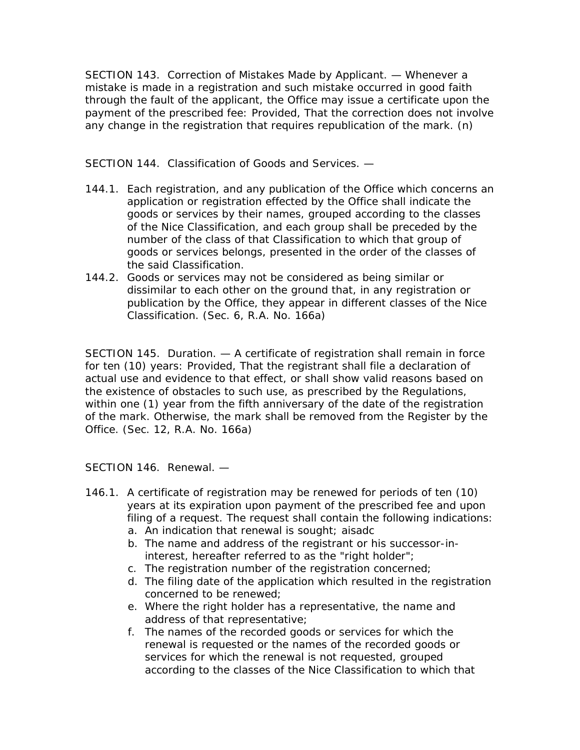SECTION 143. Correction of Mistakes Made by Applicant. — Whenever a mistake is made in a registration and such mistake occurred in good faith through the fault of the applicant, the Office may issue a certificate upon the payment of the prescribed fee: Provided, That the correction does not involve any change in the registration that requires republication of the mark. (n)

SECTION 144. Classification of Goods and Services. —

- 144.1. Each registration, and any publication of the Office which concerns an application or registration effected by the Office shall indicate the goods or services by their names, grouped according to the classes of the Nice Classification, and each group shall be preceded by the number of the class of that Classification to which that group of goods or services belongs, presented in the order of the classes of the said Classification.
- 144.2. Goods or services may not be considered as being similar or dissimilar to each other on the ground that, in any registration or publication by the Office, they appear in different classes of the Nice Classification. (Sec. 6, R.A. No. 166a)

SECTION 145. Duration. — A certificate of registration shall remain in force for ten (10) years: Provided, That the registrant shall file a declaration of actual use and evidence to that effect, or shall show valid reasons based on the existence of obstacles to such use, as prescribed by the Regulations, within one (1) year from the fifth anniversary of the date of the registration of the mark. Otherwise, the mark shall be removed from the Register by the Office. (Sec. 12, R.A. No. 166a)

SECTION 146. Renewal. —

- 146.1. A certificate of registration may be renewed for periods of ten (10) years at its expiration upon payment of the prescribed fee and upon filing of a request. The request shall contain the following indications: a. An indication that renewal is sought; aisadc
	- b. The name and address of the registrant or his successor-ininterest, hereafter referred to as the "right holder";
	- c. The registration number of the registration concerned;
	- d. The filing date of the application which resulted in the registration concerned to be renewed;
	- e. Where the right holder has a representative, the name and address of that representative;
	- f. The names of the recorded goods or services for which the renewal is requested or the names of the recorded goods or services for which the renewal is not requested, grouped according to the classes of the Nice Classification to which that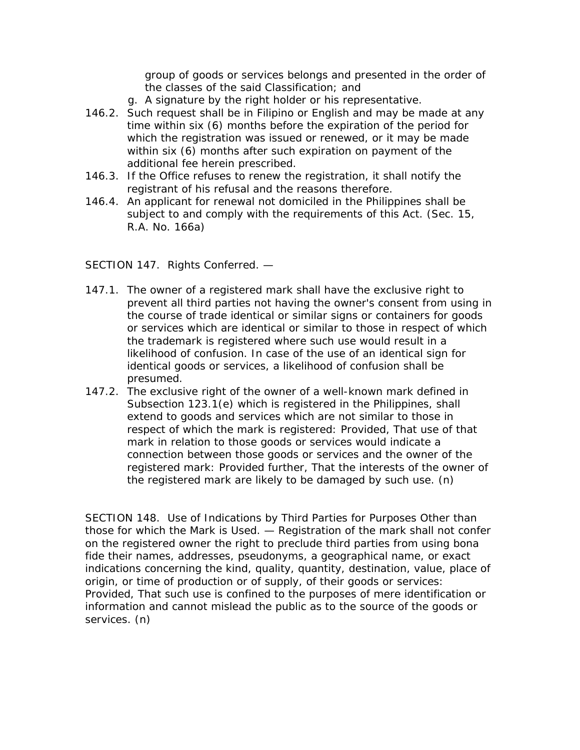group of goods or services belongs and presented in the order of the classes of the said Classification; and

- g. A signature by the right holder or his representative.
- 146.2. Such request shall be in Filipino or English and may be made at any time within six (6) months before the expiration of the period for which the registration was issued or renewed, or it may be made within six (6) months after such expiration on payment of the additional fee herein prescribed.
- 146.3. If the Office refuses to renew the registration, it shall notify the registrant of his refusal and the reasons therefore.
- 146.4. An applicant for renewal not domiciled in the Philippines shall be subject to and comply with the requirements of this Act. (Sec. 15, R.A. No. 166a)

SECTION 147. Rights Conferred. —

- 147.1. The owner of a registered mark shall have the exclusive right to prevent all third parties not having the owner's consent from using in the course of trade identical or similar signs or containers for goods or services which are identical or similar to those in respect of which the trademark is registered where such use would result in a likelihood of confusion. In case of the use of an identical sign for identical goods or services, a likelihood of confusion shall be presumed.
- 147.2. The exclusive right of the owner of a well-known mark defined in Subsection 123.1(e) which is registered in the Philippines, shall extend to goods and services which are not similar to those in respect of which the mark is registered: Provided, That use of that mark in relation to those goods or services would indicate a connection between those goods or services and the owner of the registered mark: Provided further, That the interests of the owner of the registered mark are likely to be damaged by such use. (n)

SECTION 148. Use of Indications by Third Parties for Purposes Other than those for which the Mark is Used. — Registration of the mark shall not confer on the registered owner the right to preclude third parties from using bona fide their names, addresses, pseudonyms, a geographical name, or exact indications concerning the kind, quality, quantity, destination, value, place of origin, or time of production or of supply, of their goods or services: Provided, That such use is confined to the purposes of mere identification or information and cannot mislead the public as to the source of the goods or services. (n)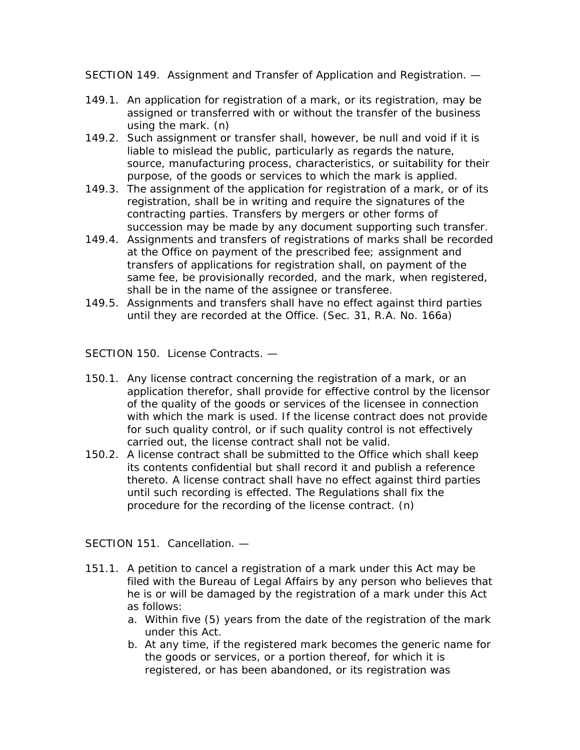SECTION 149. Assignment and Transfer of Application and Registration. —

- 149.1. An application for registration of a mark, or its registration, may be assigned or transferred with or without the transfer of the business using the mark. (n)
- 149.2. Such assignment or transfer shall, however, be null and void if it is liable to mislead the public, particularly as regards the nature, source, manufacturing process, characteristics, or suitability for their purpose, of the goods or services to which the mark is applied.
- 149.3. The assignment of the application for registration of a mark, or of its registration, shall be in writing and require the signatures of the contracting parties. Transfers by mergers or other forms of succession may be made by any document supporting such transfer.
- 149.4. Assignments and transfers of registrations of marks shall be recorded at the Office on payment of the prescribed fee; assignment and transfers of applications for registration shall, on payment of the same fee, be provisionally recorded, and the mark, when registered, shall be in the name of the assignee or transferee.
- 149.5. Assignments and transfers shall have no effect against third parties until they are recorded at the Office. (Sec. 31, R.A. No. 166a)

SECTION 150. License Contracts. —

- 150.1. Any license contract concerning the registration of a mark, or an application therefor, shall provide for effective control by the licensor of the quality of the goods or services of the licensee in connection with which the mark is used. If the license contract does not provide for such quality control, or if such quality control is not effectively carried out, the license contract shall not be valid.
- 150.2. A license contract shall be submitted to the Office which shall keep its contents confidential but shall record it and publish a reference thereto. A license contract shall have no effect against third parties until such recording is effected. The Regulations shall fix the procedure for the recording of the license contract. (n)

SECTION 151. Cancellation. —

- 151.1. A petition to cancel a registration of a mark under this Act may be filed with the Bureau of Legal Affairs by any person who believes that he is or will be damaged by the registration of a mark under this Act as follows:
	- a. Within five (5) years from the date of the registration of the mark under this Act.
	- b. At any time, if the registered mark becomes the generic name for the goods or services, or a portion thereof, for which it is registered, or has been abandoned, or its registration was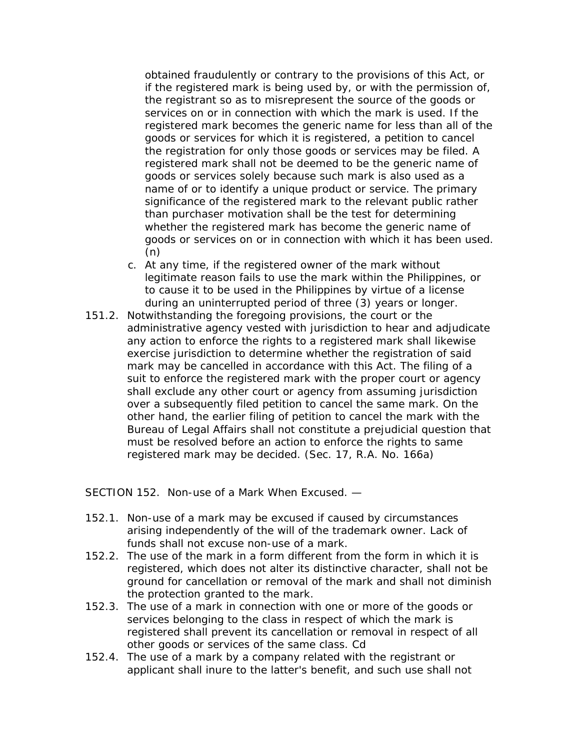obtained fraudulently or contrary to the provisions of this Act, or if the registered mark is being used by, or with the permission of, the registrant so as to misrepresent the source of the goods or services on or in connection with which the mark is used. If the registered mark becomes the generic name for less than all of the goods or services for which it is registered, a petition to cancel the registration for only those goods or services may be filed. A registered mark shall not be deemed to be the generic name of goods or services solely because such mark is also used as a name of or to identify a unique product or service. The primary significance of the registered mark to the relevant public rather than purchaser motivation shall be the test for determining whether the registered mark has become the generic name of goods or services on or in connection with which it has been used. (n)

- c. At any time, if the registered owner of the mark without legitimate reason fails to use the mark within the Philippines, or to cause it to be used in the Philippines by virtue of a license during an uninterrupted period of three (3) years or longer.
- 151.2. Notwithstanding the foregoing provisions, the court or the administrative agency vested with jurisdiction to hear and adjudicate any action to enforce the rights to a registered mark shall likewise exercise jurisdiction to determine whether the registration of said mark may be cancelled in accordance with this Act. The filing of a suit to enforce the registered mark with the proper court or agency shall exclude any other court or agency from assuming jurisdiction over a subsequently filed petition to cancel the same mark. On the other hand, the earlier filing of petition to cancel the mark with the Bureau of Legal Affairs shall not constitute a prejudicial question that must be resolved before an action to enforce the rights to same registered mark may be decided. (Sec. 17, R.A. No. 166a)

SECTION 152. Non-use of a Mark When Excused. —

- 152.1. Non-use of a mark may be excused if caused by circumstances arising independently of the will of the trademark owner. Lack of funds shall not excuse non-use of a mark.
- 152.2. The use of the mark in a form different from the form in which it is registered, which does not alter its distinctive character, shall not be ground for cancellation or removal of the mark and shall not diminish the protection granted to the mark.
- 152.3. The use of a mark in connection with one or more of the goods or services belonging to the class in respect of which the mark is registered shall prevent its cancellation or removal in respect of all other goods or services of the same class. Cd
- 152.4. The use of a mark by a company related with the registrant or applicant shall inure to the latter's benefit, and such use shall not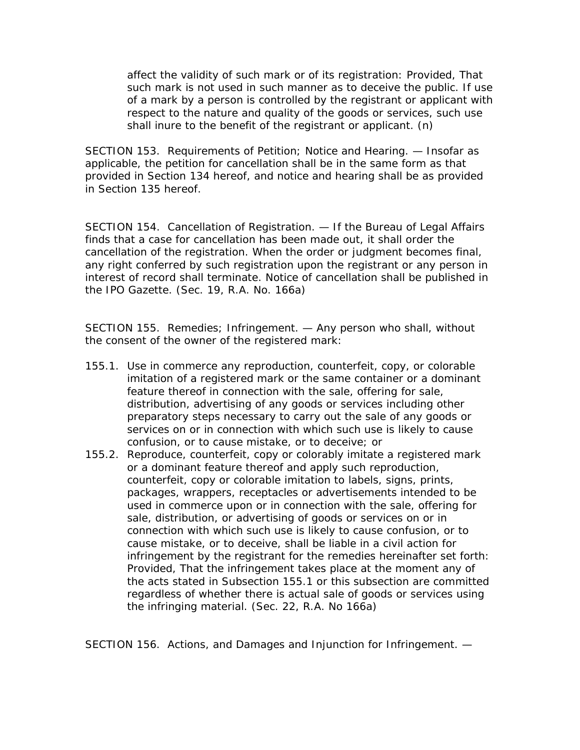affect the validity of such mark or of its registration: Provided, That such mark is not used in such manner as to deceive the public. If use of a mark by a person is controlled by the registrant or applicant with respect to the nature and quality of the goods or services, such use shall inure to the benefit of the registrant or applicant. (n)

SECTION 153. Requirements of Petition; Notice and Hearing. — Insofar as applicable, the petition for cancellation shall be in the same form as that provided in Section 134 hereof, and notice and hearing shall be as provided in Section 135 hereof.

SECTION 154. Cancellation of Registration. — If the Bureau of Legal Affairs finds that a case for cancellation has been made out, it shall order the cancellation of the registration. When the order or judgment becomes final, any right conferred by such registration upon the registrant or any person in interest of record shall terminate. Notice of cancellation shall be published in the IPO Gazette. (Sec. 19, R.A. No. 166a)

SECTION 155. Remedies; Infringement. — Any person who shall, without the consent of the owner of the registered mark:

- 155.1. Use in commerce any reproduction, counterfeit, copy, or colorable imitation of a registered mark or the same container or a dominant feature thereof in connection with the sale, offering for sale, distribution, advertising of any goods or services including other preparatory steps necessary to carry out the sale of any goods or services on or in connection with which such use is likely to cause confusion, or to cause mistake, or to deceive; or
- 155.2. Reproduce, counterfeit, copy or colorably imitate a registered mark or a dominant feature thereof and apply such reproduction, counterfeit, copy or colorable imitation to labels, signs, prints, packages, wrappers, receptacles or advertisements intended to be used in commerce upon or in connection with the sale, offering for sale, distribution, or advertising of goods or services on or in connection with which such use is likely to cause confusion, or to cause mistake, or to deceive, shall be liable in a civil action for infringement by the registrant for the remedies hereinafter set forth: Provided, That the infringement takes place at the moment any of the acts stated in Subsection 155.1 or this subsection are committed regardless of whether there is actual sale of goods or services using the infringing material. (Sec. 22, R.A. No 166a)

SECTION 156. Actions, and Damages and Injunction for Infringement. —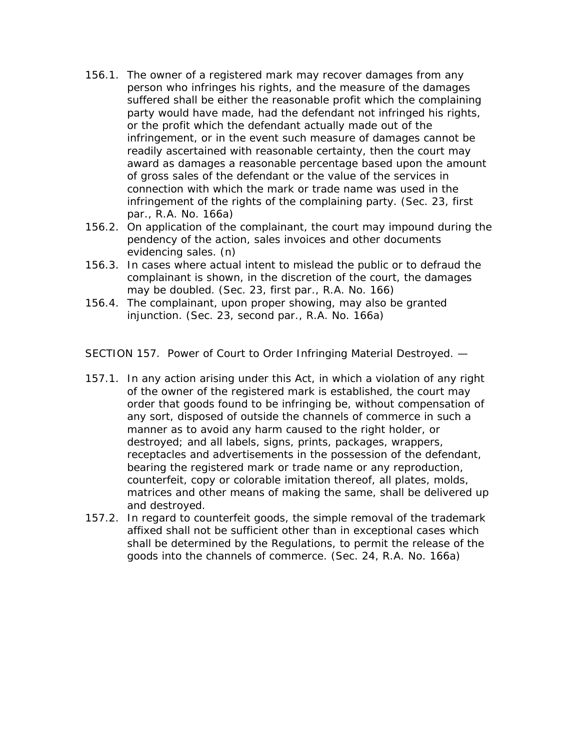- 156.1. The owner of a registered mark may recover damages from any person who infringes his rights, and the measure of the damages suffered shall be either the reasonable profit which the complaining party would have made, had the defendant not infringed his rights, or the profit which the defendant actually made out of the infringement, or in the event such measure of damages cannot be readily ascertained with reasonable certainty, then the court may award as damages a reasonable percentage based upon the amount of gross sales of the defendant or the value of the services in connection with which the mark or trade name was used in the infringement of the rights of the complaining party. (Sec. 23, first par., R.A. No. 166a)
- 156.2. On application of the complainant, the court may impound during the pendency of the action, sales invoices and other documents evidencing sales. (n)
- 156.3. In cases where actual intent to mislead the public or to defraud the complainant is shown, in the discretion of the court, the damages may be doubled. (Sec. 23, first par., R.A. No. 166)
- 156.4. The complainant, upon proper showing, may also be granted injunction. (Sec. 23, second par., R.A. No. 166a)

SECTION 157. Power of Court to Order Infringing Material Destroyed. —

- 157.1. In any action arising under this Act, in which a violation of any right of the owner of the registered mark is established, the court may order that goods found to be infringing be, without compensation of any sort, disposed of outside the channels of commerce in such a manner as to avoid any harm caused to the right holder, or destroyed; and all labels, signs, prints, packages, wrappers, receptacles and advertisements in the possession of the defendant, bearing the registered mark or trade name or any reproduction, counterfeit, copy or colorable imitation thereof, all plates, molds, matrices and other means of making the same, shall be delivered up and destroyed.
- 157.2. In regard to counterfeit goods, the simple removal of the trademark affixed shall not be sufficient other than in exceptional cases which shall be determined by the Regulations, to permit the release of the goods into the channels of commerce. (Sec. 24, R.A. No. 166a)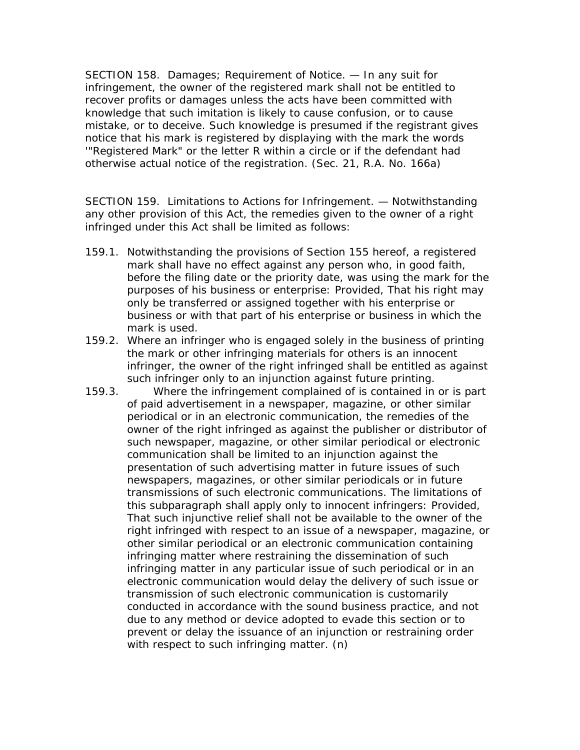SECTION 158. Damages; Requirement of Notice. — In any suit for infringement, the owner of the registered mark shall not be entitled to recover profits or damages unless the acts have been committed with knowledge that such imitation is likely to cause confusion, or to cause mistake, or to deceive. Such knowledge is presumed if the registrant gives notice that his mark is registered by displaying with the mark the words '"Registered Mark" or the letter R within a circle or if the defendant had otherwise actual notice of the registration. (Sec. 21, R.A. No. 166a)

SECTION 159. Limitations to Actions for Infringement. — Notwithstanding any other provision of this Act, the remedies given to the owner of a right infringed under this Act shall be limited as follows:

- 159.1. Notwithstanding the provisions of Section 155 hereof, a registered mark shall have no effect against any person who, in good faith, before the filing date or the priority date, was using the mark for the purposes of his business or enterprise: Provided, That his right may only be transferred or assigned together with his enterprise or business or with that part of his enterprise or business in which the mark is used.
- 159.2. Where an infringer who is engaged solely in the business of printing the mark or other infringing materials for others is an innocent infringer, the owner of the right infringed shall be entitled as against such infringer only to an injunction against future printing.
- 159.3. Where the infringement complained of is contained in or is part of paid advertisement in a newspaper, magazine, or other similar periodical or in an electronic communication, the remedies of the owner of the right infringed as against the publisher or distributor of such newspaper, magazine, or other similar periodical or electronic communication shall be limited to an injunction against the presentation of such advertising matter in future issues of such newspapers, magazines, or other similar periodicals or in future transmissions of such electronic communications. The limitations of this subparagraph shall apply only to innocent infringers: Provided, That such injunctive relief shall not be available to the owner of the right infringed with respect to an issue of a newspaper, magazine, or other similar periodical or an electronic communication containing infringing matter where restraining the dissemination of such infringing matter in any particular issue of such periodical or in an electronic communication would delay the delivery of such issue or transmission of such electronic communication is customarily conducted in accordance with the sound business practice, and not due to any method or device adopted to evade this section or to prevent or delay the issuance of an injunction or restraining order with respect to such infringing matter. (n)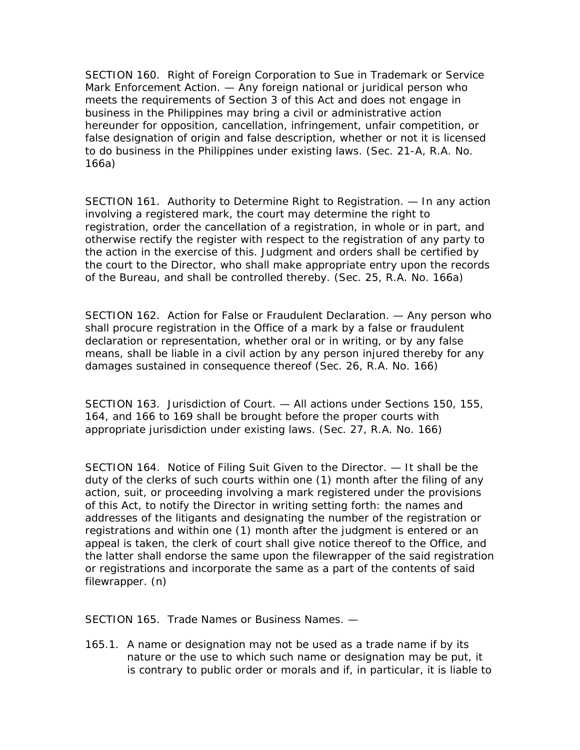SECTION 160. Right of Foreign Corporation to Sue in Trademark or Service Mark Enforcement Action. — Any foreign national or juridical person who meets the requirements of Section 3 of this Act and does not engage in business in the Philippines may bring a civil or administrative action hereunder for opposition, cancellation, infringement, unfair competition, or false designation of origin and false description, whether or not it is licensed to do business in the Philippines under existing laws. (Sec. 21-A, R.A. No. 166a)

SECTION 161. Authority to Determine Right to Registration. — In any action involving a registered mark, the court may determine the right to registration, order the cancellation of a registration, in whole or in part, and otherwise rectify the register with respect to the registration of any party to the action in the exercise of this. Judgment and orders shall be certified by the court to the Director, who shall make appropriate entry upon the records of the Bureau, and shall be controlled thereby. (Sec. 25, R.A. No. 166a)

SECTION 162. Action for False or Fraudulent Declaration. — Any person who shall procure registration in the Office of a mark by a false or fraudulent declaration or representation, whether oral or in writing, or by any false means, shall be liable in a civil action by any person injured thereby for any damages sustained in consequence thereof (Sec. 26, R.A. No. 166)

SECTION 163. Jurisdiction of Court. — All actions under Sections 150, 155, 164, and 166 to 169 shall be brought before the proper courts with appropriate jurisdiction under existing laws. (Sec. 27, R.A. No. 166)

SECTION 164. Notice of Filing Suit Given to the Director. — It shall be the duty of the clerks of such courts within one (1) month after the filing of any action, suit, or proceeding involving a mark registered under the provisions of this Act, to notify the Director in writing setting forth: the names and addresses of the litigants and designating the number of the registration or registrations and within one (1) month after the judgment is entered or an appeal is taken, the clerk of court shall give notice thereof to the Office, and the latter shall endorse the same upon the filewrapper of the said registration or registrations and incorporate the same as a part of the contents of said filewrapper. (n)

SECTION 165. Trade Names or Business Names. —

165.1. A name or designation may not be used as a trade name if by its nature or the use to which such name or designation may be put, it is contrary to public order or morals and if, in particular, it is liable to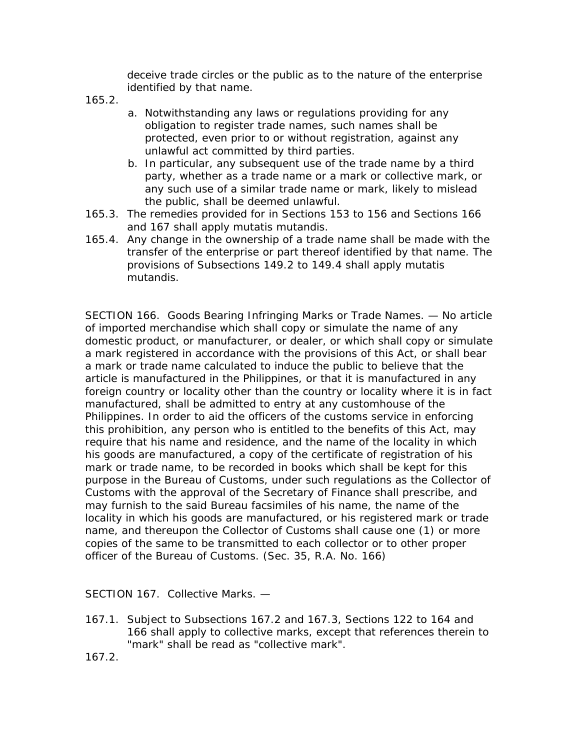deceive trade circles or the public as to the nature of the enterprise identified by that name.

165.2.

- a. Notwithstanding any laws or regulations providing for any obligation to register trade names, such names shall be protected, even prior to or without registration, against any unlawful act committed by third parties.
- b. In particular, any subsequent use of the trade name by a third party, whether as a trade name or a mark or collective mark, or any such use of a similar trade name or mark, likely to mislead the public, shall be deemed unlawful.
- 165.3. The remedies provided for in Sections 153 to 156 and Sections 166 and 167 shall apply mutatis mutandis.
- 165.4. Any change in the ownership of a trade name shall be made with the transfer of the enterprise or part thereof identified by that name. The provisions of Subsections 149.2 to 149.4 shall apply mutatis mutandis.

SECTION 166. Goods Bearing Infringing Marks or Trade Names. — No article of imported merchandise which shall copy or simulate the name of any domestic product, or manufacturer, or dealer, or which shall copy or simulate a mark registered in accordance with the provisions of this Act, or shall bear a mark or trade name calculated to induce the public to believe that the article is manufactured in the Philippines, or that it is manufactured in any foreign country or locality other than the country or locality where it is in fact manufactured, shall be admitted to entry at any customhouse of the Philippines. In order to aid the officers of the customs service in enforcing this prohibition, any person who is entitled to the benefits of this Act, may require that his name and residence, and the name of the locality in which his goods are manufactured, a copy of the certificate of registration of his mark or trade name, to be recorded in books which shall be kept for this purpose in the Bureau of Customs, under such regulations as the Collector of Customs with the approval of the Secretary of Finance shall prescribe, and may furnish to the said Bureau facsimiles of his name, the name of the locality in which his goods are manufactured, or his registered mark or trade name, and thereupon the Collector of Customs shall cause one (1) or more copies of the same to be transmitted to each collector or to other proper officer of the Bureau of Customs. (Sec. 35, R.A. No. 166)

SECTION 167. Collective Marks. —

167.1. Subject to Subsections 167.2 and 167.3, Sections 122 to 164 and 166 shall apply to collective marks, except that references therein to "mark" shall be read as "collective mark".

167.2.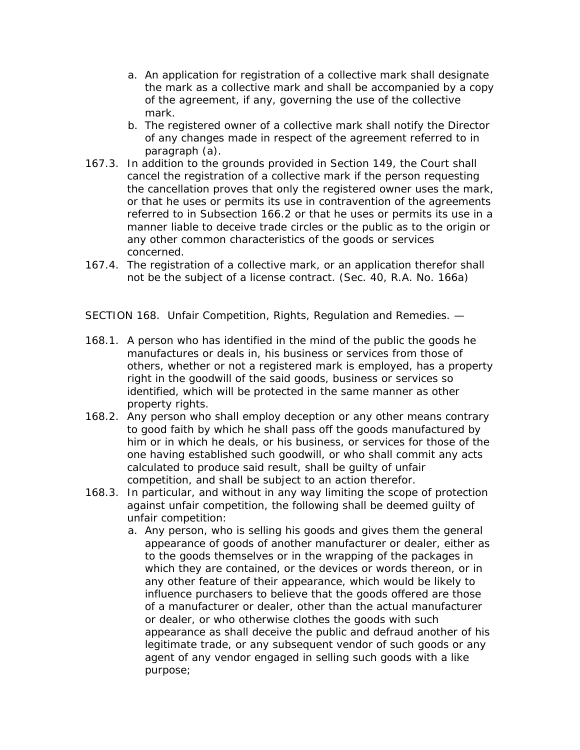- a. An application for registration of a collective mark shall designate the mark as a collective mark and shall be accompanied by a copy of the agreement, if any, governing the use of the collective mark.
- b. The registered owner of a collective mark shall notify the Director of any changes made in respect of the agreement referred to in paragraph (a).
- 167.3. In addition to the grounds provided in Section 149, the Court shall cancel the registration of a collective mark if the person requesting the cancellation proves that only the registered owner uses the mark, or that he uses or permits its use in contravention of the agreements referred to in Subsection 166.2 or that he uses or permits its use in a manner liable to deceive trade circles or the public as to the origin or any other common characteristics of the goods or services concerned.
- 167.4. The registration of a collective mark, or an application therefor shall not be the subject of a license contract. (Sec. 40, R.A. No. 166a)

SECTION 168. Unfair Competition, Rights, Regulation and Remedies. —

- 168.1. A person who has identified in the mind of the public the goods he manufactures or deals in, his business or services from those of others, whether or not a registered mark is employed, has a property right in the goodwill of the said goods, business or services so identified, which will be protected in the same manner as other property rights.
- 168.2. Any person who shall employ deception or any other means contrary to good faith by which he shall pass off the goods manufactured by him or in which he deals, or his business, or services for those of the one having established such goodwill, or who shall commit any acts calculated to produce said result, shall be guilty of unfair competition, and shall be subject to an action therefor.
- 168.3. In particular, and without in any way limiting the scope of protection against unfair competition, the following shall be deemed guilty of unfair competition:
	- a. Any person, who is selling his goods and gives them the general appearance of goods of another manufacturer or dealer, either as to the goods themselves or in the wrapping of the packages in which they are contained, or the devices or words thereon, or in any other feature of their appearance, which would be likely to influence purchasers to believe that the goods offered are those of a manufacturer or dealer, other than the actual manufacturer or dealer, or who otherwise clothes the goods with such appearance as shall deceive the public and defraud another of his legitimate trade, or any subsequent vendor of such goods or any agent of any vendor engaged in selling such goods with a like purpose;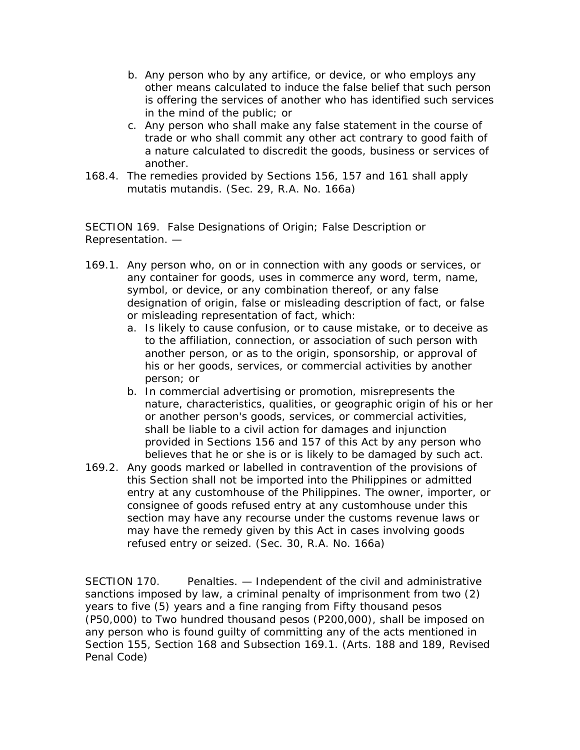- b. Any person who by any artifice, or device, or who employs any other means calculated to induce the false belief that such person is offering the services of another who has identified such services in the mind of the public; or
- c. Any person who shall make any false statement in the course of trade or who shall commit any other act contrary to good faith of a nature calculated to discredit the goods, business or services of another.
- 168.4. The remedies provided by Sections 156, 157 and 161 shall apply mutatis mutandis. (Sec. 29, R.A. No. 166a)

SECTION 169. False Designations of Origin; False Description or Representation. —

- 169.1. Any person who, on or in connection with any goods or services, or any container for goods, uses in commerce any word, term, name, symbol, or device, or any combination thereof, or any false designation of origin, false or misleading description of fact, or false or misleading representation of fact, which:
	- a. Is likely to cause confusion, or to cause mistake, or to deceive as to the affiliation, connection, or association of such person with another person, or as to the origin, sponsorship, or approval of his or her goods, services, or commercial activities by another person; or
	- b. In commercial advertising or promotion, misrepresents the nature, characteristics, qualities, or geographic origin of his or her or another person's goods, services, or commercial activities, shall be liable to a civil action for damages and injunction provided in Sections 156 and 157 of this Act by any person who believes that he or she is or is likely to be damaged by such act.
- 169.2. Any goods marked or labelled in contravention of the provisions of this Section shall not be imported into the Philippines or admitted entry at any customhouse of the Philippines. The owner, importer, or consignee of goods refused entry at any customhouse under this section may have any recourse under the customs revenue laws or may have the remedy given by this Act in cases involving goods refused entry or seized. (Sec. 30, R.A. No. 166a)

SECTION 170. Penalties. — Independent of the civil and administrative sanctions imposed by law, a criminal penalty of imprisonment from two (2) years to five (5) years and a fine ranging from Fifty thousand pesos (P50,000) to Two hundred thousand pesos (P200,000), shall be imposed on any person who is found guilty of committing any of the acts mentioned in Section 155, Section 168 and Subsection 169.1. (Arts. 188 and 189, Revised Penal Code)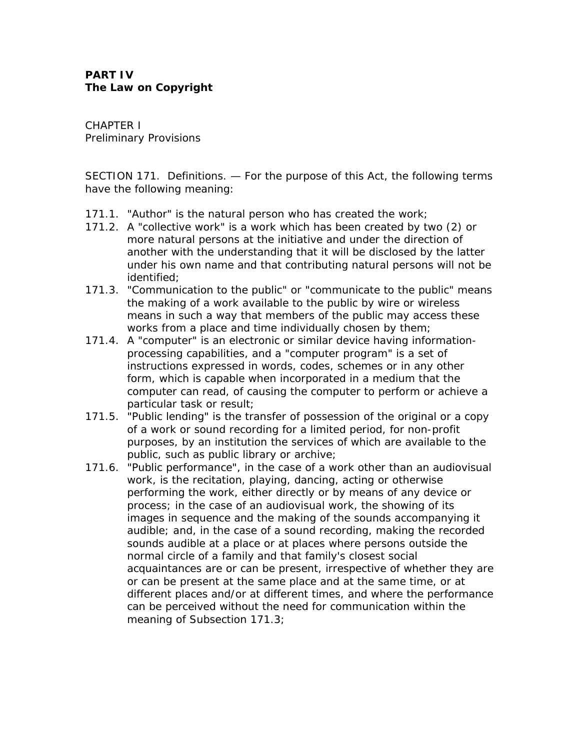CHAPTER I Preliminary Provisions

SECTION 171. Definitions. — For the purpose of this Act, the following terms have the following meaning:

- 171.1. "Author" is the natural person who has created the work;
- 171.2. A "collective work" is a work which has been created by two (2) or more natural persons at the initiative and under the direction of another with the understanding that it will be disclosed by the latter under his own name and that contributing natural persons will not be identified;
- 171.3. "Communication to the public" or "communicate to the public" means the making of a work available to the public by wire or wireless means in such a way that members of the public may access these works from a place and time individually chosen by them;
- 171.4. A "computer" is an electronic or similar device having informationprocessing capabilities, and a "computer program" is a set of instructions expressed in words, codes, schemes or in any other form, which is capable when incorporated in a medium that the computer can read, of causing the computer to perform or achieve a particular task or result;
- 171.5. "Public lending" is the transfer of possession of the original or a copy of a work or sound recording for a limited period, for non-profit purposes, by an institution the services of which are available to the public, such as public library or archive;
- 171.6. "Public performance", in the case of a work other than an audiovisual work, is the recitation, playing, dancing, acting or otherwise performing the work, either directly or by means of any device or process; in the case of an audiovisual work, the showing of its images in sequence and the making of the sounds accompanying it audible; and, in the case of a sound recording, making the recorded sounds audible at a place or at places where persons outside the normal circle of a family and that family's closest social acquaintances are or can be present, irrespective of whether they are or can be present at the same place and at the same time, or at different places and/or at different times, and where the performance can be perceived without the need for communication within the meaning of Subsection 171.3;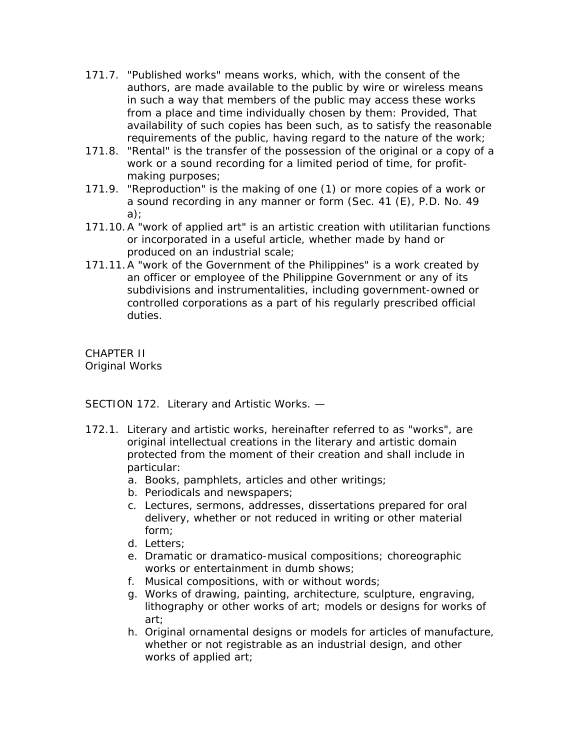- 171.7. "Published works" means works, which, with the consent of the authors, are made available to the public by wire or wireless means in such a way that members of the public may access these works from a place and time individually chosen by them: Provided, That availability of such copies has been such, as to satisfy the reasonable requirements of the public, having regard to the nature of the work;
- 171.8. "Rental" is the transfer of the possession of the original or a copy of a work or a sound recording for a limited period of time, for profitmaking purposes;
- 171.9. "Reproduction" is the making of one (1) or more copies of a work or a sound recording in any manner or form (Sec. 41 (E), P.D. No. 49 a);
- 171.10.A "work of applied art" is an artistic creation with utilitarian functions or incorporated in a useful article, whether made by hand or produced on an industrial scale;
- 171.11.A "work of the Government of the Philippines" is a work created by an officer or employee of the Philippine Government or any of its subdivisions and instrumentalities, including government-owned or controlled corporations as a part of his regularly prescribed official duties.

CHAPTER II Original Works

SECTION 172. Literary and Artistic Works. —

- 172.1. Literary and artistic works, hereinafter referred to as "works", are original intellectual creations in the literary and artistic domain protected from the moment of their creation and shall include in particular:
	- a. Books, pamphlets, articles and other writings;
	- b. Periodicals and newspapers;
	- c. Lectures, sermons, addresses, dissertations prepared for oral delivery, whether or not reduced in writing or other material form;
	- d. Letters;
	- e. Dramatic or dramatico-musical compositions; choreographic works or entertainment in dumb shows;
	- f. Musical compositions, with or without words;
	- g. Works of drawing, painting, architecture, sculpture, engraving, lithography or other works of art; models or designs for works of art;
	- h. Original ornamental designs or models for articles of manufacture, whether or not registrable as an industrial design, and other works of applied art;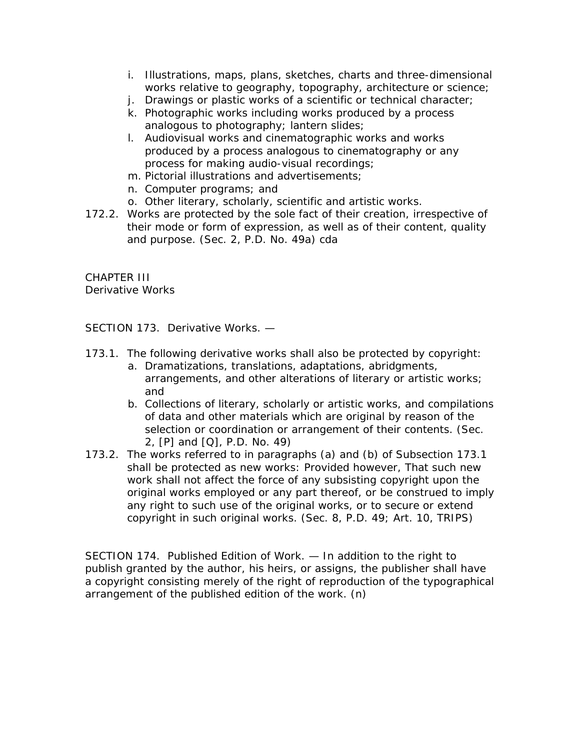- i. Illustrations, maps, plans, sketches, charts and three-dimensional works relative to geography, topography, architecture or science;
- j. Drawings or plastic works of a scientific or technical character;
- k. Photographic works including works produced by a process analogous to photography; lantern slides;
- l. Audiovisual works and cinematographic works and works produced by a process analogous to cinematography or any process for making audio-visual recordings;
- m. Pictorial illustrations and advertisements;
- n. Computer programs; and
- o. Other literary, scholarly, scientific and artistic works.
- 172.2. Works are protected by the sole fact of their creation, irrespective of their mode or form of expression, as well as of their content, quality and purpose. (Sec. 2, P.D. No. 49a) cda

CHAPTER III Derivative Works

SECTION 173. Derivative Works. —

- 173.1. The following derivative works shall also be protected by copyright:
	- a. Dramatizations, translations, adaptations, abridgments, arrangements, and other alterations of literary or artistic works; and
	- b. Collections of literary, scholarly or artistic works, and compilations of data and other materials which are original by reason of the selection or coordination or arrangement of their contents. (Sec. 2, [P] and [Q], P.D. No. 49)
- 173.2. The works referred to in paragraphs (a) and (b) of Subsection 173.1 shall be protected as new works: Provided however, That such new work shall not affect the force of any subsisting copyright upon the original works employed or any part thereof, or be construed to imply any right to such use of the original works, or to secure or extend copyright in such original works. (Sec. 8, P.D. 49; Art. 10, TRIPS)

SECTION 174. Published Edition of Work. — In addition to the right to publish granted by the author, his heirs, or assigns, the publisher shall have a copyright consisting merely of the right of reproduction of the typographical arrangement of the published edition of the work. (n)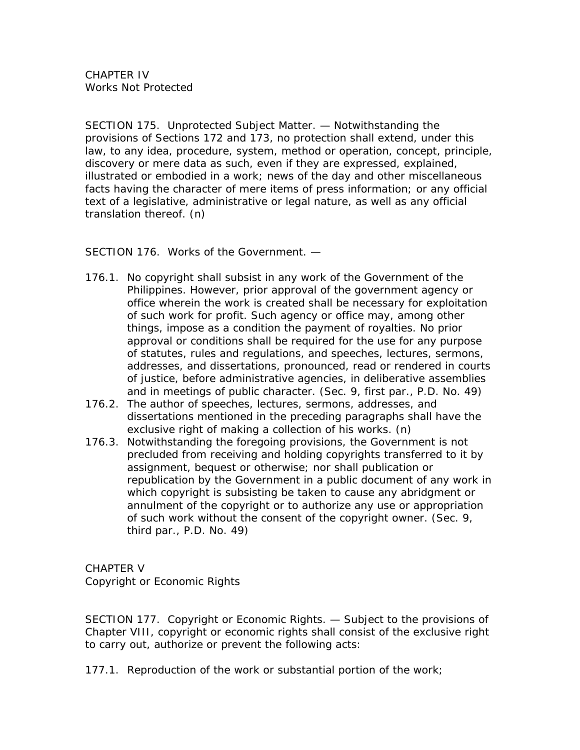SECTION 175. Unprotected Subject Matter. — Notwithstanding the provisions of Sections 172 and 173, no protection shall extend, under this law, to any idea, procedure, system, method or operation, concept, principle, discovery or mere data as such, even if they are expressed, explained, illustrated or embodied in a work; news of the day and other miscellaneous facts having the character of mere items of press information; or any official text of a legislative, administrative or legal nature, as well as any official translation thereof. (n)

SECTION 176. Works of the Government. —

- 176.1. No copyright shall subsist in any work of the Government of the Philippines. However, prior approval of the government agency or office wherein the work is created shall be necessary for exploitation of such work for profit. Such agency or office may, among other things, impose as a condition the payment of royalties. No prior approval or conditions shall be required for the use for any purpose of statutes, rules and regulations, and speeches, lectures, sermons, addresses, and dissertations, pronounced, read or rendered in courts of justice, before administrative agencies, in deliberative assemblies and in meetings of public character. (Sec. 9, first par., P.D. No. 49)
- 176.2. The author of speeches, lectures, sermons, addresses, and dissertations mentioned in the preceding paragraphs shall have the exclusive right of making a collection of his works. (n)
- 176.3. Notwithstanding the foregoing provisions, the Government is not precluded from receiving and holding copyrights transferred to it by assignment, bequest or otherwise; nor shall publication or republication by the Government in a public document of any work in which copyright is subsisting be taken to cause any abridgment or annulment of the copyright or to authorize any use or appropriation of such work without the consent of the copyright owner. (Sec. 9, third par., P.D. No. 49)

CHAPTER V Copyright or Economic Rights

SECTION 177. Copyright or Economic Rights. — Subject to the provisions of Chapter VIII, copyright or economic rights shall consist of the exclusive right to carry out, authorize or prevent the following acts:

177.1. Reproduction of the work or substantial portion of the work;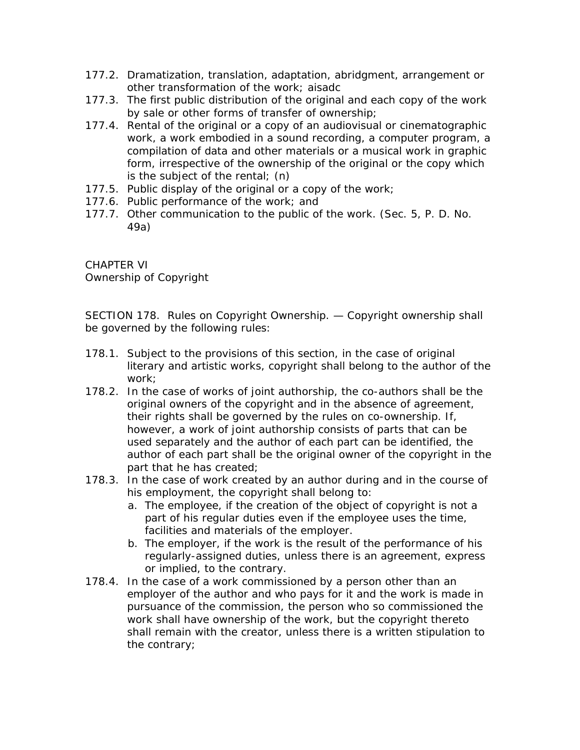- 177.2. Dramatization, translation, adaptation, abridgment, arrangement or other transformation of the work; aisadc
- 177.3. The first public distribution of the original and each copy of the work by sale or other forms of transfer of ownership;
- 177.4. Rental of the original or a copy of an audiovisual or cinematographic work, a work embodied in a sound recording, a computer program, a compilation of data and other materials or a musical work in graphic form, irrespective of the ownership of the original or the copy which is the subject of the rental; (n)
- 177.5. Public display of the original or a copy of the work;
- 177.6. Public performance of the work; and
- 177.7. Other communication to the public of the work. (Sec. 5, P. D. No. 49a)

CHAPTER VI Ownership of Copyright

SECTION 178. Rules on Copyright Ownership. — Copyright ownership shall be governed by the following rules:

- 178.1. Subject to the provisions of this section, in the case of original literary and artistic works, copyright shall belong to the author of the work;
- 178.2. In the case of works of joint authorship, the co-authors shall be the original owners of the copyright and in the absence of agreement, their rights shall be governed by the rules on co-ownership. If, however, a work of joint authorship consists of parts that can be used separately and the author of each part can be identified, the author of each part shall be the original owner of the copyright in the part that he has created;
- 178.3. In the case of work created by an author during and in the course of his employment, the copyright shall belong to:
	- a. The employee, if the creation of the object of copyright is not a part of his regular duties even if the employee uses the time, facilities and materials of the employer.
	- b. The employer, if the work is the result of the performance of his regularly-assigned duties, unless there is an agreement, express or implied, to the contrary.
- 178.4. In the case of a work commissioned by a person other than an employer of the author and who pays for it and the work is made in pursuance of the commission, the person who so commissioned the work shall have ownership of the work, but the copyright thereto shall remain with the creator, unless there is a written stipulation to the contrary;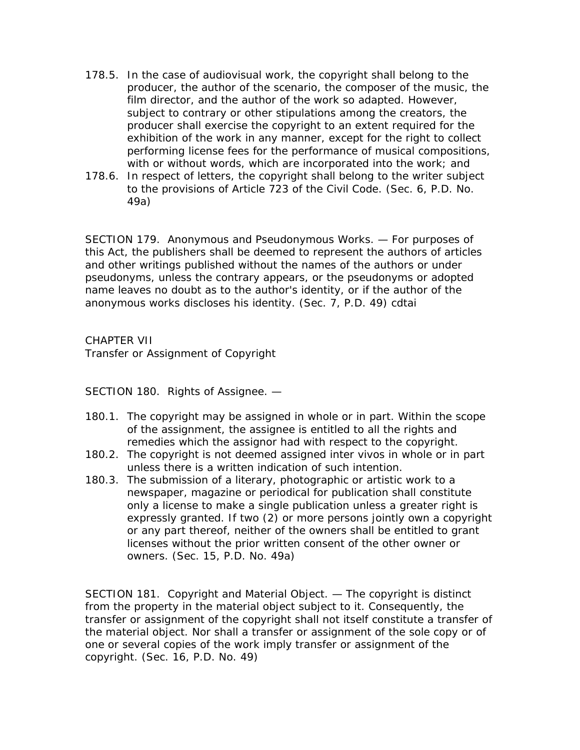- 178.5. In the case of audiovisual work, the copyright shall belong to the producer, the author of the scenario, the composer of the music, the film director, and the author of the work so adapted. However, subject to contrary or other stipulations among the creators, the producer shall exercise the copyright to an extent required for the exhibition of the work in any manner, except for the right to collect performing license fees for the performance of musical compositions, with or without words, which are incorporated into the work; and
- 178.6. In respect of letters, the copyright shall belong to the writer subject to the provisions of Article 723 of the Civil Code. (Sec. 6, P.D. No. 49a)

SECTION 179. Anonymous and Pseudonymous Works. — For purposes of this Act, the publishers shall be deemed to represent the authors of articles and other writings published without the names of the authors or under pseudonyms, unless the contrary appears, or the pseudonyms or adopted name leaves no doubt as to the author's identity, or if the author of the anonymous works discloses his identity. (Sec. 7, P.D. 49) cdtai

CHAPTER VII Transfer or Assignment of Copyright

SECTION 180. Rights of Assignee. —

- 180.1. The copyright may be assigned in whole or in part. Within the scope of the assignment, the assignee is entitled to all the rights and remedies which the assignor had with respect to the copyright.
- 180.2. The copyright is not deemed assigned inter vivos in whole or in part unless there is a written indication of such intention.
- 180.3. The submission of a literary, photographic or artistic work to a newspaper, magazine or periodical for publication shall constitute only a license to make a single publication unless a greater right is expressly granted. If two (2) or more persons jointly own a copyright or any part thereof, neither of the owners shall be entitled to grant licenses without the prior written consent of the other owner or owners. (Sec. 15, P.D. No. 49a)

SECTION 181. Copyright and Material Object. — The copyright is distinct from the property in the material object subject to it. Consequently, the transfer or assignment of the copyright shall not itself constitute a transfer of the material object. Nor shall a transfer or assignment of the sole copy or of one or several copies of the work imply transfer or assignment of the copyright. (Sec. 16, P.D. No. 49)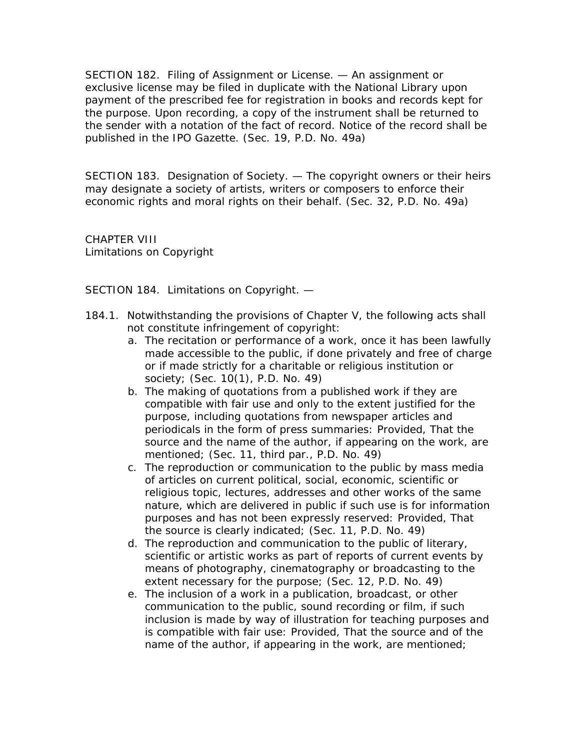SECTION 182. Filing of Assignment or License. — An assignment or exclusive license may be filed in duplicate with the National Library upon payment of the prescribed fee for registration in books and records kept for the purpose. Upon recording, a copy of the instrument shall be returned to the sender with a notation of the fact of record. Notice of the record shall be published in the IPO Gazette. (Sec. 19, P.D. No. 49a)

SECTION 183. Designation of Society. — The copyright owners or their heirs may designate a society of artists, writers or composers to enforce their economic rights and moral rights on their behalf. (Sec. 32, P.D. No. 49a)

CHAPTER VIII Limitations on Copyright

SECTION 184. Limitations on Copyright. —

- 184.1. Notwithstanding the provisions of Chapter V, the following acts shall not constitute infringement of copyright:
	- a. The recitation or performance of a work, once it has been lawfully made accessible to the public, if done privately and free of charge or if made strictly for a charitable or religious institution or society; (Sec. 10(1), P.D. No. 49)
	- b. The making of quotations from a published work if they are compatible with fair use and only to the extent justified for the purpose, including quotations from newspaper articles and periodicals in the form of press summaries: Provided, That the source and the name of the author, if appearing on the work, are mentioned; (Sec. 11, third par., P.D. No. 49)
	- c. The reproduction or communication to the public by mass media of articles on current political, social, economic, scientific or religious topic, lectures, addresses and other works of the same nature, which are delivered in public if such use is for information purposes and has not been expressly reserved: Provided, That the source is clearly indicated; (Sec. 11, P.D. No. 49)
	- d. The reproduction and communication to the public of literary, scientific or artistic works as part of reports of current events by means of photography, cinematography or broadcasting to the extent necessary for the purpose; (Sec. 12, P.D. No. 49)
	- e. The inclusion of a work in a publication, broadcast, or other communication to the public, sound recording or film, if such inclusion is made by way of illustration for teaching purposes and is compatible with fair use: Provided, That the source and of the name of the author, if appearing in the work, are mentioned;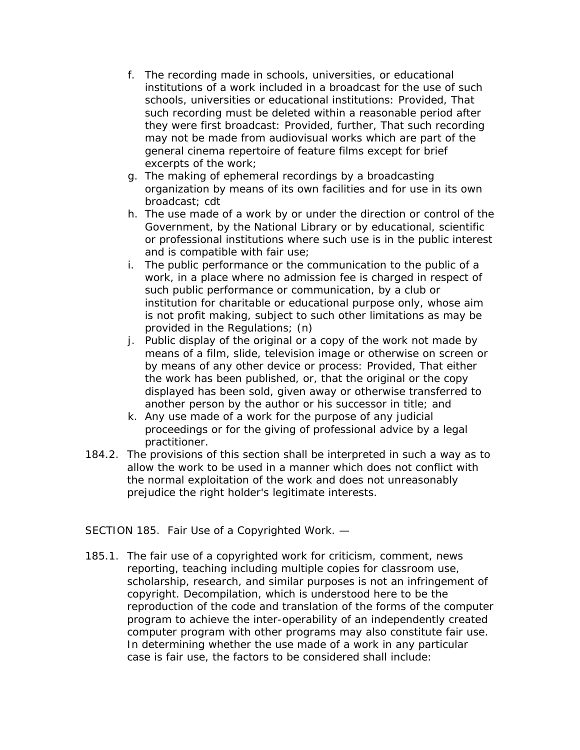- f. The recording made in schools, universities, or educational institutions of a work included in a broadcast for the use of such schools, universities or educational institutions: Provided, That such recording must be deleted within a reasonable period after they were first broadcast: Provided, further, That such recording may not be made from audiovisual works which are part of the general cinema repertoire of feature films except for brief excerpts of the work;
- g. The making of ephemeral recordings by a broadcasting organization by means of its own facilities and for use in its own broadcast; cdt
- h. The use made of a work by or under the direction or control of the Government, by the National Library or by educational, scientific or professional institutions where such use is in the public interest and is compatible with fair use;
- i. The public performance or the communication to the public of a work, in a place where no admission fee is charged in respect of such public performance or communication, by a club or institution for charitable or educational purpose only, whose aim is not profit making, subject to such other limitations as may be provided in the Regulations; (n)
- j. Public display of the original or a copy of the work not made by means of a film, slide, television image or otherwise on screen or by means of any other device or process: Provided, That either the work has been published, or, that the original or the copy displayed has been sold, given away or otherwise transferred to another person by the author or his successor in title; and
- k. Any use made of a work for the purpose of any judicial proceedings or for the giving of professional advice by a legal practitioner.
- 184.2. The provisions of this section shall be interpreted in such a way as to allow the work to be used in a manner which does not conflict with the normal exploitation of the work and does not unreasonably prejudice the right holder's legitimate interests.

SECTION 185. Fair Use of a Copyrighted Work. —

185.1. The fair use of a copyrighted work for criticism, comment, news reporting, teaching including multiple copies for classroom use, scholarship, research, and similar purposes is not an infringement of copyright. Decompilation, which is understood here to be the reproduction of the code and translation of the forms of the computer program to achieve the inter-operability of an independently created computer program with other programs may also constitute fair use. In determining whether the use made of a work in any particular case is fair use, the factors to be considered shall include: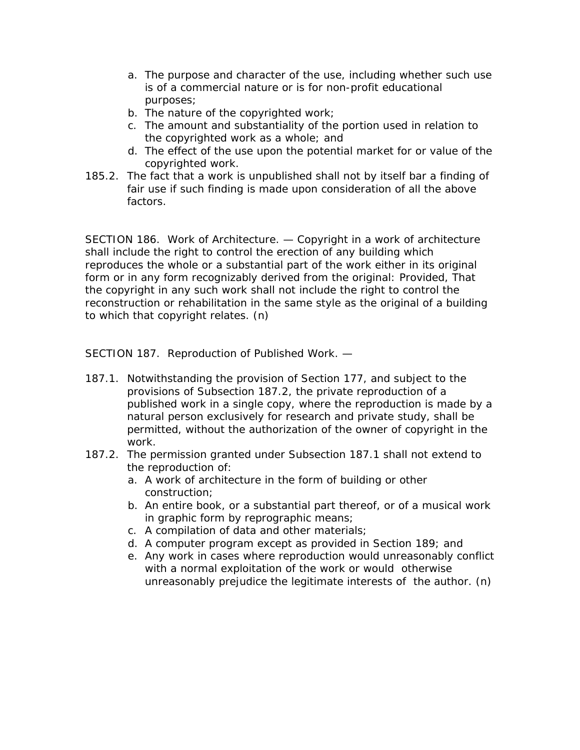- a. The purpose and character of the use, including whether such use is of a commercial nature or is for non-profit educational purposes;
- b. The nature of the copyrighted work;
- c. The amount and substantiality of the portion used in relation to the copyrighted work as a whole; and
- d. The effect of the use upon the potential market for or value of the copyrighted work.
- 185.2. The fact that a work is unpublished shall not by itself bar a finding of fair use if such finding is made upon consideration of all the above factors.

SECTION 186. Work of Architecture. — Copyright in a work of architecture shall include the right to control the erection of any building which reproduces the whole or a substantial part of the work either in its original form or in any form recognizably derived from the original: Provided, That the copyright in any such work shall not include the right to control the reconstruction or rehabilitation in the same style as the original of a building to which that copyright relates. (n)

SECTION 187. Reproduction of Published Work. —

- 187.1. Notwithstanding the provision of Section 177, and subject to the provisions of Subsection 187.2, the private reproduction of a published work in a single copy, where the reproduction is made by a natural person exclusively for research and private study, shall be permitted, without the authorization of the owner of copyright in the work.
- 187.2. The permission granted under Subsection 187.1 shall not extend to the reproduction of:
	- a. A work of architecture in the form of building or other construction;
	- b. An entire book, or a substantial part thereof, or of a musical work in graphic form by reprographic means;
	- c. A compilation of data and other materials;
	- d. A computer program except as provided in Section 189; and
	- e. Any work in cases where reproduction would unreasonably conflict with a normal exploitation of the work or would otherwise unreasonably prejudice the legitimate interests of the author. (n)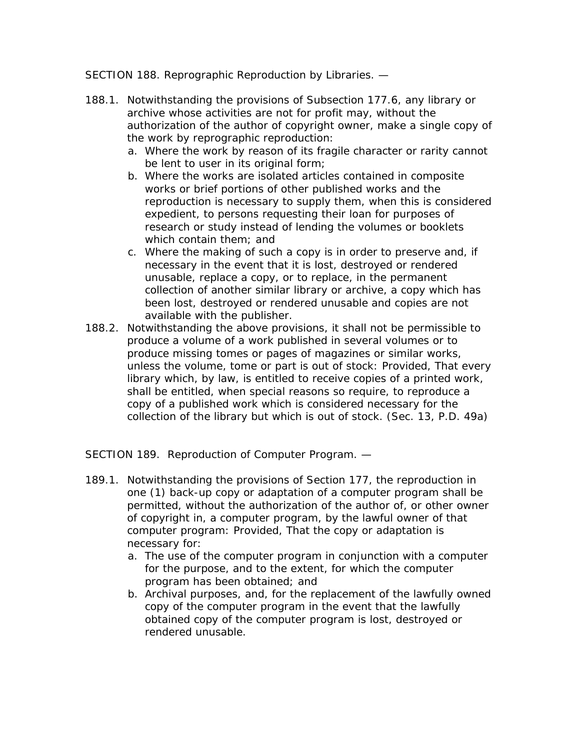SECTION 188. Reprographic Reproduction by Libraries. —

- 188.1. Notwithstanding the provisions of Subsection 177.6, any library or archive whose activities are not for profit may, without the authorization of the author of copyright owner, make a single copy of the work by reprographic reproduction:
	- a. Where the work by reason of its fragile character or rarity cannot be lent to user in its original form;
	- b. Where the works are isolated articles contained in composite works or brief portions of other published works and the reproduction is necessary to supply them, when this is considered expedient, to persons requesting their loan for purposes of research or study instead of lending the volumes or booklets which contain them; and
	- c. Where the making of such a copy is in order to preserve and, if necessary in the event that it is lost, destroyed or rendered unusable, replace a copy, or to replace, in the permanent collection of another similar library or archive, a copy which has been lost, destroyed or rendered unusable and copies are not available with the publisher.
- 188.2. Notwithstanding the above provisions, it shall not be permissible to produce a volume of a work published in several volumes or to produce missing tomes or pages of magazines or similar works, unless the volume, tome or part is out of stock: Provided, That every library which, by law, is entitled to receive copies of a printed work, shall be entitled, when special reasons so require, to reproduce a copy of a published work which is considered necessary for the collection of the library but which is out of stock. (Sec. 13, P.D. 49a)

SECTION 189. Reproduction of Computer Program. —

- 189.1. Notwithstanding the provisions of Section 177, the reproduction in one (1) back-up copy or adaptation of a computer program shall be permitted, without the authorization of the author of, or other owner of copyright in, a computer program, by the lawful owner of that computer program: Provided, That the copy or adaptation is necessary for:
	- a. The use of the computer program in conjunction with a computer for the purpose, and to the extent, for which the computer program has been obtained; and
	- b. Archival purposes, and, for the replacement of the lawfully owned copy of the computer program in the event that the lawfully obtained copy of the computer program is lost, destroyed or rendered unusable.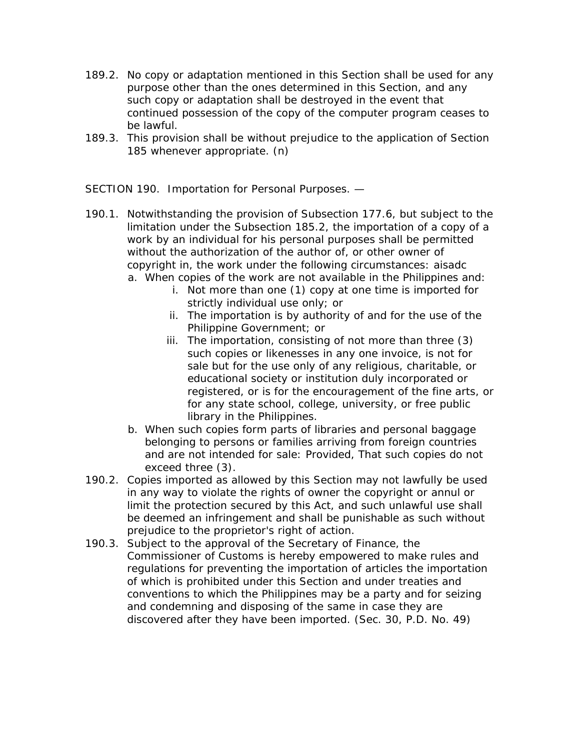- 189.2. No copy or adaptation mentioned in this Section shall be used for any purpose other than the ones determined in this Section, and any such copy or adaptation shall be destroyed in the event that continued possession of the copy of the computer program ceases to be lawful.
- 189.3. This provision shall be without prejudice to the application of Section 185 whenever appropriate. (n)

SECTION 190. Importation for Personal Purposes. —

- 190.1. Notwithstanding the provision of Subsection 177.6, but subject to the limitation under the Subsection 185.2, the importation of a copy of a work by an individual for his personal purposes shall be permitted without the authorization of the author of, or other owner of copyright in, the work under the following circumstances: aisadc a. When copies of the work are not available in the Philippines and:
	- i. Not more than one (1) copy at one time is imported for strictly individual use only; or
	- ii. The importation is by authority of and for the use of the Philippine Government; or
	- iii. The importation, consisting of not more than three (3) such copies or likenesses in any one invoice, is not for sale but for the use only of any religious, charitable, or educational society or institution duly incorporated or registered, or is for the encouragement of the fine arts, or for any state school, college, university, or free public library in the Philippines.
	- b. When such copies form parts of libraries and personal baggage belonging to persons or families arriving from foreign countries and are not intended for sale: Provided, That such copies do not exceed three (3).
- 190.2. Copies imported as allowed by this Section may not lawfully be used in any way to violate the rights of owner the copyright or annul or limit the protection secured by this Act, and such unlawful use shall be deemed an infringement and shall be punishable as such without prejudice to the proprietor's right of action.
- 190.3. Subject to the approval of the Secretary of Finance, the Commissioner of Customs is hereby empowered to make rules and regulations for preventing the importation of articles the importation of which is prohibited under this Section and under treaties and conventions to which the Philippines may be a party and for seizing and condemning and disposing of the same in case they are discovered after they have been imported. (Sec. 30, P.D. No. 49)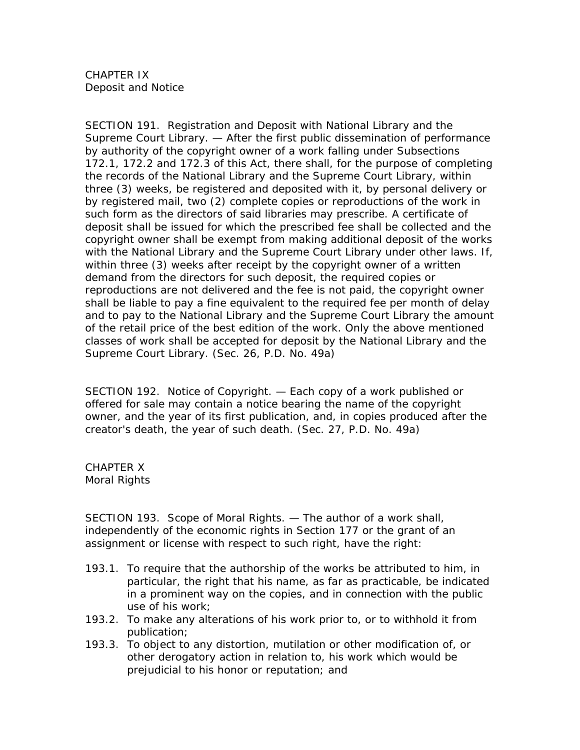CHAPTER IX Deposit and Notice

SECTION 191. Registration and Deposit with National Library and the Supreme Court Library. — After the first public dissemination of performance by authority of the copyright owner of a work falling under Subsections 172.1, 172.2 and 172.3 of this Act, there shall, for the purpose of completing the records of the National Library and the Supreme Court Library, within three (3) weeks, be registered and deposited with it, by personal delivery or by registered mail, two (2) complete copies or reproductions of the work in such form as the directors of said libraries may prescribe. A certificate of deposit shall be issued for which the prescribed fee shall be collected and the copyright owner shall be exempt from making additional deposit of the works with the National Library and the Supreme Court Library under other laws. If, within three (3) weeks after receipt by the copyright owner of a written demand from the directors for such deposit, the required copies or reproductions are not delivered and the fee is not paid, the copyright owner shall be liable to pay a fine equivalent to the required fee per month of delay and to pay to the National Library and the Supreme Court Library the amount of the retail price of the best edition of the work. Only the above mentioned classes of work shall be accepted for deposit by the National Library and the Supreme Court Library. (Sec. 26, P.D. No. 49a)

SECTION 192. Notice of Copyright. — Each copy of a work published or offered for sale may contain a notice bearing the name of the copyright owner, and the year of its first publication, and, in copies produced after the creator's death, the year of such death. (Sec. 27, P.D. No. 49a)

CHAPTER X Moral Rights

SECTION 193. Scope of Moral Rights. — The author of a work shall, independently of the economic rights in Section 177 or the grant of an assignment or license with respect to such right, have the right:

- 193.1. To require that the authorship of the works be attributed to him, in particular, the right that his name, as far as practicable, be indicated in a prominent way on the copies, and in connection with the public use of his work;
- 193.2. To make any alterations of his work prior to, or to withhold it from publication;
- 193.3. To object to any distortion, mutilation or other modification of, or other derogatory action in relation to, his work which would be prejudicial to his honor or reputation; and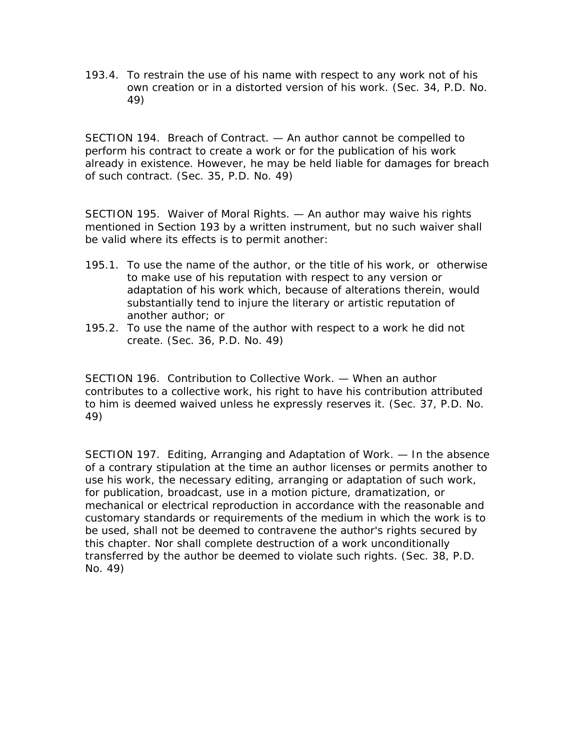193.4. To restrain the use of his name with respect to any work not of his own creation or in a distorted version of his work. (Sec. 34, P.D. No. 49)

SECTION 194. Breach of Contract. — An author cannot be compelled to perform his contract to create a work or for the publication of his work already in existence. However, he may be held liable for damages for breach of such contract. (Sec. 35, P.D. No. 49)

SECTION 195. Waiver of Moral Rights. — An author may waive his rights mentioned in Section 193 by a written instrument, but no such waiver shall be valid where its effects is to permit another:

- 195.1. To use the name of the author, or the title of his work, or otherwise to make use of his reputation with respect to any version or adaptation of his work which, because of alterations therein, would substantially tend to injure the literary or artistic reputation of another author; or
- 195.2. To use the name of the author with respect to a work he did not create. (Sec. 36, P.D. No. 49)

SECTION 196. Contribution to Collective Work. — When an author contributes to a collective work, his right to have his contribution attributed to him is deemed waived unless he expressly reserves it. (Sec. 37, P.D. No. 49)

SECTION 197. Editing, Arranging and Adaptation of Work. — In the absence of a contrary stipulation at the time an author licenses or permits another to use his work, the necessary editing, arranging or adaptation of such work, for publication, broadcast, use in a motion picture, dramatization, or mechanical or electrical reproduction in accordance with the reasonable and customary standards or requirements of the medium in which the work is to be used, shall not be deemed to contravene the author's rights secured by this chapter. Nor shall complete destruction of a work unconditionally transferred by the author be deemed to violate such rights. (Sec. 38, P.D. No. 49)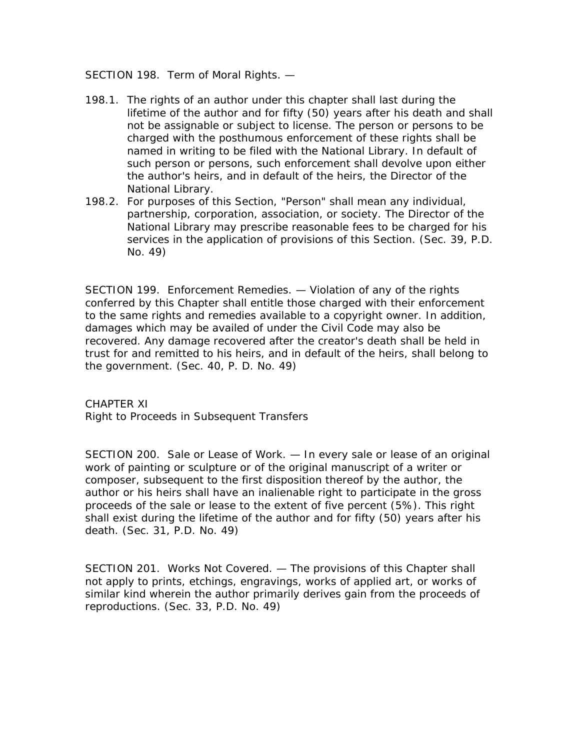SECTION 198. Term of Moral Rights. —

- 198.1. The rights of an author under this chapter shall last during the lifetime of the author and for fifty (50) years after his death and shall not be assignable or subject to license. The person or persons to be charged with the posthumous enforcement of these rights shall be named in writing to be filed with the National Library. In default of such person or persons, such enforcement shall devolve upon either the author's heirs, and in default of the heirs, the Director of the National Library.
- 198.2. For purposes of this Section, "Person" shall mean any individual, partnership, corporation, association, or society. The Director of the National Library may prescribe reasonable fees to be charged for his services in the application of provisions of this Section. (Sec. 39, P.D. No. 49)

SECTION 199. Enforcement Remedies. — Violation of any of the rights conferred by this Chapter shall entitle those charged with their enforcement to the same rights and remedies available to a copyright owner. In addition, damages which may be availed of under the Civil Code may also be recovered. Any damage recovered after the creator's death shall be held in trust for and remitted to his heirs, and in default of the heirs, shall belong to the government. (Sec. 40, P. D. No. 49)

CHAPTER XI Right to Proceeds in Subsequent Transfers

SECTION 200. Sale or Lease of Work. — In every sale or lease of an original work of painting or sculpture or of the original manuscript of a writer or composer, subsequent to the first disposition thereof by the author, the author or his heirs shall have an inalienable right to participate in the gross proceeds of the sale or lease to the extent of five percent (5%). This right shall exist during the lifetime of the author and for fifty (50) years after his death. (Sec. 31, P.D. No. 49)

SECTION 201. Works Not Covered. — The provisions of this Chapter shall not apply to prints, etchings, engravings, works of applied art, or works of similar kind wherein the author primarily derives gain from the proceeds of reproductions. (Sec. 33, P.D. No. 49)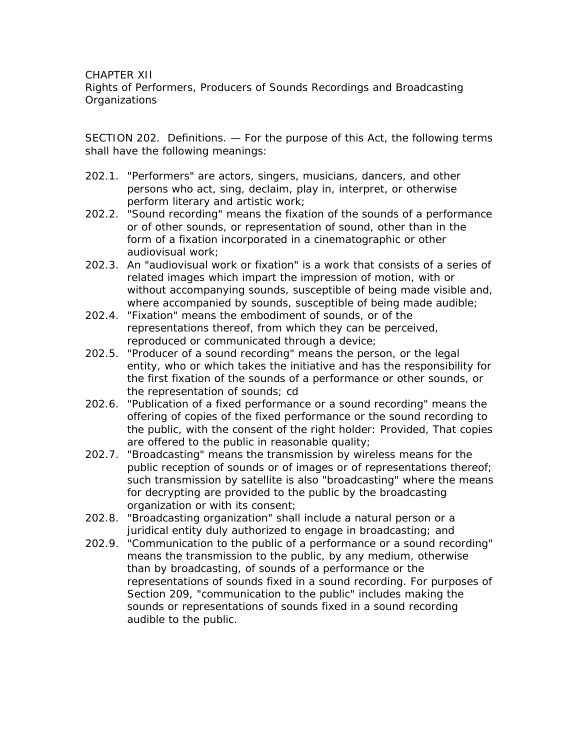CHAPTER XII

Rights of Performers, Producers of Sounds Recordings and Broadcasting **Organizations** 

SECTION 202. Definitions. — For the purpose of this Act, the following terms shall have the following meanings:

- 202.1. "Performers" are actors, singers, musicians, dancers, and other persons who act, sing, declaim, play in, interpret, or otherwise perform literary and artistic work;
- 202.2. "Sound recording" means the fixation of the sounds of a performance or of other sounds, or representation of sound, other than in the form of a fixation incorporated in a cinematographic or other audiovisual work;
- 202.3. An "audiovisual work or fixation" is a work that consists of a series of related images which impart the impression of motion, with or without accompanying sounds, susceptible of being made visible and, where accompanied by sounds, susceptible of being made audible;
- 202.4. "Fixation" means the embodiment of sounds, or of the representations thereof, from which they can be perceived, reproduced or communicated through a device;
- 202.5. "Producer of a sound recording" means the person, or the legal entity, who or which takes the initiative and has the responsibility for the first fixation of the sounds of a performance or other sounds, or the representation of sounds; cd
- 202.6. "Publication of a fixed performance or a sound recording" means the offering of copies of the fixed performance or the sound recording to the public, with the consent of the right holder: Provided, That copies are offered to the public in reasonable quality;
- 202.7. "Broadcasting" means the transmission by wireless means for the public reception of sounds or of images or of representations thereof; such transmission by satellite is also "broadcasting" where the means for decrypting are provided to the public by the broadcasting organization or with its consent;
- 202.8. "Broadcasting organization" shall include a natural person or a juridical entity duly authorized to engage in broadcasting; and
- 202.9. "Communication to the public of a performance or a sound recording" means the transmission to the public, by any medium, otherwise than by broadcasting, of sounds of a performance or the representations of sounds fixed in a sound recording. For purposes of Section 209, "communication to the public" includes making the sounds or representations of sounds fixed in a sound recording audible to the public.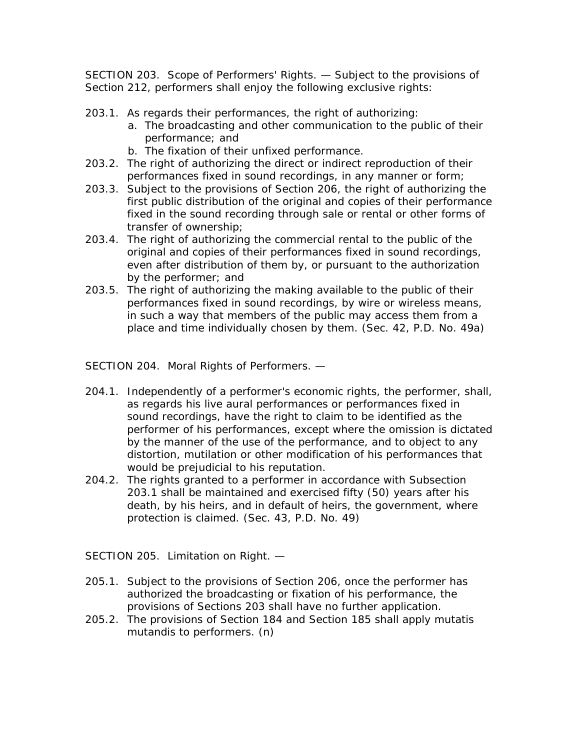SECTION 203. Scope of Performers' Rights. — Subject to the provisions of Section 212, performers shall enjoy the following exclusive rights:

- 203.1. As regards their performances, the right of authorizing:
	- a. The broadcasting and other communication to the public of their performance; and
	- b. The fixation of their unfixed performance.
- 203.2. The right of authorizing the direct or indirect reproduction of their performances fixed in sound recordings, in any manner or form;
- 203.3. Subject to the provisions of Section 206, the right of authorizing the first public distribution of the original and copies of their performance fixed in the sound recording through sale or rental or other forms of transfer of ownership;
- 203.4. The right of authorizing the commercial rental to the public of the original and copies of their performances fixed in sound recordings, even after distribution of them by, or pursuant to the authorization by the performer; and
- 203.5. The right of authorizing the making available to the public of their performances fixed in sound recordings, by wire or wireless means, in such a way that members of the public may access them from a place and time individually chosen by them. (Sec. 42, P.D. No. 49a)

SECTION 204. Moral Rights of Performers. —

- 204.1. Independently of a performer's economic rights, the performer, shall, as regards his live aural performances or performances fixed in sound recordings, have the right to claim to be identified as the performer of his performances, except where the omission is dictated by the manner of the use of the performance, and to object to any distortion, mutilation or other modification of his performances that would be prejudicial to his reputation.
- 204.2. The rights granted to a performer in accordance with Subsection 203.1 shall be maintained and exercised fifty (50) years after his death, by his heirs, and in default of heirs, the government, where protection is claimed. (Sec. 43, P.D. No. 49)

SECTION 205. Limitation on Right. —

- 205.1. Subject to the provisions of Section 206, once the performer has authorized the broadcasting or fixation of his performance, the provisions of Sections 203 shall have no further application.
- 205.2. The provisions of Section 184 and Section 185 shall apply mutatis mutandis to performers. (n)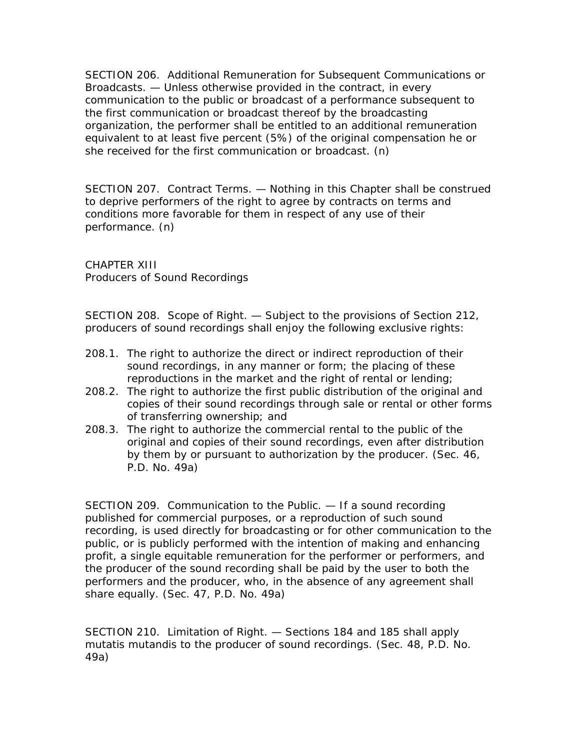SECTION 206. Additional Remuneration for Subsequent Communications or Broadcasts. — Unless otherwise provided in the contract, in every communication to the public or broadcast of a performance subsequent to the first communication or broadcast thereof by the broadcasting organization, the performer shall be entitled to an additional remuneration equivalent to at least five percent (5%) of the original compensation he or she received for the first communication or broadcast. (n)

SECTION 207. Contract Terms. — Nothing in this Chapter shall be construed to deprive performers of the right to agree by contracts on terms and conditions more favorable for them in respect of any use of their performance. (n)

CHAPTER XIII Producers of Sound Recordings

SECTION 208. Scope of Right. — Subject to the provisions of Section 212, producers of sound recordings shall enjoy the following exclusive rights:

- 208.1. The right to authorize the direct or indirect reproduction of their sound recordings, in any manner or form; the placing of these reproductions in the market and the right of rental or lending;
- 208.2. The right to authorize the first public distribution of the original and copies of their sound recordings through sale or rental or other forms of transferring ownership; and
- 208.3. The right to authorize the commercial rental to the public of the original and copies of their sound recordings, even after distribution by them by or pursuant to authorization by the producer. (Sec. 46, P.D. No. 49a)

SECTION 209. Communication to the Public. — If a sound recording published for commercial purposes, or a reproduction of such sound recording, is used directly for broadcasting or for other communication to the public, or is publicly performed with the intention of making and enhancing profit, a single equitable remuneration for the performer or performers, and the producer of the sound recording shall be paid by the user to both the performers and the producer, who, in the absence of any agreement shall share equally. (Sec. 47, P.D. No. 49a)

SECTION 210. Limitation of Right. — Sections 184 and 185 shall apply mutatis mutandis to the producer of sound recordings. (Sec. 48, P.D. No. 49a)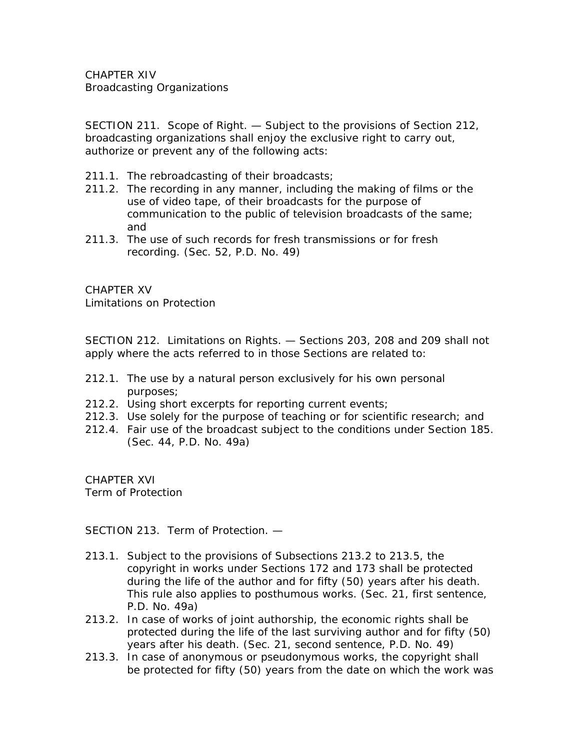CHAPTER XIV Broadcasting Organizations

SECTION 211. Scope of Right. — Subject to the provisions of Section 212, broadcasting organizations shall enjoy the exclusive right to carry out, authorize or prevent any of the following acts:

- 211.1. The rebroadcasting of their broadcasts;
- 211.2. The recording in any manner, including the making of films or the use of video tape, of their broadcasts for the purpose of communication to the public of television broadcasts of the same; and
- 211.3. The use of such records for fresh transmissions or for fresh recording. (Sec. 52, P.D. No. 49)

CHAPTER XV Limitations on Protection

SECTION 212. Limitations on Rights. — Sections 203, 208 and 209 shall not apply where the acts referred to in those Sections are related to:

- 212.1. The use by a natural person exclusively for his own personal purposes;
- 212.2. Using short excerpts for reporting current events;
- 212.3. Use solely for the purpose of teaching or for scientific research; and
- 212.4. Fair use of the broadcast subject to the conditions under Section 185. (Sec. 44, P.D. No. 49a)

CHAPTER XVI Term of Protection

SECTION 213. Term of Protection. —

- 213.1. Subject to the provisions of Subsections 213.2 to 213.5, the copyright in works under Sections 172 and 173 shall be protected during the life of the author and for fifty (50) years after his death. This rule also applies to posthumous works. (Sec. 21, first sentence, P.D. No. 49a)
- 213.2. In case of works of joint authorship, the economic rights shall be protected during the life of the last surviving author and for fifty (50) years after his death. (Sec. 21, second sentence, P.D. No. 49)
- 213.3. In case of anonymous or pseudonymous works, the copyright shall be protected for fifty (50) years from the date on which the work was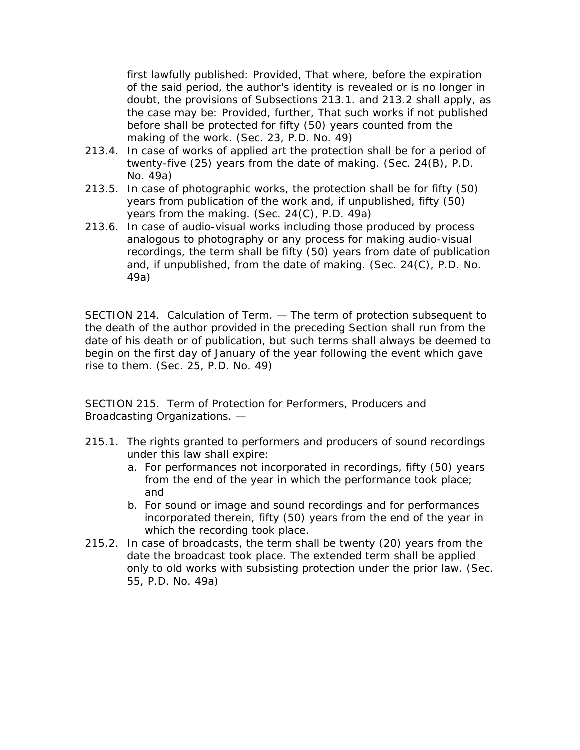first lawfully published: Provided, That where, before the expiration of the said period, the author's identity is revealed or is no longer in doubt, the provisions of Subsections 213.1. and 213.2 shall apply, as the case may be: Provided, further, That such works if not published before shall be protected for fifty (50) years counted from the making of the work. (Sec. 23, P.D. No. 49)

- 213.4. In case of works of applied art the protection shall be for a period of twenty-five (25) years from the date of making. (Sec. 24(B), P.D. No. 49a)
- 213.5. In case of photographic works, the protection shall be for fifty (50) years from publication of the work and, if unpublished, fifty (50) years from the making. (Sec. 24(C), P.D. 49a)
- 213.6. In case of audio-visual works including those produced by process analogous to photography or any process for making audio-visual recordings, the term shall be fifty (50) years from date of publication and, if unpublished, from the date of making. (Sec. 24(C), P.D. No. 49a)

SECTION 214. Calculation of Term. — The term of protection subsequent to the death of the author provided in the preceding Section shall run from the date of his death or of publication, but such terms shall always be deemed to begin on the first day of January of the year following the event which gave rise to them. (Sec. 25, P.D. No. 49)

SECTION 215. Term of Protection for Performers, Producers and Broadcasting Organizations. —

- 215.1. The rights granted to performers and producers of sound recordings under this law shall expire:
	- a. For performances not incorporated in recordings, fifty (50) years from the end of the year in which the performance took place; and
	- b. For sound or image and sound recordings and for performances incorporated therein, fifty (50) years from the end of the year in which the recording took place.
- 215.2. In case of broadcasts, the term shall be twenty (20) years from the date the broadcast took place. The extended term shall be applied only to old works with subsisting protection under the prior law. (Sec. 55, P.D. No. 49a)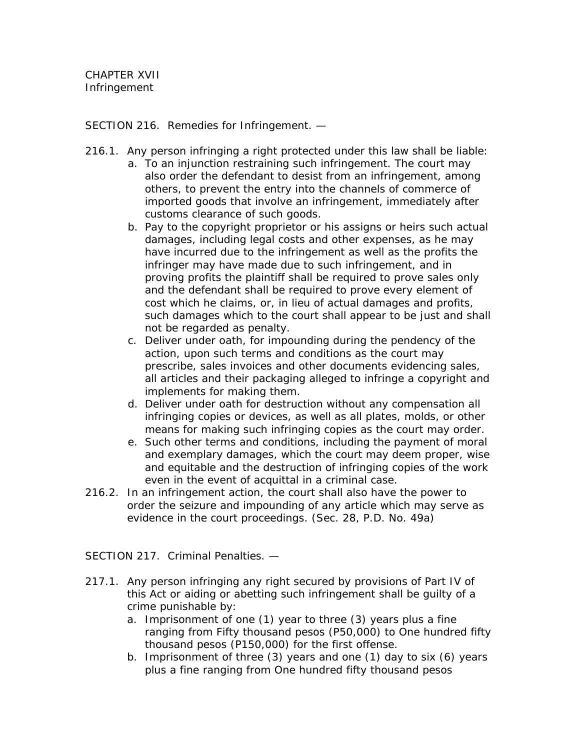SECTION 216. Remedies for Infringement. —

- 216.1. Any person infringing a right protected under this law shall be liable:
	- a. To an injunction restraining such infringement. The court may also order the defendant to desist from an infringement, among others, to prevent the entry into the channels of commerce of imported goods that involve an infringement, immediately after customs clearance of such goods.
	- b. Pay to the copyright proprietor or his assigns or heirs such actual damages, including legal costs and other expenses, as he may have incurred due to the infringement as well as the profits the infringer may have made due to such infringement, and in proving profits the plaintiff shall be required to prove sales only and the defendant shall be required to prove every element of cost which he claims, or, in lieu of actual damages and profits, such damages which to the court shall appear to be just and shall not be regarded as penalty.
	- c. Deliver under oath, for impounding during the pendency of the action, upon such terms and conditions as the court may prescribe, sales invoices and other documents evidencing sales, all articles and their packaging alleged to infringe a copyright and implements for making them.
	- d. Deliver under oath for destruction without any compensation all infringing copies or devices, as well as all plates, molds, or other means for making such infringing copies as the court may order.
	- e. Such other terms and conditions, including the payment of moral and exemplary damages, which the court may deem proper, wise and equitable and the destruction of infringing copies of the work even in the event of acquittal in a criminal case.
- 216.2. In an infringement action, the court shall also have the power to order the seizure and impounding of any article which may serve as evidence in the court proceedings. (Sec. 28, P.D. No. 49a)

SECTION 217. Criminal Penalties. —

- 217.1. Any person infringing any right secured by provisions of Part IV of this Act or aiding or abetting such infringement shall be guilty of a crime punishable by:
	- a. Imprisonment of one (1) year to three (3) years plus a fine ranging from Fifty thousand pesos (P50,000) to One hundred fifty thousand pesos (P150,000) for the first offense.
	- b. Imprisonment of three (3) years and one (1) day to six (6) years plus a fine ranging from One hundred fifty thousand pesos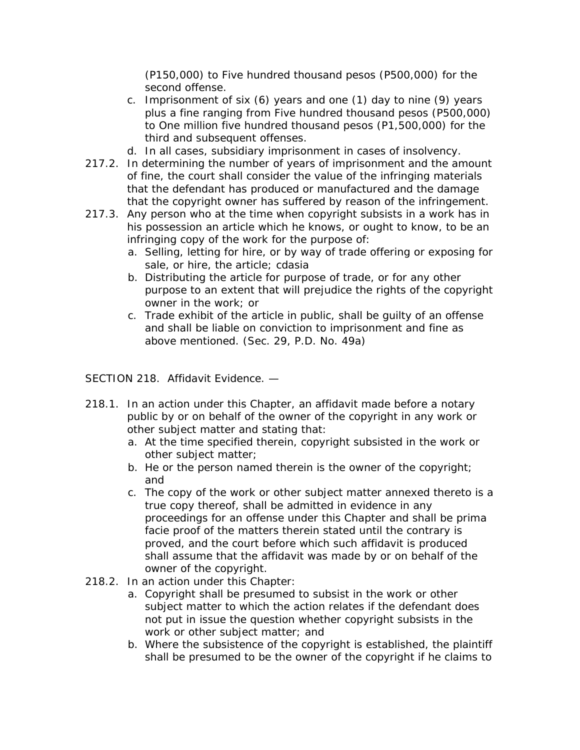(P150,000) to Five hundred thousand pesos (P500,000) for the second offense.

- c. Imprisonment of six (6) years and one (1) day to nine (9) years plus a fine ranging from Five hundred thousand pesos (P500,000) to One million five hundred thousand pesos (P1,500,000) for the third and subsequent offenses.
- d. In all cases, subsidiary imprisonment in cases of insolvency.
- 217.2. In determining the number of years of imprisonment and the amount of fine, the court shall consider the value of the infringing materials that the defendant has produced or manufactured and the damage that the copyright owner has suffered by reason of the infringement.
- 217.3. Any person who at the time when copyright subsists in a work has in his possession an article which he knows, or ought to know, to be an infringing copy of the work for the purpose of:
	- a. Selling, letting for hire, or by way of trade offering or exposing for sale, or hire, the article; cdasia
	- b. Distributing the article for purpose of trade, or for any other purpose to an extent that will prejudice the rights of the copyright owner in the work; or
	- c. Trade exhibit of the article in public, shall be guilty of an offense and shall be liable on conviction to imprisonment and fine as above mentioned. (Sec. 29, P.D. No. 49a)

SECTION 218. Affidavit Evidence. —

- 218.1. In an action under this Chapter, an affidavit made before a notary public by or on behalf of the owner of the copyright in any work or other subject matter and stating that:
	- a. At the time specified therein, copyright subsisted in the work or other subject matter;
	- b. He or the person named therein is the owner of the copyright; and
	- c. The copy of the work or other subject matter annexed thereto is a true copy thereof, shall be admitted in evidence in any proceedings for an offense under this Chapter and shall be prima facie proof of the matters therein stated until the contrary is proved, and the court before which such affidavit is produced shall assume that the affidavit was made by or on behalf of the owner of the copyright.
- 218.2. In an action under this Chapter:
	- a. Copyright shall be presumed to subsist in the work or other subject matter to which the action relates if the defendant does not put in issue the question whether copyright subsists in the work or other subject matter; and
	- b. Where the subsistence of the copyright is established, the plaintiff shall be presumed to be the owner of the copyright if he claims to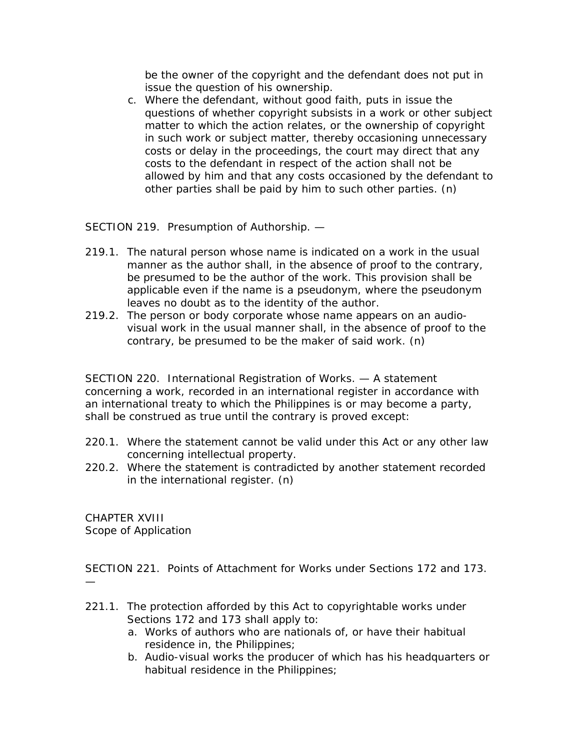be the owner of the copyright and the defendant does not put in issue the question of his ownership.

c. Where the defendant, without good faith, puts in issue the questions of whether copyright subsists in a work or other subject matter to which the action relates, or the ownership of copyright in such work or subject matter, thereby occasioning unnecessary costs or delay in the proceedings, the court may direct that any costs to the defendant in respect of the action shall not be allowed by him and that any costs occasioned by the defendant to other parties shall be paid by him to such other parties. (n)

SECTION 219. Presumption of Authorship. —

- 219.1. The natural person whose name is indicated on a work in the usual manner as the author shall, in the absence of proof to the contrary, be presumed to be the author of the work. This provision shall be applicable even if the name is a pseudonym, where the pseudonym leaves no doubt as to the identity of the author.
- 219.2. The person or body corporate whose name appears on an audiovisual work in the usual manner shall, in the absence of proof to the contrary, be presumed to be the maker of said work. (n)

SECTION 220. International Registration of Works. — A statement concerning a work, recorded in an international register in accordance with an international treaty to which the Philippines is or may become a party, shall be construed as true until the contrary is proved except:

- 220.1. Where the statement cannot be valid under this Act or any other law concerning intellectual property.
- 220.2. Where the statement is contradicted by another statement recorded in the international register. (n)

CHAPTER XVIII Scope of Application

SECTION 221. Points of Attachment for Works under Sections 172 and 173. —

- 221.1. The protection afforded by this Act to copyrightable works under Sections 172 and 173 shall apply to:
	- a. Works of authors who are nationals of, or have their habitual residence in, the Philippines;
	- b. Audio-visual works the producer of which has his headquarters or habitual residence in the Philippines;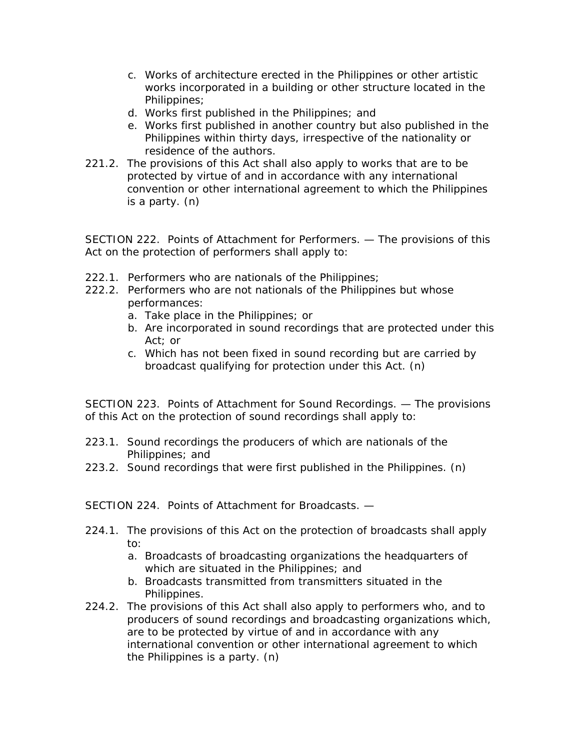- c. Works of architecture erected in the Philippines or other artistic works incorporated in a building or other structure located in the Philippines;
- d. Works first published in the Philippines; and
- e. Works first published in another country but also published in the Philippines within thirty days, irrespective of the nationality or residence of the authors.
- 221.2. The provisions of this Act shall also apply to works that are to be protected by virtue of and in accordance with any international convention or other international agreement to which the Philippines is a party. (n)

SECTION 222. Points of Attachment for Performers. — The provisions of this Act on the protection of performers shall apply to:

- 222.1. Performers who are nationals of the Philippines;
- 222.2. Performers who are not nationals of the Philippines but whose performances:
	- a. Take place in the Philippines; or
	- b. Are incorporated in sound recordings that are protected under this Act; or
	- c. Which has not been fixed in sound recording but are carried by broadcast qualifying for protection under this Act. (n)

SECTION 223. Points of Attachment for Sound Recordings. — The provisions of this Act on the protection of sound recordings shall apply to:

- 223.1. Sound recordings the producers of which are nationals of the Philippines; and
- 223.2. Sound recordings that were first published in the Philippines. (n)

SECTION 224. Points of Attachment for Broadcasts. —

- 224.1. The provisions of this Act on the protection of broadcasts shall apply to:
	- a. Broadcasts of broadcasting organizations the headquarters of which are situated in the Philippines; and
	- b. Broadcasts transmitted from transmitters situated in the Philippines.
- 224.2. The provisions of this Act shall also apply to performers who, and to producers of sound recordings and broadcasting organizations which, are to be protected by virtue of and in accordance with any international convention or other international agreement to which the Philippines is a party. (n)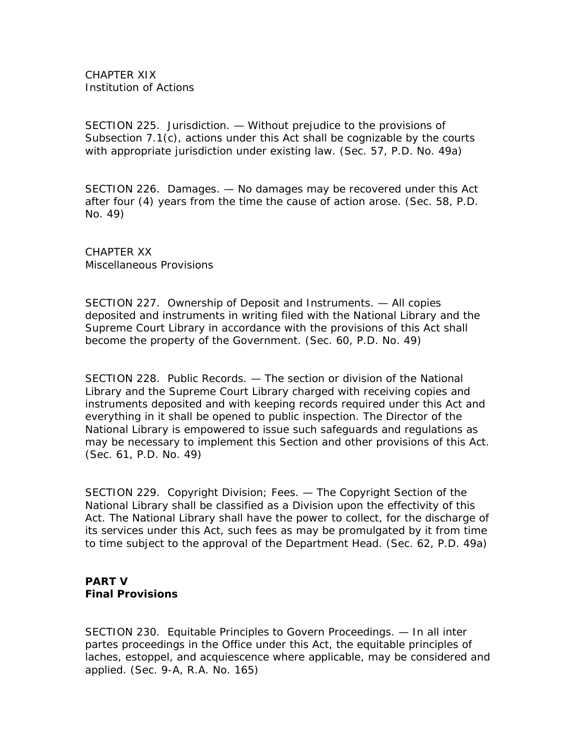CHAPTER XIX Institution of Actions

SECTION 225. Jurisdiction. — Without prejudice to the provisions of Subsection 7.1(c), actions under this Act shall be cognizable by the courts with appropriate jurisdiction under existing law. (Sec. 57, P.D. No. 49a)

SECTION 226. Damages. — No damages may be recovered under this Act after four (4) years from the time the cause of action arose. (Sec. 58, P.D. No. 49)

CHAPTER XX Miscellaneous Provisions

SECTION 227. Ownership of Deposit and Instruments. — All copies deposited and instruments in writing filed with the National Library and the Supreme Court Library in accordance with the provisions of this Act shall become the property of the Government. (Sec. 60, P.D. No. 49)

SECTION 228. Public Records. — The section or division of the National Library and the Supreme Court Library charged with receiving copies and instruments deposited and with keeping records required under this Act and everything in it shall be opened to public inspection. The Director of the National Library is empowered to issue such safeguards and regulations as may be necessary to implement this Section and other provisions of this Act. (Sec. 61, P.D. No. 49)

SECTION 229. Copyright Division; Fees. — The Copyright Section of the National Library shall be classified as a Division upon the effectivity of this Act. The National Library shall have the power to collect, for the discharge of its services under this Act, such fees as may be promulgated by it from time to time subject to the approval of the Department Head. (Sec. 62, P.D. 49a)

## **PART V Final Provisions**

SECTION 230. Equitable Principles to Govern Proceedings. — In all inter partes proceedings in the Office under this Act, the equitable principles of laches, estoppel, and acquiescence where applicable, may be considered and applied. (Sec. 9-A, R.A. No. 165)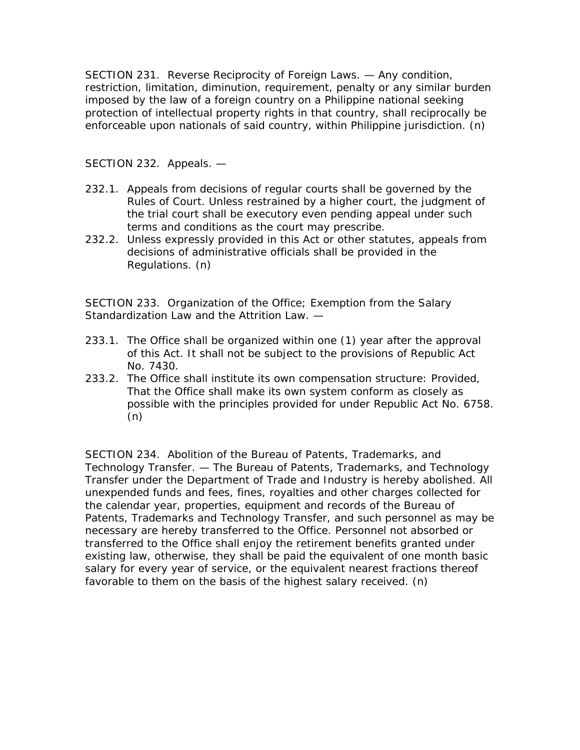SECTION 231. Reverse Reciprocity of Foreign Laws. — Any condition, restriction, limitation, diminution, requirement, penalty or any similar burden imposed by the law of a foreign country on a Philippine national seeking protection of intellectual property rights in that country, shall reciprocally be enforceable upon nationals of said country, within Philippine jurisdiction. (n)

SECTION 232. Appeals. —

- 232.1. Appeals from decisions of regular courts shall be governed by the Rules of Court. Unless restrained by a higher court, the judgment of the trial court shall be executory even pending appeal under such terms and conditions as the court may prescribe.
- 232.2. Unless expressly provided in this Act or other statutes, appeals from decisions of administrative officials shall be provided in the Regulations. (n)

SECTION 233. Organization of the Office; Exemption from the Salary Standardization Law and the Attrition Law.  $-$ 

- 233.1. The Office shall be organized within one (1) year after the approval of this Act. It shall not be subject to the provisions of Republic Act No. 7430.
- 233.2. The Office shall institute its own compensation structure: Provided, That the Office shall make its own system conform as closely as possible with the principles provided for under Republic Act No. 6758. (n)

SECTION 234. Abolition of the Bureau of Patents, Trademarks, and Technology Transfer. — The Bureau of Patents, Trademarks, and Technology Transfer under the Department of Trade and Industry is hereby abolished. All unexpended funds and fees, fines, royalties and other charges collected for the calendar year, properties, equipment and records of the Bureau of Patents, Trademarks and Technology Transfer, and such personnel as may be necessary are hereby transferred to the Office. Personnel not absorbed or transferred to the Office shall enjoy the retirement benefits granted under existing law, otherwise, they shall be paid the equivalent of one month basic salary for every year of service, or the equivalent nearest fractions thereof favorable to them on the basis of the highest salary received. (n)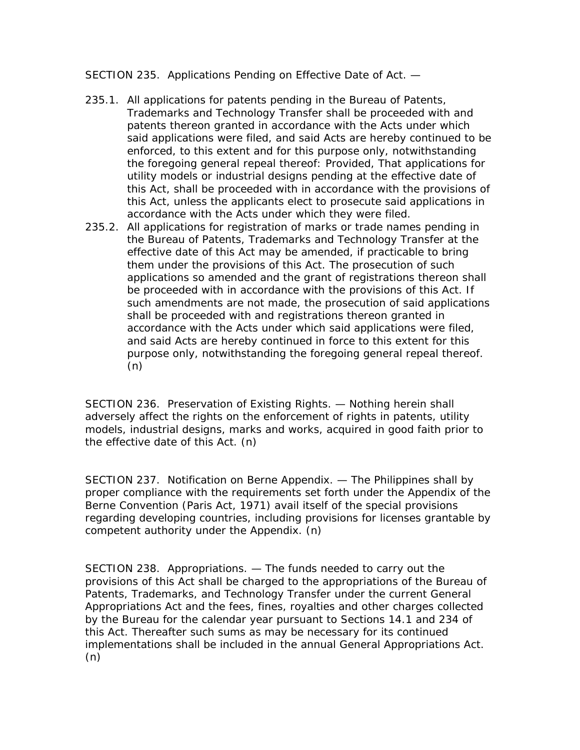SECTION 235. Applications Pending on Effective Date of Act. —

- 235.1. All applications for patents pending in the Bureau of Patents, Trademarks and Technology Transfer shall be proceeded with and patents thereon granted in accordance with the Acts under which said applications were filed, and said Acts are hereby continued to be enforced, to this extent and for this purpose only, notwithstanding the foregoing general repeal thereof: Provided, That applications for utility models or industrial designs pending at the effective date of this Act, shall be proceeded with in accordance with the provisions of this Act, unless the applicants elect to prosecute said applications in accordance with the Acts under which they were filed.
- 235.2. All applications for registration of marks or trade names pending in the Bureau of Patents, Trademarks and Technology Transfer at the effective date of this Act may be amended, if practicable to bring them under the provisions of this Act. The prosecution of such applications so amended and the grant of registrations thereon shall be proceeded with in accordance with the provisions of this Act. If such amendments are not made, the prosecution of said applications shall be proceeded with and registrations thereon granted in accordance with the Acts under which said applications were filed, and said Acts are hereby continued in force to this extent for this purpose only, notwithstanding the foregoing general repeal thereof. (n)

SECTION 236. Preservation of Existing Rights. — Nothing herein shall adversely affect the rights on the enforcement of rights in patents, utility models, industrial designs, marks and works, acquired in good faith prior to the effective date of this Act. (n)

SECTION 237. Notification on Berne Appendix. — The Philippines shall by proper compliance with the requirements set forth under the Appendix of the Berne Convention (Paris Act, 1971) avail itself of the special provisions regarding developing countries, including provisions for licenses grantable by competent authority under the Appendix. (n)

SECTION 238. Appropriations. — The funds needed to carry out the provisions of this Act shall be charged to the appropriations of the Bureau of Patents, Trademarks, and Technology Transfer under the current General Appropriations Act and the fees, fines, royalties and other charges collected by the Bureau for the calendar year pursuant to Sections 14.1 and 234 of this Act. Thereafter such sums as may be necessary for its continued implementations shall be included in the annual General Appropriations Act. (n)